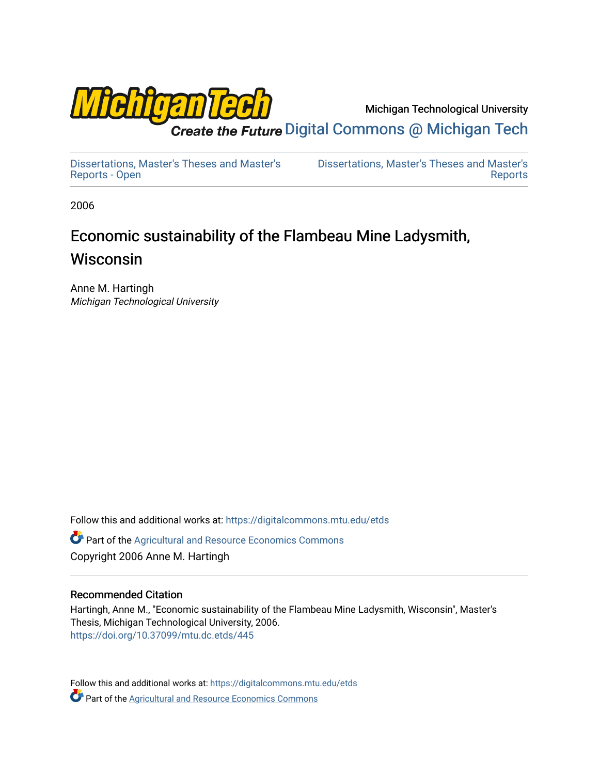

Michigan Technological University

Create the Future Digital Commons @ Michigan Tech

[Dissertations, Master's Theses and Master's](https://digitalcommons.mtu.edu/etds) [Reports - Open](https://digitalcommons.mtu.edu/etds)

[Dissertations, Master's Theses and Master's](https://digitalcommons.mtu.edu/etd)  [Reports](https://digitalcommons.mtu.edu/etd) 

2006

# Economic sustainability of the Flambeau Mine Ladysmith, Wisconsin

Anne M. Hartingh Michigan Technological University

Follow this and additional works at: [https://digitalcommons.mtu.edu/etds](https://digitalcommons.mtu.edu/etds?utm_source=digitalcommons.mtu.edu%2Fetds%2F445&utm_medium=PDF&utm_campaign=PDFCoverPages) 

**C** Part of the Agricultural and Resource Economics Commons Copyright 2006 Anne M. Hartingh

## Recommended Citation

Hartingh, Anne M., "Economic sustainability of the Flambeau Mine Ladysmith, Wisconsin", Master's Thesis, Michigan Technological University, 2006. <https://doi.org/10.37099/mtu.dc.etds/445>

Follow this and additional works at: [https://digitalcommons.mtu.edu/etds](https://digitalcommons.mtu.edu/etds?utm_source=digitalcommons.mtu.edu%2Fetds%2F445&utm_medium=PDF&utm_campaign=PDFCoverPages) **Part of the [Agricultural and Resource Economics Commons](http://network.bepress.com/hgg/discipline/317?utm_source=digitalcommons.mtu.edu%2Fetds%2F445&utm_medium=PDF&utm_campaign=PDFCoverPages)**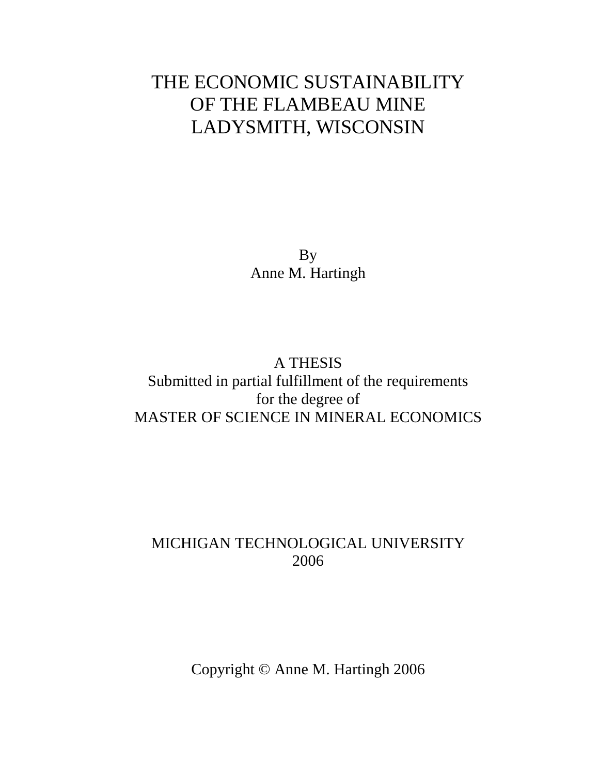# THE ECONOMIC SUSTAINABILITY OF THE FLAMBEAU MINE LADYSMITH, WISCONSIN

By Anne M. Hartingh

## A THESIS Submitted in partial fulfillment of the requirements for the degree of MASTER OF SCIENCE IN MINERAL ECONOMICS

# MICHIGAN TECHNOLOGICAL UNIVERSITY 2006

Copyright © Anne M. Hartingh 2006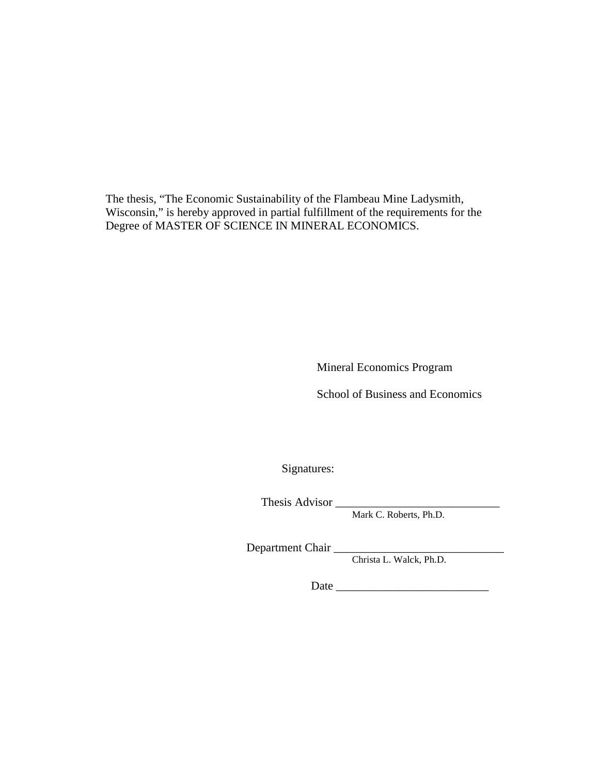The thesis, "The Economic Sustainability of the Flambeau Mine Ladysmith, Wisconsin," is hereby approved in partial fulfillment of the requirements for the Degree of MASTER OF SCIENCE IN MINERAL ECONOMICS.

Mineral Economics Program

School of Business and Economics

Signatures:

Thesis Advisor \_\_\_\_\_\_\_\_\_\_\_\_\_\_\_\_\_\_\_\_\_\_\_\_\_\_\_\_

Mark C. Roberts, Ph.D.

Department Chair \_\_\_\_\_\_\_\_\_\_\_\_\_\_\_\_\_\_\_\_\_\_\_\_\_\_\_\_\_

Christa L. Walck, Ph.D.

Date \_\_\_\_\_\_\_\_\_\_\_\_\_\_\_\_\_\_\_\_\_\_\_\_\_\_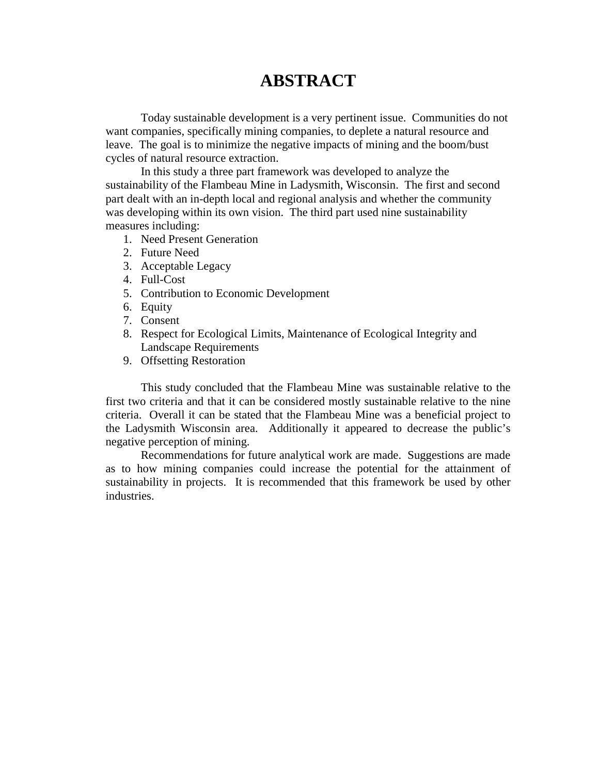# **ABSTRACT**

 Today sustainable development is a very pertinent issue. Communities do not want companies, specifically mining companies, to deplete a natural resource and leave. The goal is to minimize the negative impacts of mining and the boom/bust cycles of natural resource extraction.

 In this study a three part framework was developed to analyze the sustainability of the Flambeau Mine in Ladysmith, Wisconsin. The first and second part dealt with an in-depth local and regional analysis and whether the community was developing within its own vision. The third part used nine sustainability measures including:

- 1. Need Present Generation
- 2. Future Need
- 3. Acceptable Legacy
- 4. Full-Cost
- 5. Contribution to Economic Development
- 6. Equity
- 7. Consent
- 8. Respect for Ecological Limits, Maintenance of Ecological Integrity and Landscape Requirements
- 9. Offsetting Restoration

 This study concluded that the Flambeau Mine was sustainable relative to the first two criteria and that it can be considered mostly sustainable relative to the nine criteria. Overall it can be stated that the Flambeau Mine was a beneficial project to the Ladysmith Wisconsin area. Additionally it appeared to decrease the public's negative perception of mining.

 Recommendations for future analytical work are made. Suggestions are made as to how mining companies could increase the potential for the attainment of sustainability in projects. It is recommended that this framework be used by other industries.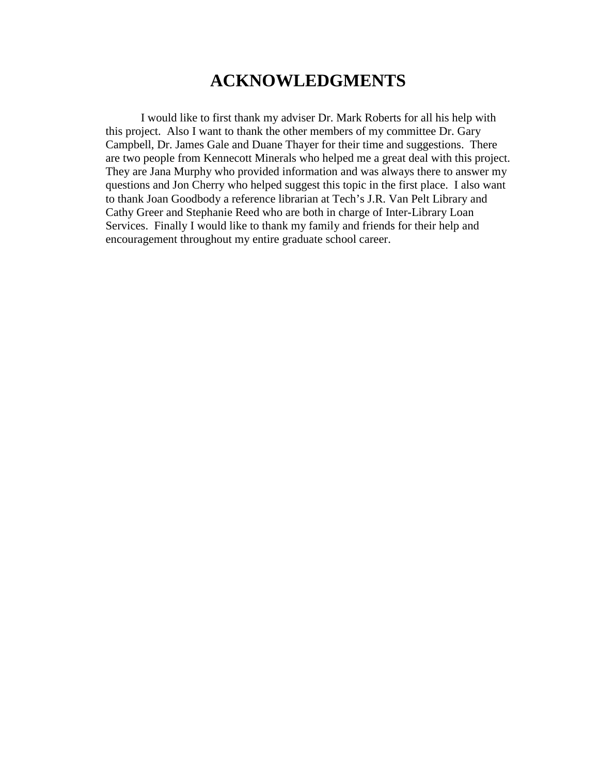# **ACKNOWLEDGMENTS**

 I would like to first thank my adviser Dr. Mark Roberts for all his help with this project. Also I want to thank the other members of my committee Dr. Gary Campbell, Dr. James Gale and Duane Thayer for their time and suggestions. There are two people from Kennecott Minerals who helped me a great deal with this project. They are Jana Murphy who provided information and was always there to answer my questions and Jon Cherry who helped suggest this topic in the first place. I also want to thank Joan Goodbody a reference librarian at Tech's J.R. Van Pelt Library and Cathy Greer and Stephanie Reed who are both in charge of Inter-Library Loan Services. Finally I would like to thank my family and friends for their help and encouragement throughout my entire graduate school career.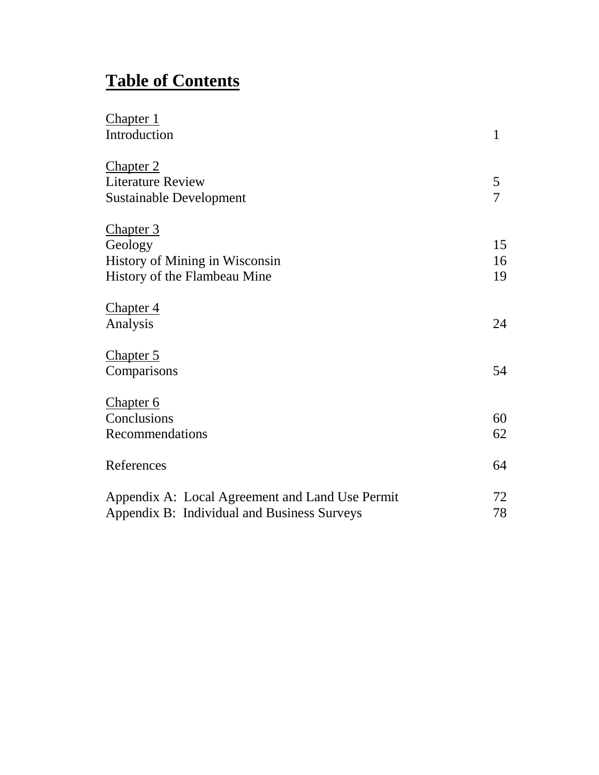# **Table of Contents**

| <b>Chapter 1</b>                                |                |
|-------------------------------------------------|----------------|
| Introduction                                    | $\mathbf{1}$   |
| <u>Chapter 2</u>                                |                |
| <b>Literature Review</b>                        | 5              |
| <b>Sustainable Development</b>                  | $\overline{7}$ |
| <b>Chapter 3</b>                                |                |
| Geology                                         | 15             |
| <b>History of Mining in Wisconsin</b>           | 16             |
| History of the Flambeau Mine                    | 19             |
| <b>Chapter 4</b>                                |                |
| Analysis                                        | 24             |
| <b>Chapter 5</b>                                |                |
| Comparisons                                     | 54             |
| <b>Chapter 6</b>                                |                |
| Conclusions                                     | 60             |
| Recommendations                                 | 62             |
| References                                      | 64             |
| Appendix A: Local Agreement and Land Use Permit | 72             |
| Appendix B: Individual and Business Surveys     | 78             |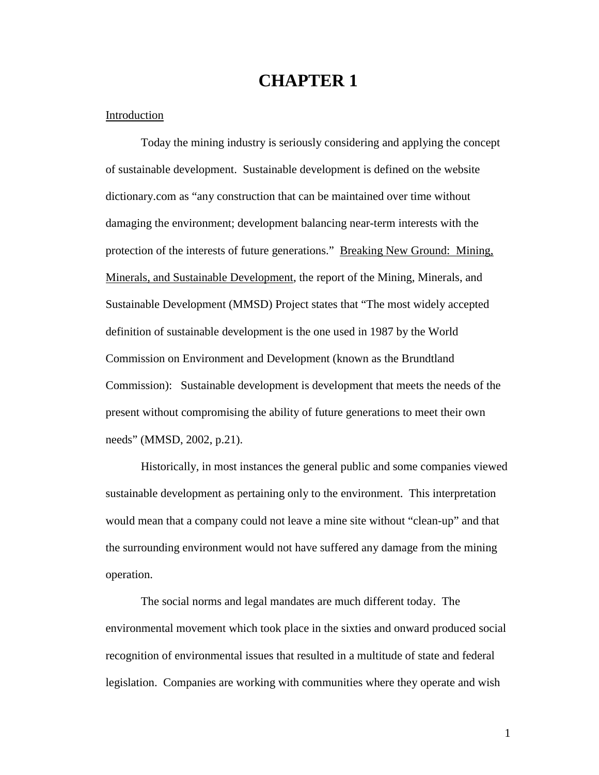## **CHAPTER 1**

### Introduction

 Today the mining industry is seriously considering and applying the concept of sustainable development. Sustainable development is defined on the website dictionary.com as "any construction that can be maintained over time without damaging the environment; development balancing near-term interests with the protection of the interests of future generations." Breaking New Ground: Mining, Minerals, and Sustainable Development, the report of the Mining, Minerals, and Sustainable Development (MMSD) Project states that "The most widely accepted definition of sustainable development is the one used in 1987 by the World Commission on Environment and Development (known as the Brundtland Commission): Sustainable development is development that meets the needs of the present without compromising the ability of future generations to meet their own needs" (MMSD, 2002, p.21).

 Historically, in most instances the general public and some companies viewed sustainable development as pertaining only to the environment. This interpretation would mean that a company could not leave a mine site without "clean-up" and that the surrounding environment would not have suffered any damage from the mining operation.

 The social norms and legal mandates are much different today. The environmental movement which took place in the sixties and onward produced social recognition of environmental issues that resulted in a multitude of state and federal legislation. Companies are working with communities where they operate and wish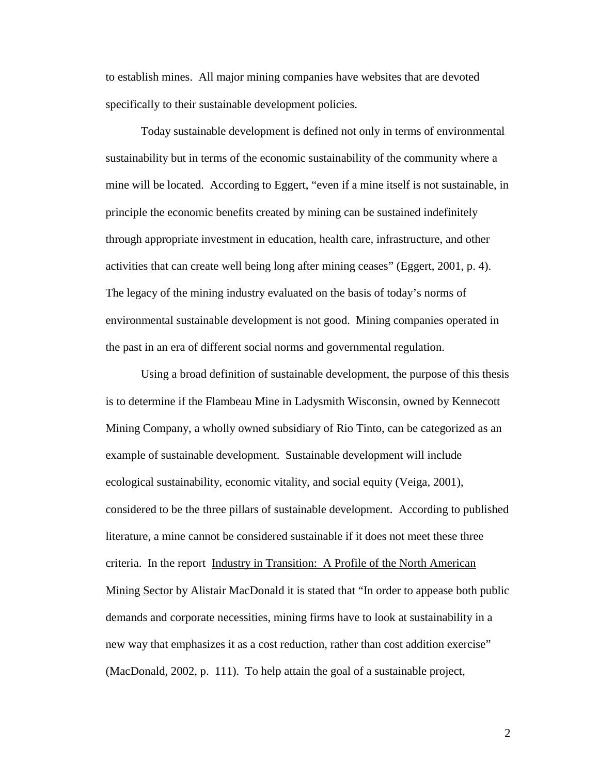to establish mines. All major mining companies have websites that are devoted specifically to their sustainable development policies.

Today sustainable development is defined not only in terms of environmental sustainability but in terms of the economic sustainability of the community where a mine will be located. According to Eggert, "even if a mine itself is not sustainable, in principle the economic benefits created by mining can be sustained indefinitely through appropriate investment in education, health care, infrastructure, and other activities that can create well being long after mining ceases" (Eggert, 2001, p. 4). The legacy of the mining industry evaluated on the basis of today's norms of environmental sustainable development is not good. Mining companies operated in the past in an era of different social norms and governmental regulation.

Using a broad definition of sustainable development, the purpose of this thesis is to determine if the Flambeau Mine in Ladysmith Wisconsin, owned by Kennecott Mining Company, a wholly owned subsidiary of Rio Tinto, can be categorized as an example of sustainable development. Sustainable development will include ecological sustainability, economic vitality, and social equity (Veiga, 2001), considered to be the three pillars of sustainable development. According to published literature, a mine cannot be considered sustainable if it does not meet these three criteria. In the report Industry in Transition: A Profile of the North American Mining Sector by Alistair MacDonald it is stated that "In order to appease both public demands and corporate necessities, mining firms have to look at sustainability in a new way that emphasizes it as a cost reduction, rather than cost addition exercise" (MacDonald, 2002, p. 111). To help attain the goal of a sustainable project,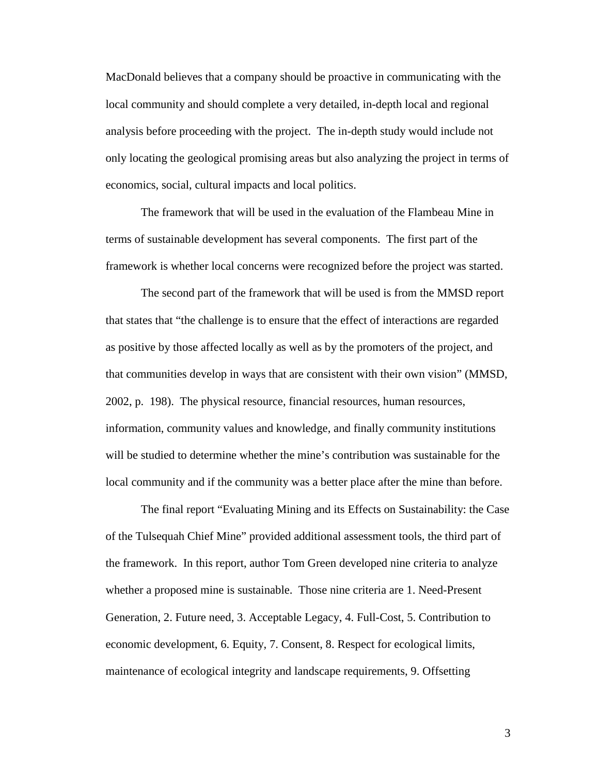MacDonald believes that a company should be proactive in communicating with the local community and should complete a very detailed, in-depth local and regional analysis before proceeding with the project. The in-depth study would include not only locating the geological promising areas but also analyzing the project in terms of economics, social, cultural impacts and local politics.

The framework that will be used in the evaluation of the Flambeau Mine in terms of sustainable development has several components. The first part of the framework is whether local concerns were recognized before the project was started.

The second part of the framework that will be used is from the MMSD report that states that "the challenge is to ensure that the effect of interactions are regarded as positive by those affected locally as well as by the promoters of the project, and that communities develop in ways that are consistent with their own vision" (MMSD, 2002, p. 198). The physical resource, financial resources, human resources, information, community values and knowledge, and finally community institutions will be studied to determine whether the mine's contribution was sustainable for the local community and if the community was a better place after the mine than before.

The final report "Evaluating Mining and its Effects on Sustainability: the Case of the Tulsequah Chief Mine" provided additional assessment tools, the third part of the framework. In this report, author Tom Green developed nine criteria to analyze whether a proposed mine is sustainable. Those nine criteria are 1. Need-Present Generation, 2. Future need, 3. Acceptable Legacy, 4. Full-Cost, 5. Contribution to economic development, 6. Equity, 7. Consent, 8. Respect for ecological limits, maintenance of ecological integrity and landscape requirements, 9. Offsetting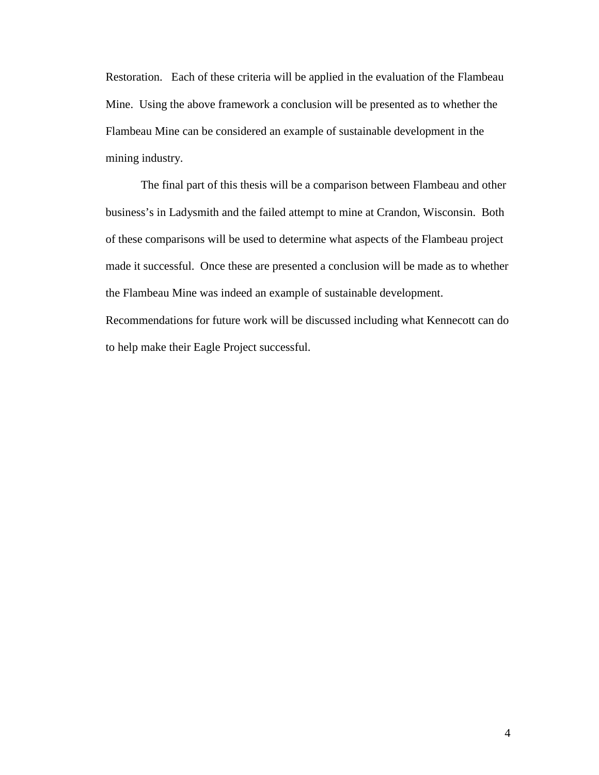Restoration. Each of these criteria will be applied in the evaluation of the Flambeau Mine. Using the above framework a conclusion will be presented as to whether the Flambeau Mine can be considered an example of sustainable development in the mining industry.

 The final part of this thesis will be a comparison between Flambeau and other business's in Ladysmith and the failed attempt to mine at Crandon, Wisconsin. Both of these comparisons will be used to determine what aspects of the Flambeau project made it successful. Once these are presented a conclusion will be made as to whether the Flambeau Mine was indeed an example of sustainable development. Recommendations for future work will be discussed including what Kennecott can do

to help make their Eagle Project successful.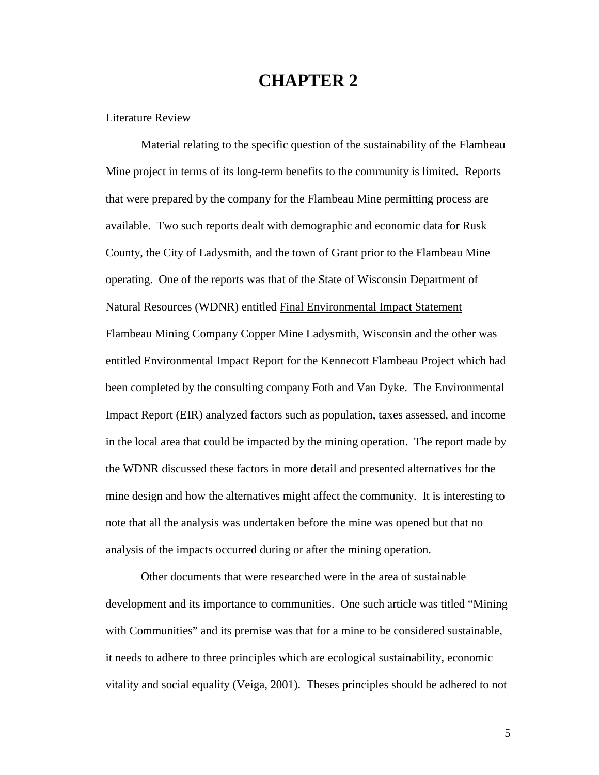## **CHAPTER 2**

## Literature Review

Material relating to the specific question of the sustainability of the Flambeau Mine project in terms of its long-term benefits to the community is limited. Reports that were prepared by the company for the Flambeau Mine permitting process are available. Two such reports dealt with demographic and economic data for Rusk County, the City of Ladysmith, and the town of Grant prior to the Flambeau Mine operating. One of the reports was that of the State of Wisconsin Department of Natural Resources (WDNR) entitled Final Environmental Impact Statement Flambeau Mining Company Copper Mine Ladysmith, Wisconsin and the other was entitled Environmental Impact Report for the Kennecott Flambeau Project which had been completed by the consulting company Foth and Van Dyke. The Environmental Impact Report (EIR) analyzed factors such as population, taxes assessed, and income in the local area that could be impacted by the mining operation. The report made by the WDNR discussed these factors in more detail and presented alternatives for the mine design and how the alternatives might affect the community. It is interesting to note that all the analysis was undertaken before the mine was opened but that no analysis of the impacts occurred during or after the mining operation.

 Other documents that were researched were in the area of sustainable development and its importance to communities. One such article was titled "Mining with Communities" and its premise was that for a mine to be considered sustainable, it needs to adhere to three principles which are ecological sustainability, economic vitality and social equality (Veiga, 2001). Theses principles should be adhered to not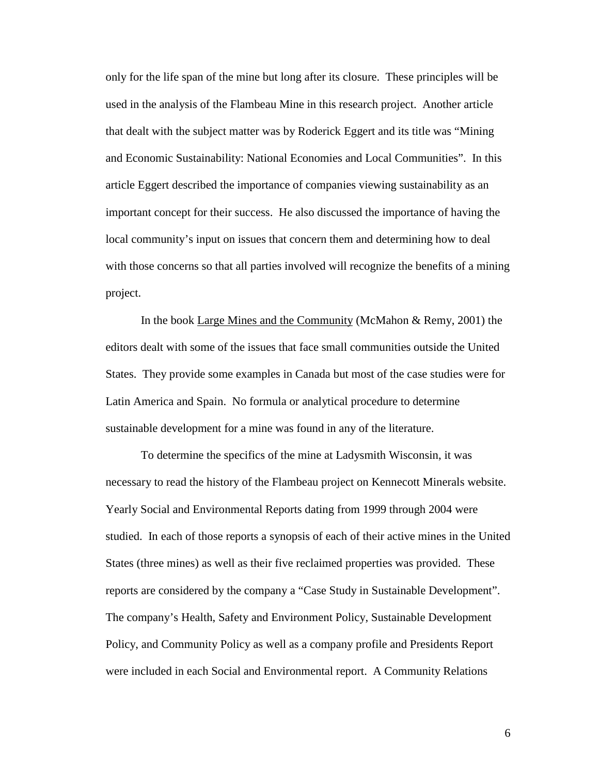only for the life span of the mine but long after its closure. These principles will be used in the analysis of the Flambeau Mine in this research project. Another article that dealt with the subject matter was by Roderick Eggert and its title was "Mining and Economic Sustainability: National Economies and Local Communities". In this article Eggert described the importance of companies viewing sustainability as an important concept for their success. He also discussed the importance of having the local community's input on issues that concern them and determining how to deal with those concerns so that all parties involved will recognize the benefits of a mining project.

In the book Large Mines and the Community (McMahon & Remy, 2001) the editors dealt with some of the issues that face small communities outside the United States. They provide some examples in Canada but most of the case studies were for Latin America and Spain. No formula or analytical procedure to determine sustainable development for a mine was found in any of the literature.

To determine the specifics of the mine at Ladysmith Wisconsin, it was necessary to read the history of the Flambeau project on Kennecott Minerals website. Yearly Social and Environmental Reports dating from 1999 through 2004 were studied. In each of those reports a synopsis of each of their active mines in the United States (three mines) as well as their five reclaimed properties was provided. These reports are considered by the company a "Case Study in Sustainable Development". The company's Health, Safety and Environment Policy, Sustainable Development Policy, and Community Policy as well as a company profile and Presidents Report were included in each Social and Environmental report. A Community Relations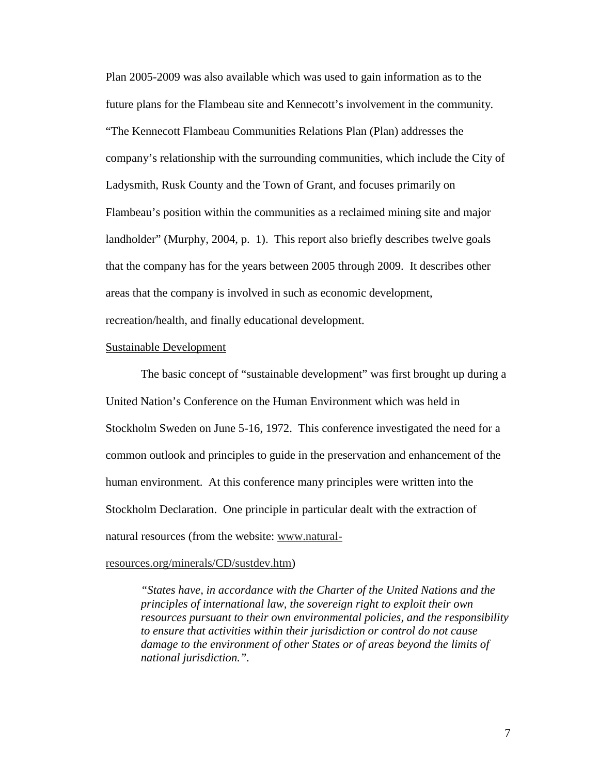Plan 2005-2009 was also available which was used to gain information as to the future plans for the Flambeau site and Kennecott's involvement in the community. "The Kennecott Flambeau Communities Relations Plan (Plan) addresses the company's relationship with the surrounding communities, which include the City of Ladysmith, Rusk County and the Town of Grant, and focuses primarily on Flambeau's position within the communities as a reclaimed mining site and major landholder" (Murphy, 2004, p. 1). This report also briefly describes twelve goals that the company has for the years between 2005 through 2009. It describes other areas that the company is involved in such as economic development, recreation/health, and finally educational development.

#### Sustainable Development

The basic concept of "sustainable development" was first brought up during a United Nation's Conference on the Human Environment which was held in Stockholm Sweden on June 5-16, 1972. This conference investigated the need for a common outlook and principles to guide in the preservation and enhancement of the human environment. At this conference many principles were written into the Stockholm Declaration. One principle in particular dealt with the extraction of natural resources (from the website: www.natural-

#### resources.org/minerals/CD/sustdev.htm)

*"States have, in accordance with the Charter of the United Nations and the principles of international law, the sovereign right to exploit their own resources pursuant to their own environmental policies, and the responsibility to ensure that activities within their jurisdiction or control do not cause damage to the environment of other States or of areas beyond the limits of national jurisdiction.".*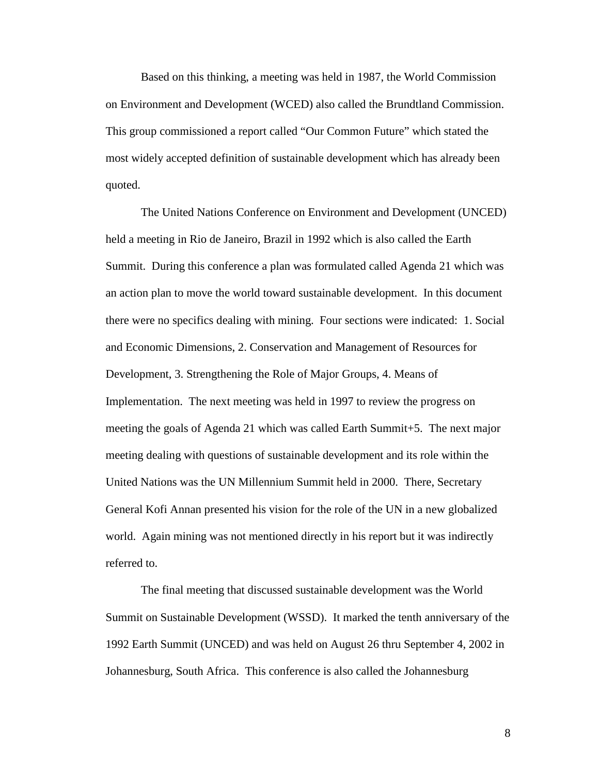Based on this thinking, a meeting was held in 1987, the World Commission on Environment and Development (WCED) also called the Brundtland Commission. This group commissioned a report called "Our Common Future" which stated the most widely accepted definition of sustainable development which has already been quoted.

 The United Nations Conference on Environment and Development (UNCED) held a meeting in Rio de Janeiro, Brazil in 1992 which is also called the Earth Summit. During this conference a plan was formulated called Agenda 21 which was an action plan to move the world toward sustainable development. In this document there were no specifics dealing with mining. Four sections were indicated: 1. Social and Economic Dimensions, 2. Conservation and Management of Resources for Development, 3. Strengthening the Role of Major Groups, 4. Means of Implementation. The next meeting was held in 1997 to review the progress on meeting the goals of Agenda 21 which was called Earth Summit+5. The next major meeting dealing with questions of sustainable development and its role within the United Nations was the UN Millennium Summit held in 2000. There, Secretary General Kofi Annan presented his vision for the role of the UN in a new globalized world. Again mining was not mentioned directly in his report but it was indirectly referred to.

 The final meeting that discussed sustainable development was the World Summit on Sustainable Development (WSSD). It marked the tenth anniversary of the 1992 Earth Summit (UNCED) and was held on August 26 thru September 4, 2002 in Johannesburg, South Africa. This conference is also called the Johannesburg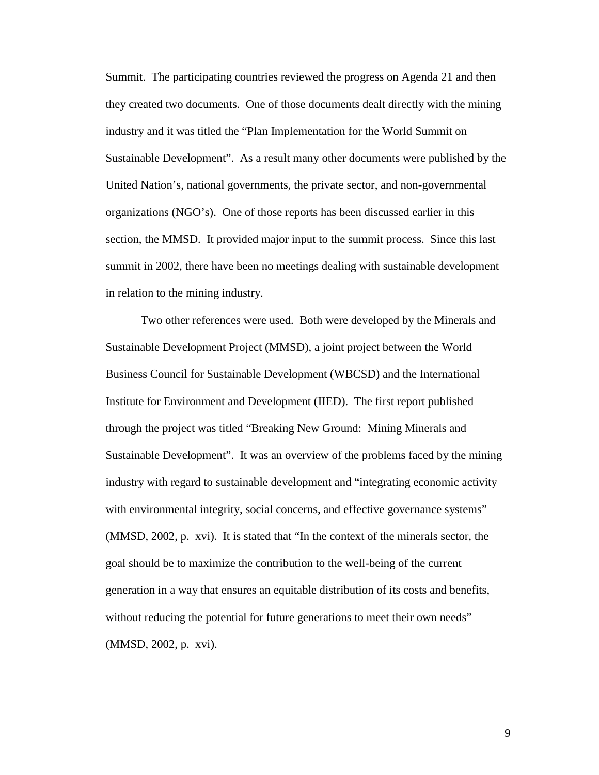Summit. The participating countries reviewed the progress on Agenda 21 and then they created two documents. One of those documents dealt directly with the mining industry and it was titled the "Plan Implementation for the World Summit on Sustainable Development". As a result many other documents were published by the United Nation's, national governments, the private sector, and non-governmental organizations (NGO's). One of those reports has been discussed earlier in this section, the MMSD. It provided major input to the summit process. Since this last summit in 2002, there have been no meetings dealing with sustainable development in relation to the mining industry.

Two other references were used. Both were developed by the Minerals and Sustainable Development Project (MMSD), a joint project between the World Business Council for Sustainable Development (WBCSD) and the International Institute for Environment and Development (IIED). The first report published through the project was titled "Breaking New Ground: Mining Minerals and Sustainable Development". It was an overview of the problems faced by the mining industry with regard to sustainable development and "integrating economic activity with environmental integrity, social concerns, and effective governance systems" (MMSD, 2002, p. xvi). It is stated that "In the context of the minerals sector, the goal should be to maximize the contribution to the well-being of the current generation in a way that ensures an equitable distribution of its costs and benefits, without reducing the potential for future generations to meet their own needs" (MMSD, 2002, p. xvi).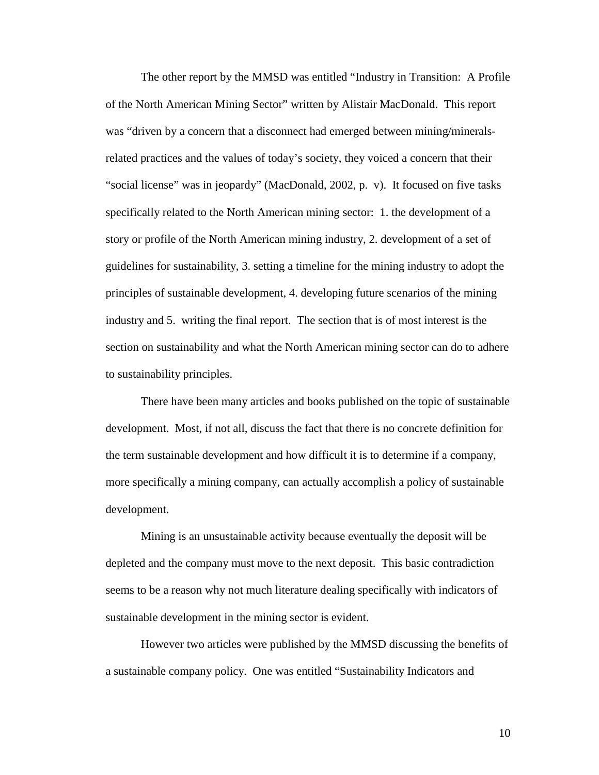The other report by the MMSD was entitled "Industry in Transition: A Profile of the North American Mining Sector" written by Alistair MacDonald. This report was "driven by a concern that a disconnect had emerged between mining/mineralsrelated practices and the values of today's society, they voiced a concern that their "social license" was in jeopardy" (MacDonald, 2002, p. v). It focused on five tasks specifically related to the North American mining sector: 1. the development of a story or profile of the North American mining industry, 2. development of a set of guidelines for sustainability, 3. setting a timeline for the mining industry to adopt the principles of sustainable development, 4. developing future scenarios of the mining industry and 5. writing the final report. The section that is of most interest is the section on sustainability and what the North American mining sector can do to adhere to sustainability principles.

 There have been many articles and books published on the topic of sustainable development. Most, if not all, discuss the fact that there is no concrete definition for the term sustainable development and how difficult it is to determine if a company, more specifically a mining company, can actually accomplish a policy of sustainable development.

 Mining is an unsustainable activity because eventually the deposit will be depleted and the company must move to the next deposit. This basic contradiction seems to be a reason why not much literature dealing specifically with indicators of sustainable development in the mining sector is evident.

 However two articles were published by the MMSD discussing the benefits of a sustainable company policy. One was entitled "Sustainability Indicators and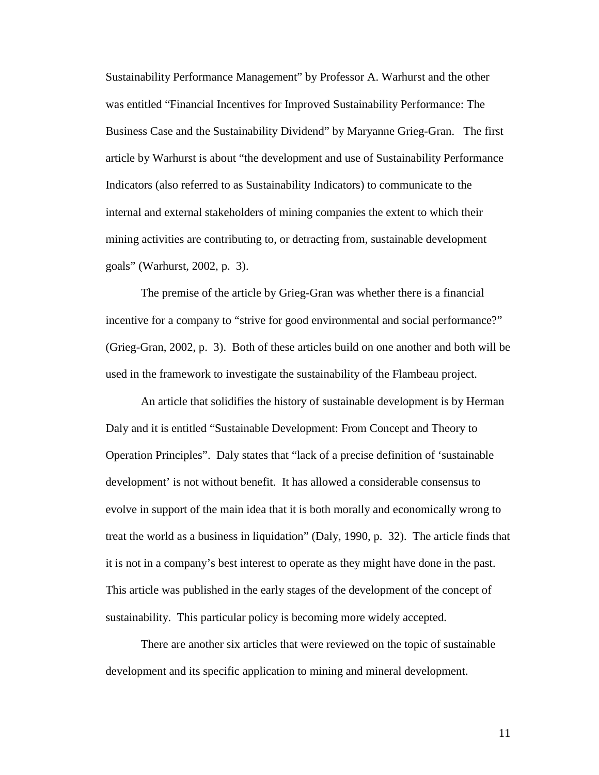Sustainability Performance Management" by Professor A. Warhurst and the other was entitled "Financial Incentives for Improved Sustainability Performance: The Business Case and the Sustainability Dividend" by Maryanne Grieg-Gran. The first article by Warhurst is about "the development and use of Sustainability Performance Indicators (also referred to as Sustainability Indicators) to communicate to the internal and external stakeholders of mining companies the extent to which their mining activities are contributing to, or detracting from, sustainable development goals" (Warhurst, 2002, p. 3).

 The premise of the article by Grieg-Gran was whether there is a financial incentive for a company to "strive for good environmental and social performance?" (Grieg-Gran, 2002, p. 3). Both of these articles build on one another and both will be used in the framework to investigate the sustainability of the Flambeau project.

 An article that solidifies the history of sustainable development is by Herman Daly and it is entitled "Sustainable Development: From Concept and Theory to Operation Principles". Daly states that "lack of a precise definition of 'sustainable development' is not without benefit. It has allowed a considerable consensus to evolve in support of the main idea that it is both morally and economically wrong to treat the world as a business in liquidation" (Daly, 1990, p. 32). The article finds that it is not in a company's best interest to operate as they might have done in the past. This article was published in the early stages of the development of the concept of sustainability. This particular policy is becoming more widely accepted.

 There are another six articles that were reviewed on the topic of sustainable development and its specific application to mining and mineral development.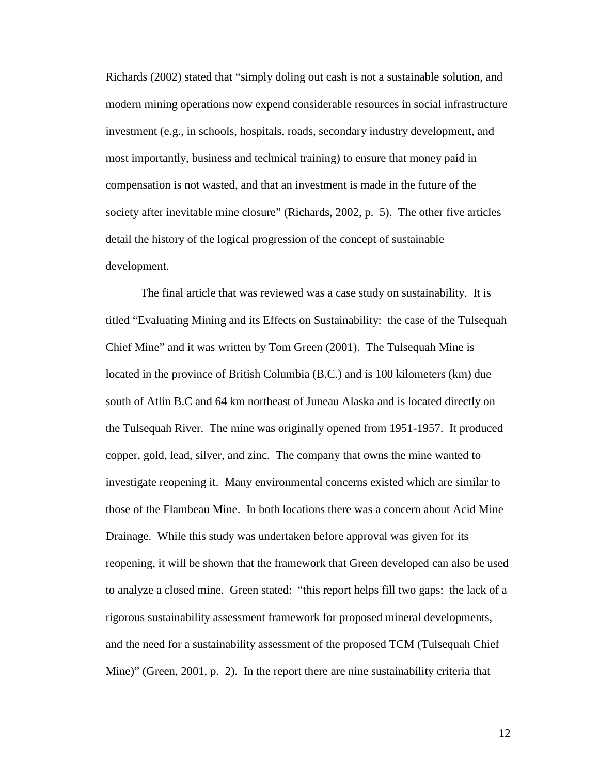Richards (2002) stated that "simply doling out cash is not a sustainable solution, and modern mining operations now expend considerable resources in social infrastructure investment (e.g., in schools, hospitals, roads, secondary industry development, and most importantly, business and technical training) to ensure that money paid in compensation is not wasted, and that an investment is made in the future of the society after inevitable mine closure" (Richards, 2002, p. 5). The other five articles detail the history of the logical progression of the concept of sustainable development.

 The final article that was reviewed was a case study on sustainability. It is titled "Evaluating Mining and its Effects on Sustainability: the case of the Tulsequah Chief Mine" and it was written by Tom Green (2001). The Tulsequah Mine is located in the province of British Columbia (B.C.) and is 100 kilometers (km) due south of Atlin B.C and 64 km northeast of Juneau Alaska and is located directly on the Tulsequah River. The mine was originally opened from 1951-1957. It produced copper, gold, lead, silver, and zinc. The company that owns the mine wanted to investigate reopening it. Many environmental concerns existed which are similar to those of the Flambeau Mine. In both locations there was a concern about Acid Mine Drainage. While this study was undertaken before approval was given for its reopening, it will be shown that the framework that Green developed can also be used to analyze a closed mine. Green stated: "this report helps fill two gaps: the lack of a rigorous sustainability assessment framework for proposed mineral developments, and the need for a sustainability assessment of the proposed TCM (Tulsequah Chief Mine)" (Green, 2001, p. 2). In the report there are nine sustainability criteria that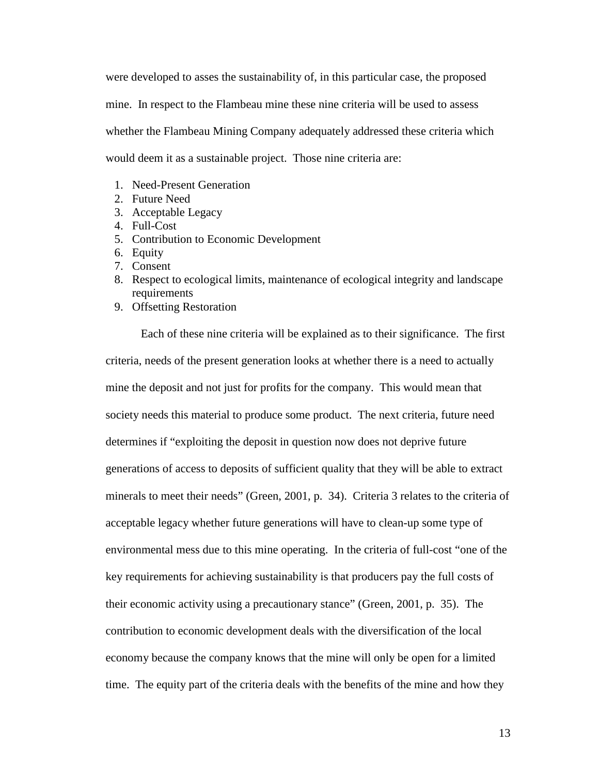were developed to asses the sustainability of, in this particular case, the proposed mine. In respect to the Flambeau mine these nine criteria will be used to assess whether the Flambeau Mining Company adequately addressed these criteria which would deem it as a sustainable project. Those nine criteria are:

- 1. Need-Present Generation
- 2. Future Need
- 3. Acceptable Legacy
- 4. Full-Cost
- 5. Contribution to Economic Development
- 6. Equity
- 7. Consent
- 8. Respect to ecological limits, maintenance of ecological integrity and landscape requirements
- 9. Offsetting Restoration

 Each of these nine criteria will be explained as to their significance. The first criteria, needs of the present generation looks at whether there is a need to actually mine the deposit and not just for profits for the company. This would mean that society needs this material to produce some product. The next criteria, future need determines if "exploiting the deposit in question now does not deprive future generations of access to deposits of sufficient quality that they will be able to extract minerals to meet their needs" (Green, 2001, p. 34). Criteria 3 relates to the criteria of acceptable legacy whether future generations will have to clean-up some type of environmental mess due to this mine operating. In the criteria of full-cost "one of the key requirements for achieving sustainability is that producers pay the full costs of their economic activity using a precautionary stance" (Green, 2001, p. 35). The contribution to economic development deals with the diversification of the local economy because the company knows that the mine will only be open for a limited time. The equity part of the criteria deals with the benefits of the mine and how they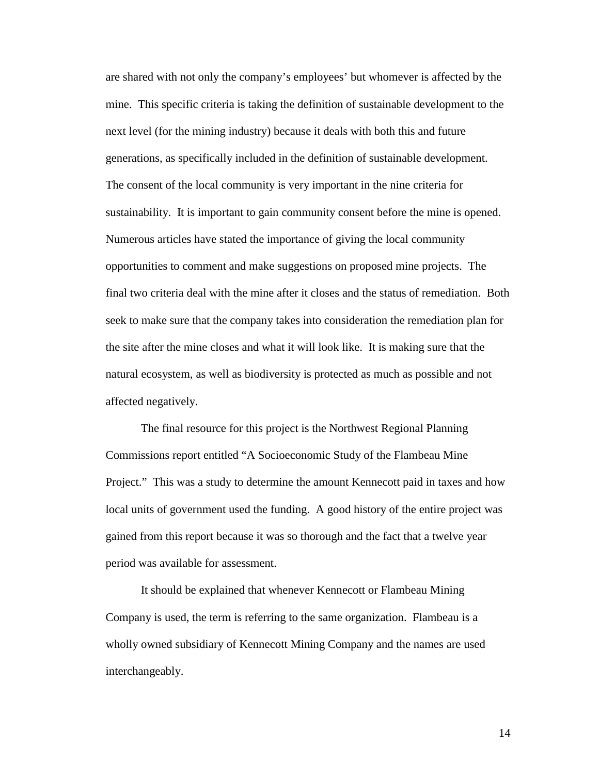are shared with not only the company's employees' but whomever is affected by the mine. This specific criteria is taking the definition of sustainable development to the next level (for the mining industry) because it deals with both this and future generations, as specifically included in the definition of sustainable development. The consent of the local community is very important in the nine criteria for sustainability. It is important to gain community consent before the mine is opened. Numerous articles have stated the importance of giving the local community opportunities to comment and make suggestions on proposed mine projects. The final two criteria deal with the mine after it closes and the status of remediation. Both seek to make sure that the company takes into consideration the remediation plan for the site after the mine closes and what it will look like. It is making sure that the natural ecosystem, as well as biodiversity is protected as much as possible and not affected negatively.

 The final resource for this project is the Northwest Regional Planning Commissions report entitled "A Socioeconomic Study of the Flambeau Mine Project." This was a study to determine the amount Kennecott paid in taxes and how local units of government used the funding. A good history of the entire project was gained from this report because it was so thorough and the fact that a twelve year period was available for assessment.

 It should be explained that whenever Kennecott or Flambeau Mining Company is used, the term is referring to the same organization. Flambeau is a wholly owned subsidiary of Kennecott Mining Company and the names are used interchangeably.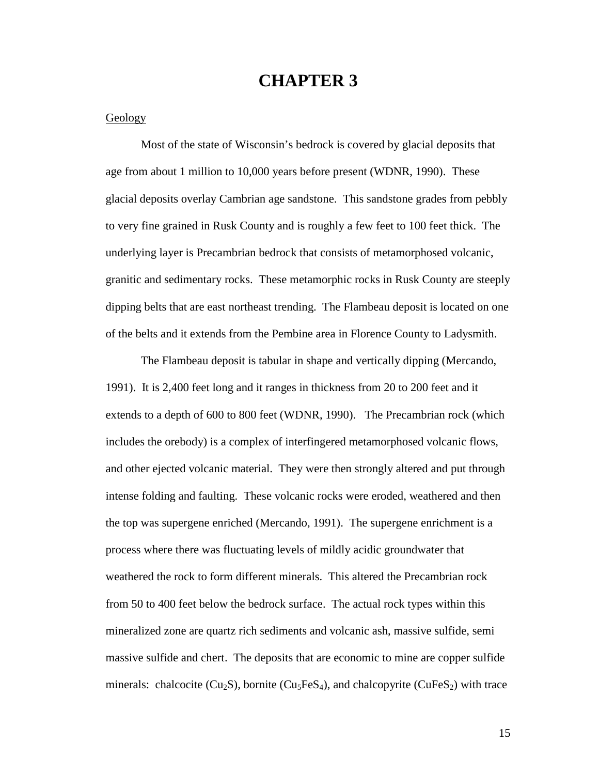## **CHAPTER 3**

## **Geology**

 Most of the state of Wisconsin's bedrock is covered by glacial deposits that age from about 1 million to 10,000 years before present (WDNR, 1990). These glacial deposits overlay Cambrian age sandstone. This sandstone grades from pebbly to very fine grained in Rusk County and is roughly a few feet to 100 feet thick. The underlying layer is Precambrian bedrock that consists of metamorphosed volcanic, granitic and sedimentary rocks. These metamorphic rocks in Rusk County are steeply dipping belts that are east northeast trending. The Flambeau deposit is located on one of the belts and it extends from the Pembine area in Florence County to Ladysmith.

 The Flambeau deposit is tabular in shape and vertically dipping (Mercando, 1991). It is 2,400 feet long and it ranges in thickness from 20 to 200 feet and it extends to a depth of 600 to 800 feet (WDNR, 1990). The Precambrian rock (which includes the orebody) is a complex of interfingered metamorphosed volcanic flows, and other ejected volcanic material. They were then strongly altered and put through intense folding and faulting. These volcanic rocks were eroded, weathered and then the top was supergene enriched (Mercando, 1991). The supergene enrichment is a process where there was fluctuating levels of mildly acidic groundwater that weathered the rock to form different minerals. This altered the Precambrian rock from 50 to 400 feet below the bedrock surface. The actual rock types within this mineralized zone are quartz rich sediments and volcanic ash, massive sulfide, semi massive sulfide and chert. The deposits that are economic to mine are copper sulfide minerals: chalcocite ( $Cu<sub>2</sub>S$ ), bornite ( $Cu<sub>5</sub>FeS<sub>4</sub>$ ), and chalcopyrite ( $CuFeS<sub>2</sub>$ ) with trace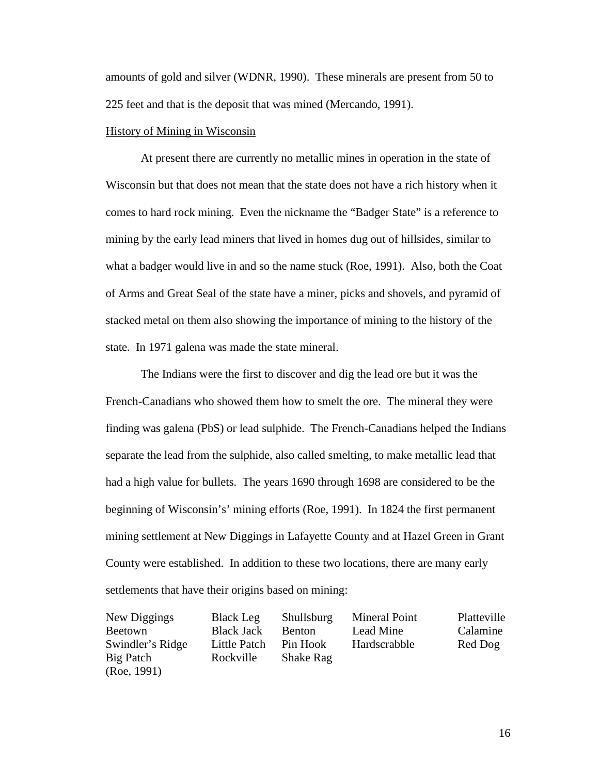amounts of gold and silver (WDNR, 1990). These minerals are present from 50 to 225 feet and that is the deposit that was mined (Mercando, 1991).

## History of Mining in Wisconsin

 At present there are currently no metallic mines in operation in the state of Wisconsin but that does not mean that the state does not have a rich history when it comes to hard rock mining. Even the nickname the "Badger State" is a reference to mining by the early lead miners that lived in homes dug out of hillsides, similar to what a badger would live in and so the name stuck (Roe, 1991). Also, both the Coat of Arms and Great Seal of the state have a miner, picks and shovels, and pyramid of stacked metal on them also showing the importance of mining to the history of the state. In 1971 galena was made the state mineral.

The Indians were the first to discover and dig the lead ore but it was the French-Canadians who showed them how to smelt the ore. The mineral they were finding was galena (PbS) or lead sulphide. The French-Canadians helped the Indians separate the lead from the sulphide, also called smelting, to make metallic lead that had a high value for bullets. The years 1690 through 1698 are considered to be the beginning of Wisconsin's' mining efforts (Roe, 1991). In 1824 the first permanent mining settlement at New Diggings in Lafayette County and at Hazel Green in Grant County were established. In addition to these two locations, there are many early settlements that have their origins based on mining:

| New Diggings     | <b>Black Leg</b>  | Shullsburg       | <b>Mineral Point</b> | Platteville |
|------------------|-------------------|------------------|----------------------|-------------|
| <b>Beetown</b>   | <b>Black Jack</b> | <b>Benton</b>    | Lead Mine            | Calamine    |
| Swindler's Ridge | Little Patch      | Pin Hook         | Hardscrabble         | Red Dog     |
| Big Patch        | Rockville         | <b>Shake Rag</b> |                      |             |
| (Re, 1991)       |                   |                  |                      |             |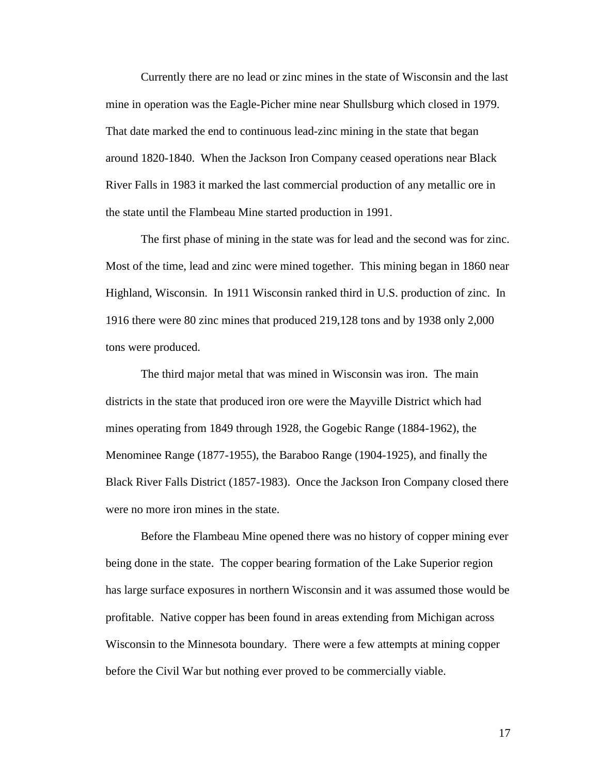Currently there are no lead or zinc mines in the state of Wisconsin and the last mine in operation was the Eagle-Picher mine near Shullsburg which closed in 1979. That date marked the end to continuous lead-zinc mining in the state that began around 1820-1840. When the Jackson Iron Company ceased operations near Black River Falls in 1983 it marked the last commercial production of any metallic ore in the state until the Flambeau Mine started production in 1991.

 The first phase of mining in the state was for lead and the second was for zinc. Most of the time, lead and zinc were mined together. This mining began in 1860 near Highland, Wisconsin. In 1911 Wisconsin ranked third in U.S. production of zinc. In 1916 there were 80 zinc mines that produced 219,128 tons and by 1938 only 2,000 tons were produced.

 The third major metal that was mined in Wisconsin was iron. The main districts in the state that produced iron ore were the Mayville District which had mines operating from 1849 through 1928, the Gogebic Range (1884-1962), the Menominee Range (1877-1955), the Baraboo Range (1904-1925), and finally the Black River Falls District (1857-1983). Once the Jackson Iron Company closed there were no more iron mines in the state.

 Before the Flambeau Mine opened there was no history of copper mining ever being done in the state. The copper bearing formation of the Lake Superior region has large surface exposures in northern Wisconsin and it was assumed those would be profitable. Native copper has been found in areas extending from Michigan across Wisconsin to the Minnesota boundary. There were a few attempts at mining copper before the Civil War but nothing ever proved to be commercially viable.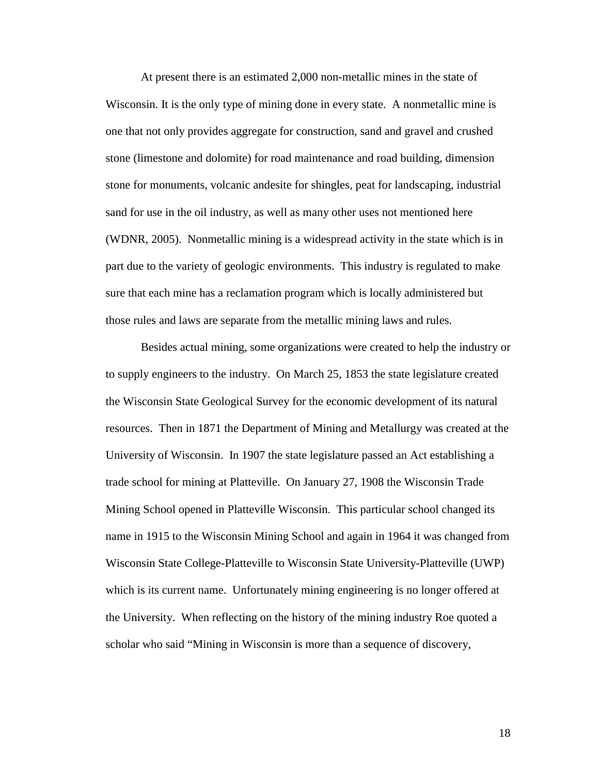At present there is an estimated 2,000 non-metallic mines in the state of Wisconsin. It is the only type of mining done in every state. A nonmetallic mine is one that not only provides aggregate for construction, sand and gravel and crushed stone (limestone and dolomite) for road maintenance and road building, dimension stone for monuments, volcanic andesite for shingles, peat for landscaping, industrial sand for use in the oil industry, as well as many other uses not mentioned here (WDNR, 2005). Nonmetallic mining is a widespread activity in the state which is in part due to the variety of geologic environments. This industry is regulated to make sure that each mine has a reclamation program which is locally administered but those rules and laws are separate from the metallic mining laws and rules.

 Besides actual mining, some organizations were created to help the industry or to supply engineers to the industry. On March 25, 1853 the state legislature created the Wisconsin State Geological Survey for the economic development of its natural resources. Then in 1871 the Department of Mining and Metallurgy was created at the University of Wisconsin. In 1907 the state legislature passed an Act establishing a trade school for mining at Platteville. On January 27, 1908 the Wisconsin Trade Mining School opened in Platteville Wisconsin. This particular school changed its name in 1915 to the Wisconsin Mining School and again in 1964 it was changed from Wisconsin State College-Platteville to Wisconsin State University-Platteville (UWP) which is its current name. Unfortunately mining engineering is no longer offered at the University. When reflecting on the history of the mining industry Roe quoted a scholar who said "Mining in Wisconsin is more than a sequence of discovery,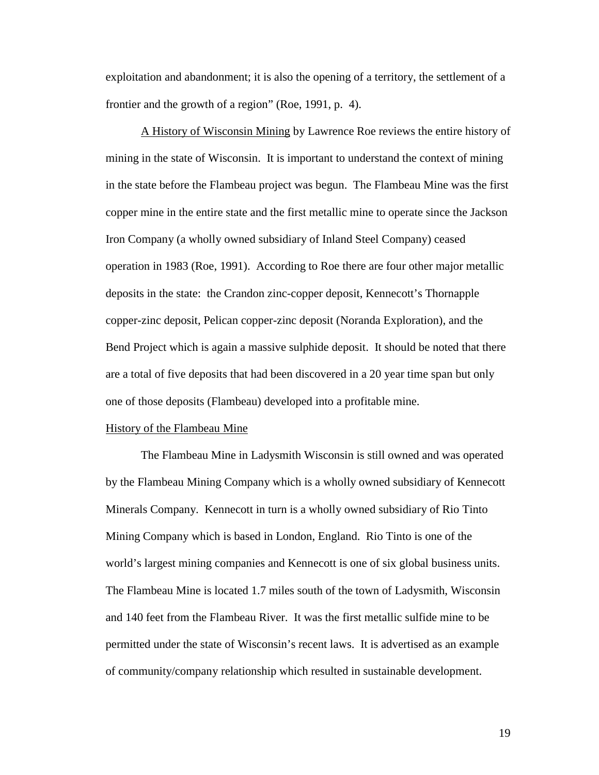exploitation and abandonment; it is also the opening of a territory, the settlement of a frontier and the growth of a region" (Roe, 1991, p. 4).

 A History of Wisconsin Mining by Lawrence Roe reviews the entire history of mining in the state of Wisconsin. It is important to understand the context of mining in the state before the Flambeau project was begun. The Flambeau Mine was the first copper mine in the entire state and the first metallic mine to operate since the Jackson Iron Company (a wholly owned subsidiary of Inland Steel Company) ceased operation in 1983 (Roe, 1991). According to Roe there are four other major metallic deposits in the state: the Crandon zinc-copper deposit, Kennecott's Thornapple copper-zinc deposit, Pelican copper-zinc deposit (Noranda Exploration), and the Bend Project which is again a massive sulphide deposit. It should be noted that there are a total of five deposits that had been discovered in a 20 year time span but only one of those deposits (Flambeau) developed into a profitable mine.

#### History of the Flambeau Mine

 The Flambeau Mine in Ladysmith Wisconsin is still owned and was operated by the Flambeau Mining Company which is a wholly owned subsidiary of Kennecott Minerals Company. Kennecott in turn is a wholly owned subsidiary of Rio Tinto Mining Company which is based in London, England. Rio Tinto is one of the world's largest mining companies and Kennecott is one of six global business units. The Flambeau Mine is located 1.7 miles south of the town of Ladysmith, Wisconsin and 140 feet from the Flambeau River. It was the first metallic sulfide mine to be permitted under the state of Wisconsin's recent laws. It is advertised as an example of community/company relationship which resulted in sustainable development.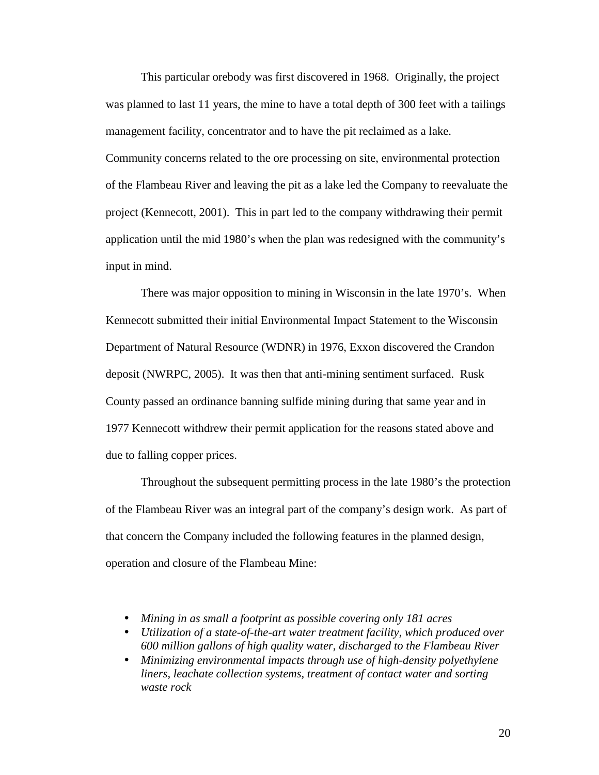This particular orebody was first discovered in 1968. Originally, the project was planned to last 11 years, the mine to have a total depth of 300 feet with a tailings management facility, concentrator and to have the pit reclaimed as a lake. Community concerns related to the ore processing on site, environmental protection of the Flambeau River and leaving the pit as a lake led the Company to reevaluate the project (Kennecott, 2001). This in part led to the company withdrawing their permit application until the mid 1980's when the plan was redesigned with the community's input in mind.

There was major opposition to mining in Wisconsin in the late 1970's. When Kennecott submitted their initial Environmental Impact Statement to the Wisconsin Department of Natural Resource (WDNR) in 1976, Exxon discovered the Crandon deposit (NWRPC, 2005). It was then that anti-mining sentiment surfaced. Rusk County passed an ordinance banning sulfide mining during that same year and in 1977 Kennecott withdrew their permit application for the reasons stated above and due to falling copper prices.

Throughout the subsequent permitting process in the late 1980's the protection of the Flambeau River was an integral part of the company's design work. As part of that concern the Company included the following features in the planned design, operation and closure of the Flambeau Mine:

- *Mining in as small a footprint as possible covering only 181 acres*
- *Utilization of a state-of-the-art water treatment facility, which produced over 600 million gallons of high quality water, discharged to the Flambeau River*
- *Minimizing environmental impacts through use of high-density polyethylene liners, leachate collection systems, treatment of contact water and sorting waste rock*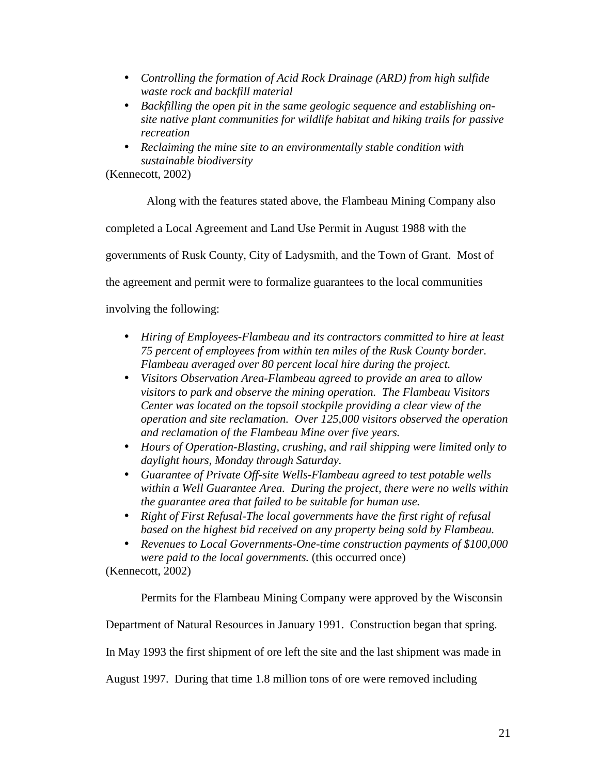- *Controlling the formation of Acid Rock Drainage (ARD) from high sulfide waste rock and backfill material*
- *Backfilling the open pit in the same geologic sequence and establishing onsite native plant communities for wildlife habitat and hiking trails for passive recreation*
- *Reclaiming the mine site to an environmentally stable condition with sustainable biodiversity*

(Kennecott, 2002)

Along with the features stated above, the Flambeau Mining Company also

completed a Local Agreement and Land Use Permit in August 1988 with the

governments of Rusk County, City of Ladysmith, and the Town of Grant. Most of

the agreement and permit were to formalize guarantees to the local communities

involving the following:

- *Hiring of Employees-Flambeau and its contractors committed to hire at least 75 percent of employees from within ten miles of the Rusk County border. Flambeau averaged over 80 percent local hire during the project.*
- *Visitors Observation Area-Flambeau agreed to provide an area to allow visitors to park and observe the mining operation. The Flambeau Visitors Center was located on the topsoil stockpile providing a clear view of the operation and site reclamation. Over 125,000 visitors observed the operation and reclamation of the Flambeau Mine over five years.*
- *Hours of Operation-Blasting, crushing, and rail shipping were limited only to daylight hours, Monday through Saturday.*
- *Guarantee of Private Off-site Wells-Flambeau agreed to test potable wells within a Well Guarantee Area. During the project, there were no wells within the guarantee area that failed to be suitable for human use.*
- *Right of First Refusal-The local governments have the first right of refusal based on the highest bid received on any property being sold by Flambeau.*
- *Revenues to Local Governments-One-time construction payments of \$100,000 were paid to the local governments.* (this occurred once)

(Kennecott, 2002)

Permits for the Flambeau Mining Company were approved by the Wisconsin

Department of Natural Resources in January 1991. Construction began that spring.

In May 1993 the first shipment of ore left the site and the last shipment was made in

August 1997. During that time 1.8 million tons of ore were removed including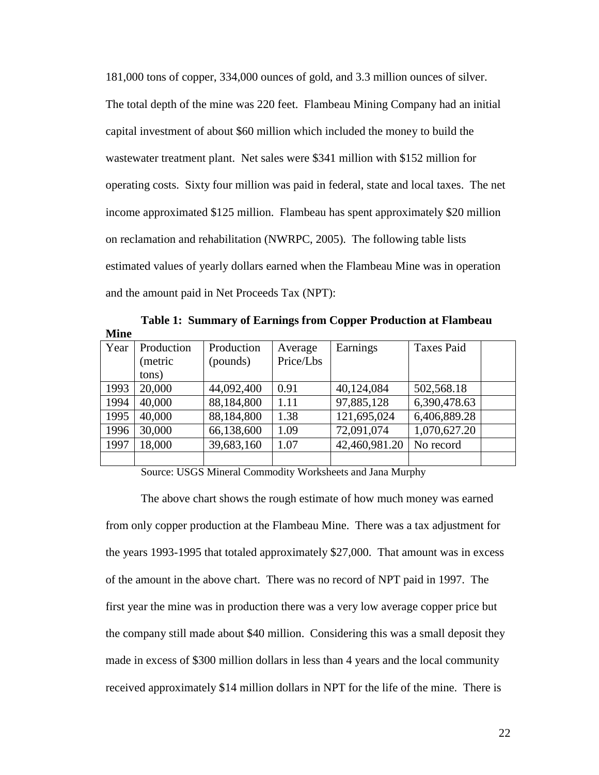181,000 tons of copper, 334,000 ounces of gold, and 3.3 million ounces of silver. The total depth of the mine was 220 feet. Flambeau Mining Company had an initial capital investment of about \$60 million which included the money to build the wastewater treatment plant. Net sales were \$341 million with \$152 million for operating costs. Sixty four million was paid in federal, state and local taxes. The net income approximated \$125 million. Flambeau has spent approximately \$20 million on reclamation and rehabilitation (NWRPC, 2005). The following table lists estimated values of yearly dollars earned when the Flambeau Mine was in operation and the amount paid in Net Proceeds Tax (NPT):

**Table 1: Summary of Earnings from Copper Production at Flambeau Mine** 

| Year | Production | Production | Average   | Earnings      | <b>Taxes Paid</b> |  |
|------|------------|------------|-----------|---------------|-------------------|--|
|      | (metric    | (pounds)   | Price/Lbs |               |                   |  |
|      | tons)      |            |           |               |                   |  |
| 1993 | 20,000     | 44,092,400 | 0.91      | 40,124,084    | 502,568.18        |  |
| 1994 | 40,000     | 88,184,800 | 1.11      | 97,885,128    | 6,390,478.63      |  |
| 1995 | 40,000     | 88,184,800 | 1.38      | 121,695,024   | 6,406,889.28      |  |
| 1996 | 30,000     | 66,138,600 | 1.09      | 72,091,074    | 1,070,627.20      |  |
| 1997 | 18,000     | 39,683,160 | 1.07      | 42,460,981.20 | No record         |  |
|      |            |            |           |               |                   |  |

Source: USGS Mineral Commodity Worksheets and Jana Murphy

The above chart shows the rough estimate of how much money was earned from only copper production at the Flambeau Mine. There was a tax adjustment for the years 1993-1995 that totaled approximately \$27,000. That amount was in excess of the amount in the above chart. There was no record of NPT paid in 1997. The first year the mine was in production there was a very low average copper price but the company still made about \$40 million. Considering this was a small deposit they made in excess of \$300 million dollars in less than 4 years and the local community received approximately \$14 million dollars in NPT for the life of the mine. There is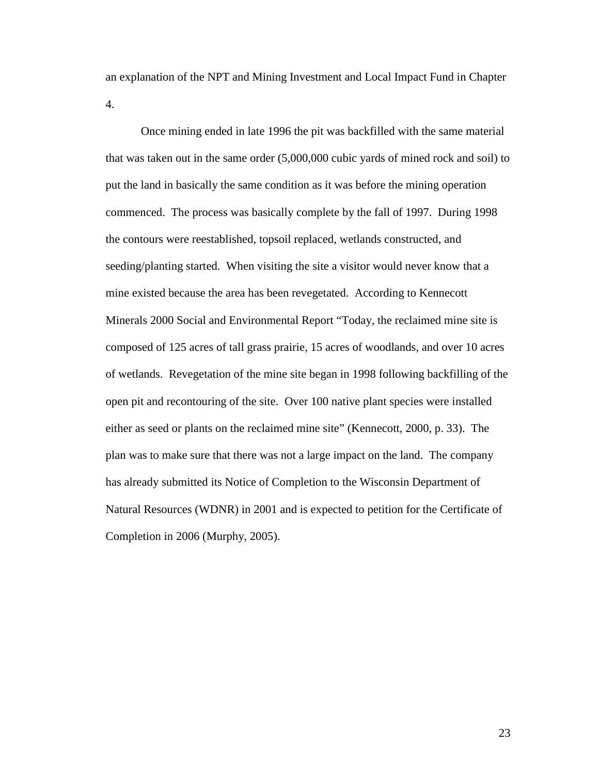an explanation of the NPT and Mining Investment and Local Impact Fund in Chapter 4.

Once mining ended in late 1996 the pit was backfilled with the same material that was taken out in the same order (5,000,000 cubic yards of mined rock and soil) to put the land in basically the same condition as it was before the mining operation commenced. The process was basically complete by the fall of 1997. During 1998 the contours were reestablished, topsoil replaced, wetlands constructed, and seeding/planting started. When visiting the site a visitor would never know that a mine existed because the area has been revegetated. According to Kennecott Minerals 2000 Social and Environmental Report "Today, the reclaimed mine site is composed of 125 acres of tall grass prairie, 15 acres of woodlands, and over 10 acres of wetlands. Revegetation of the mine site began in 1998 following backfilling of the open pit and recontouring of the site. Over 100 native plant species were installed either as seed or plants on the reclaimed mine site" (Kennecott, 2000, p. 33). The plan was to make sure that there was not a large impact on the land. The company has already submitted its Notice of Completion to the Wisconsin Department of Natural Resources (WDNR) in 2001 and is expected to petition for the Certificate of Completion in 2006 (Murphy, 2005).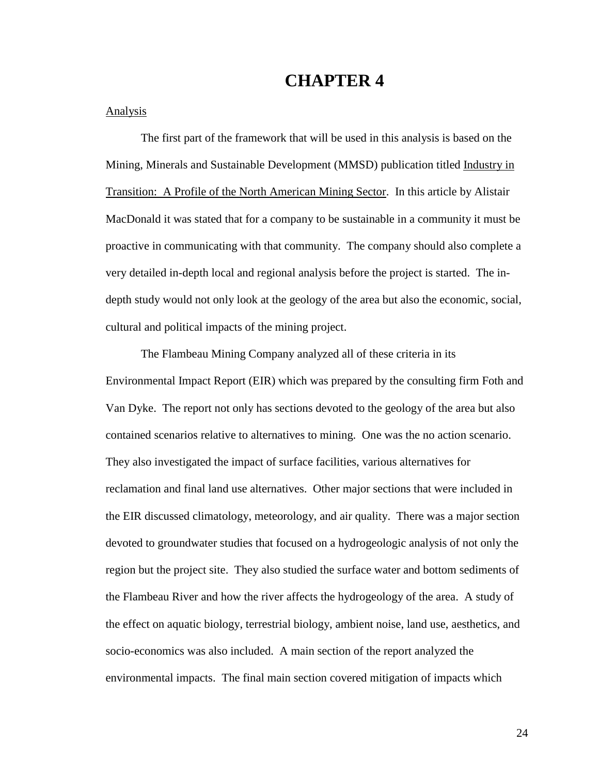## **CHAPTER 4**

### Analysis

 The first part of the framework that will be used in this analysis is based on the Mining, Minerals and Sustainable Development (MMSD) publication titled Industry in Transition: A Profile of the North American Mining Sector. In this article by Alistair MacDonald it was stated that for a company to be sustainable in a community it must be proactive in communicating with that community. The company should also complete a very detailed in-depth local and regional analysis before the project is started. The indepth study would not only look at the geology of the area but also the economic, social, cultural and political impacts of the mining project.

 The Flambeau Mining Company analyzed all of these criteria in its Environmental Impact Report (EIR) which was prepared by the consulting firm Foth and Van Dyke. The report not only has sections devoted to the geology of the area but also contained scenarios relative to alternatives to mining. One was the no action scenario. They also investigated the impact of surface facilities, various alternatives for reclamation and final land use alternatives. Other major sections that were included in the EIR discussed climatology, meteorology, and air quality. There was a major section devoted to groundwater studies that focused on a hydrogeologic analysis of not only the region but the project site. They also studied the surface water and bottom sediments of the Flambeau River and how the river affects the hydrogeology of the area. A study of the effect on aquatic biology, terrestrial biology, ambient noise, land use, aesthetics, and socio-economics was also included. A main section of the report analyzed the environmental impacts. The final main section covered mitigation of impacts which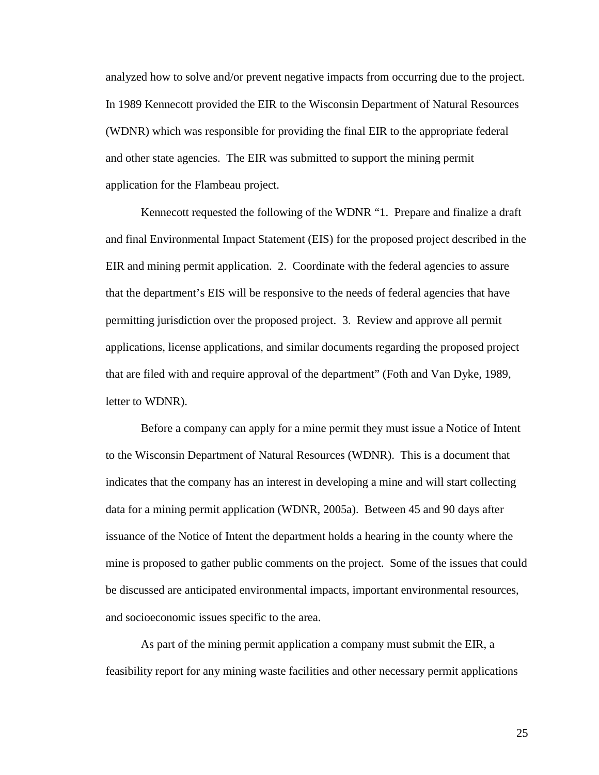analyzed how to solve and/or prevent negative impacts from occurring due to the project. In 1989 Kennecott provided the EIR to the Wisconsin Department of Natural Resources (WDNR) which was responsible for providing the final EIR to the appropriate federal and other state agencies. The EIR was submitted to support the mining permit application for the Flambeau project.

 Kennecott requested the following of the WDNR "1. Prepare and finalize a draft and final Environmental Impact Statement (EIS) for the proposed project described in the EIR and mining permit application. 2. Coordinate with the federal agencies to assure that the department's EIS will be responsive to the needs of federal agencies that have permitting jurisdiction over the proposed project. 3. Review and approve all permit applications, license applications, and similar documents regarding the proposed project that are filed with and require approval of the department" (Foth and Van Dyke, 1989, letter to WDNR).

 Before a company can apply for a mine permit they must issue a Notice of Intent to the Wisconsin Department of Natural Resources (WDNR). This is a document that indicates that the company has an interest in developing a mine and will start collecting data for a mining permit application (WDNR, 2005a). Between 45 and 90 days after issuance of the Notice of Intent the department holds a hearing in the county where the mine is proposed to gather public comments on the project. Some of the issues that could be discussed are anticipated environmental impacts, important environmental resources, and socioeconomic issues specific to the area.

 As part of the mining permit application a company must submit the EIR, a feasibility report for any mining waste facilities and other necessary permit applications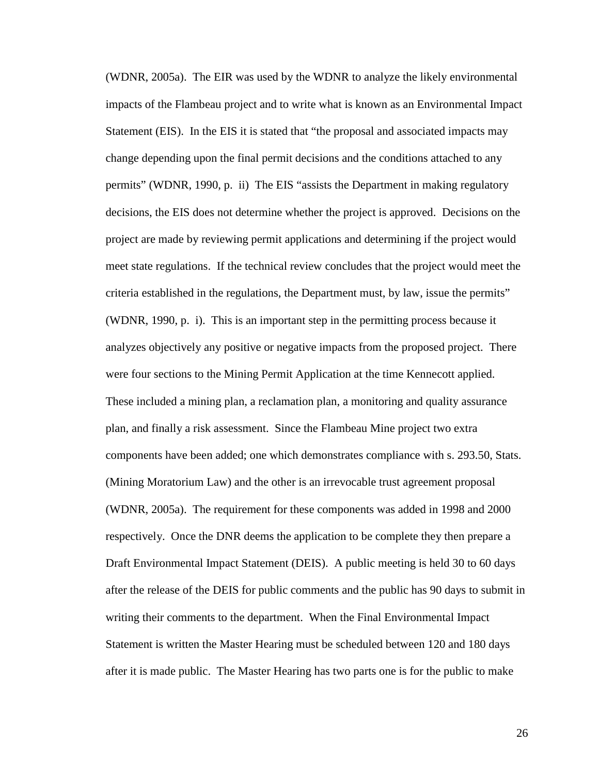(WDNR, 2005a). The EIR was used by the WDNR to analyze the likely environmental impacts of the Flambeau project and to write what is known as an Environmental Impact Statement (EIS). In the EIS it is stated that "the proposal and associated impacts may change depending upon the final permit decisions and the conditions attached to any permits" (WDNR, 1990, p. ii) The EIS "assists the Department in making regulatory decisions, the EIS does not determine whether the project is approved. Decisions on the project are made by reviewing permit applications and determining if the project would meet state regulations. If the technical review concludes that the project would meet the criteria established in the regulations, the Department must, by law, issue the permits" (WDNR, 1990, p. i). This is an important step in the permitting process because it analyzes objectively any positive or negative impacts from the proposed project. There were four sections to the Mining Permit Application at the time Kennecott applied. These included a mining plan, a reclamation plan, a monitoring and quality assurance plan, and finally a risk assessment. Since the Flambeau Mine project two extra components have been added; one which demonstrates compliance with s. 293.50, Stats. (Mining Moratorium Law) and the other is an irrevocable trust agreement proposal (WDNR, 2005a). The requirement for these components was added in 1998 and 2000 respectively. Once the DNR deems the application to be complete they then prepare a Draft Environmental Impact Statement (DEIS). A public meeting is held 30 to 60 days after the release of the DEIS for public comments and the public has 90 days to submit in writing their comments to the department. When the Final Environmental Impact Statement is written the Master Hearing must be scheduled between 120 and 180 days after it is made public. The Master Hearing has two parts one is for the public to make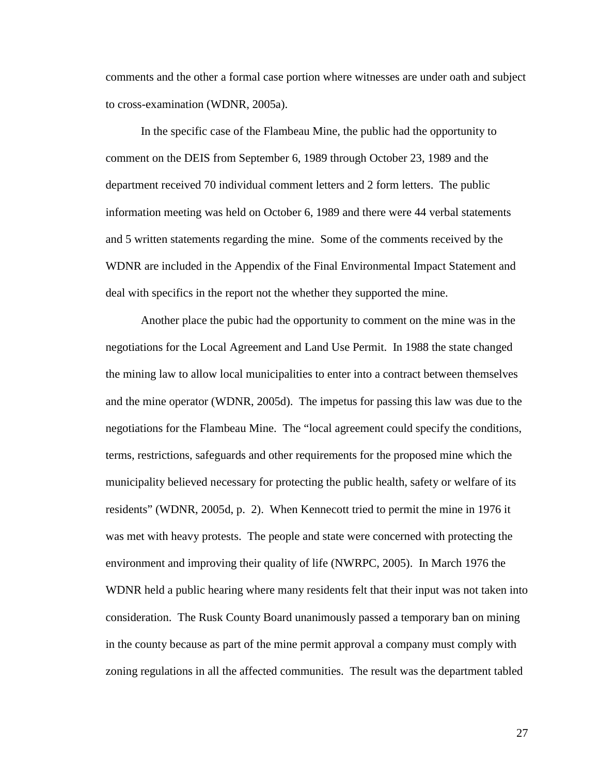comments and the other a formal case portion where witnesses are under oath and subject to cross-examination (WDNR, 2005a).

 In the specific case of the Flambeau Mine, the public had the opportunity to comment on the DEIS from September 6, 1989 through October 23, 1989 and the department received 70 individual comment letters and 2 form letters. The public information meeting was held on October 6, 1989 and there were 44 verbal statements and 5 written statements regarding the mine. Some of the comments received by the WDNR are included in the Appendix of the Final Environmental Impact Statement and deal with specifics in the report not the whether they supported the mine.

 Another place the pubic had the opportunity to comment on the mine was in the negotiations for the Local Agreement and Land Use Permit. In 1988 the state changed the mining law to allow local municipalities to enter into a contract between themselves and the mine operator (WDNR, 2005d). The impetus for passing this law was due to the negotiations for the Flambeau Mine. The "local agreement could specify the conditions, terms, restrictions, safeguards and other requirements for the proposed mine which the municipality believed necessary for protecting the public health, safety or welfare of its residents" (WDNR, 2005d, p. 2). When Kennecott tried to permit the mine in 1976 it was met with heavy protests. The people and state were concerned with protecting the environment and improving their quality of life (NWRPC, 2005). In March 1976 the WDNR held a public hearing where many residents felt that their input was not taken into consideration. The Rusk County Board unanimously passed a temporary ban on mining in the county because as part of the mine permit approval a company must comply with zoning regulations in all the affected communities. The result was the department tabled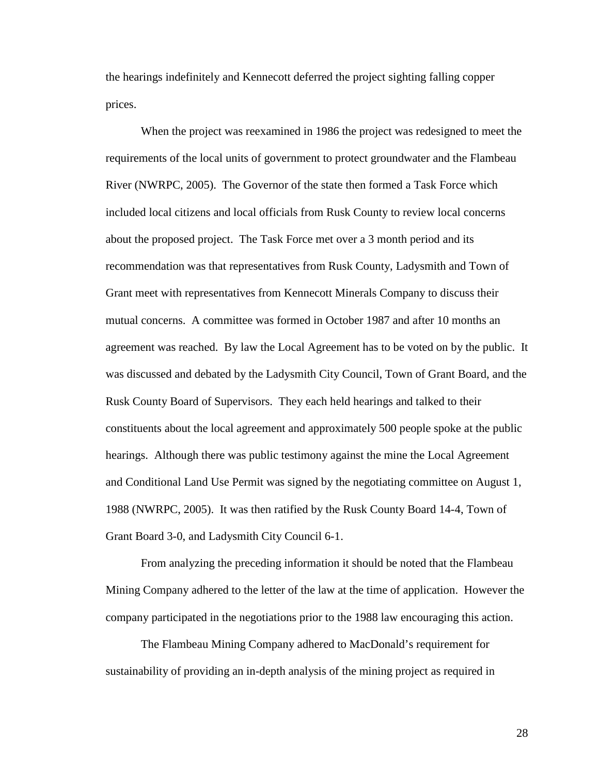the hearings indefinitely and Kennecott deferred the project sighting falling copper prices.

 When the project was reexamined in 1986 the project was redesigned to meet the requirements of the local units of government to protect groundwater and the Flambeau River (NWRPC, 2005). The Governor of the state then formed a Task Force which included local citizens and local officials from Rusk County to review local concerns about the proposed project. The Task Force met over a 3 month period and its recommendation was that representatives from Rusk County, Ladysmith and Town of Grant meet with representatives from Kennecott Minerals Company to discuss their mutual concerns. A committee was formed in October 1987 and after 10 months an agreement was reached. By law the Local Agreement has to be voted on by the public. It was discussed and debated by the Ladysmith City Council, Town of Grant Board, and the Rusk County Board of Supervisors. They each held hearings and talked to their constituents about the local agreement and approximately 500 people spoke at the public hearings. Although there was public testimony against the mine the Local Agreement and Conditional Land Use Permit was signed by the negotiating committee on August 1, 1988 (NWRPC, 2005). It was then ratified by the Rusk County Board 14-4, Town of Grant Board 3-0, and Ladysmith City Council 6-1.

 From analyzing the preceding information it should be noted that the Flambeau Mining Company adhered to the letter of the law at the time of application. However the company participated in the negotiations prior to the 1988 law encouraging this action.

The Flambeau Mining Company adhered to MacDonald's requirement for sustainability of providing an in-depth analysis of the mining project as required in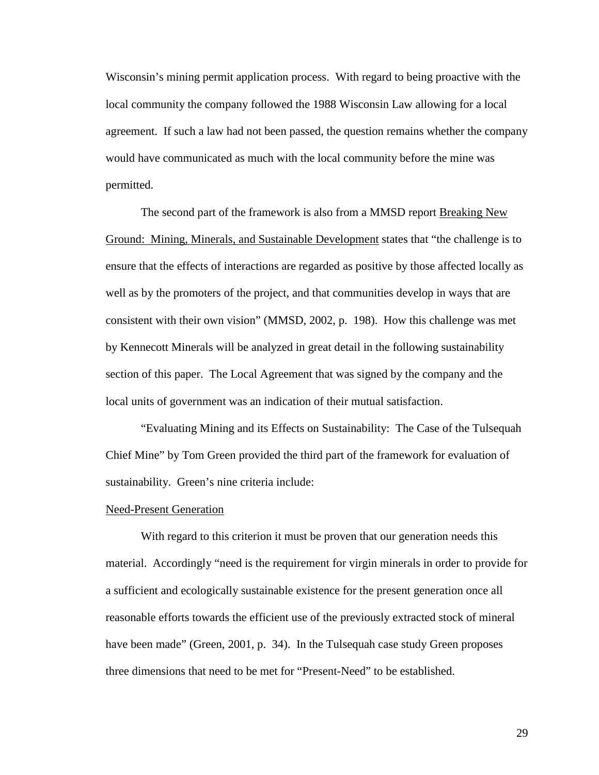Wisconsin's mining permit application process. With regard to being proactive with the local community the company followed the 1988 Wisconsin Law allowing for a local agreement. If such a law had not been passed, the question remains whether the company would have communicated as much with the local community before the mine was permitted.

 The second part of the framework is also from a MMSD report Breaking New Ground: Mining, Minerals, and Sustainable Development states that "the challenge is to ensure that the effects of interactions are regarded as positive by those affected locally as well as by the promoters of the project, and that communities develop in ways that are consistent with their own vision" (MMSD, 2002, p. 198). How this challenge was met by Kennecott Minerals will be analyzed in great detail in the following sustainability section of this paper. The Local Agreement that was signed by the company and the local units of government was an indication of their mutual satisfaction.

"Evaluating Mining and its Effects on Sustainability: The Case of the Tulsequah Chief Mine" by Tom Green provided the third part of the framework for evaluation of sustainability. Green's nine criteria include:

#### Need-Present Generation

 With regard to this criterion it must be proven that our generation needs this material. Accordingly "need is the requirement for virgin minerals in order to provide for a sufficient and ecologically sustainable existence for the present generation once all reasonable efforts towards the efficient use of the previously extracted stock of mineral have been made" (Green, 2001, p. 34). In the Tulsequah case study Green proposes three dimensions that need to be met for "Present-Need" to be established.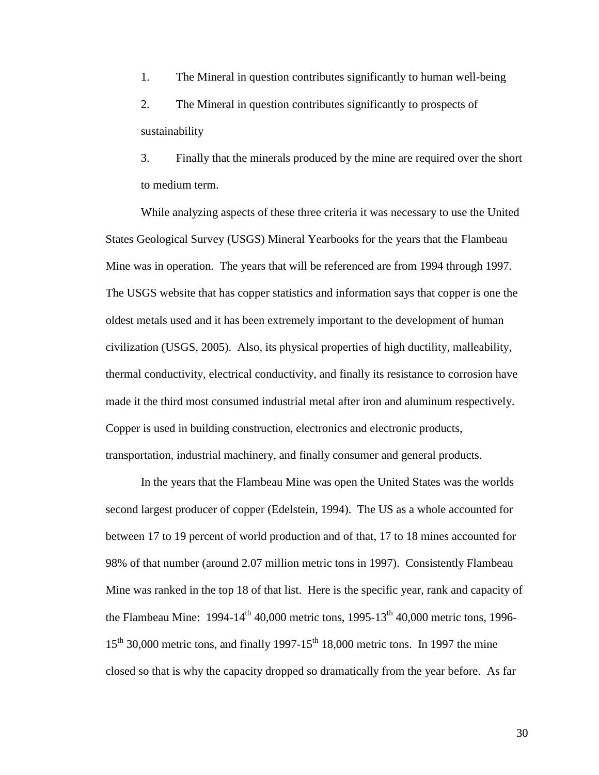1. The Mineral in question contributes significantly to human well-being 2. The Mineral in question contributes significantly to prospects of sustainability

3. Finally that the minerals produced by the mine are required over the short to medium term.

While analyzing aspects of these three criteria it was necessary to use the United States Geological Survey (USGS) Mineral Yearbooks for the years that the Flambeau Mine was in operation. The years that will be referenced are from 1994 through 1997. The USGS website that has copper statistics and information says that copper is one the oldest metals used and it has been extremely important to the development of human civilization (USGS, 2005). Also, its physical properties of high ductility, malleability, thermal conductivity, electrical conductivity, and finally its resistance to corrosion have made it the third most consumed industrial metal after iron and aluminum respectively. Copper is used in building construction, electronics and electronic products, transportation, industrial machinery, and finally consumer and general products.

 In the years that the Flambeau Mine was open the United States was the worlds second largest producer of copper (Edelstein, 1994). The US as a whole accounted for between 17 to 19 percent of world production and of that, 17 to 18 mines accounted for 98% of that number (around 2.07 million metric tons in 1997). Consistently Flambeau Mine was ranked in the top 18 of that list. Here is the specific year, rank and capacity of the Flambeau Mine:  $1994-14^{\text{th}}$  40,000 metric tons,  $1995-13^{\text{th}}$  40,000 metric tons, 1996- $15<sup>th</sup>$  30,000 metric tons, and finally 1997-15<sup>th</sup> 18,000 metric tons. In 1997 the mine closed so that is why the capacity dropped so dramatically from the year before. As far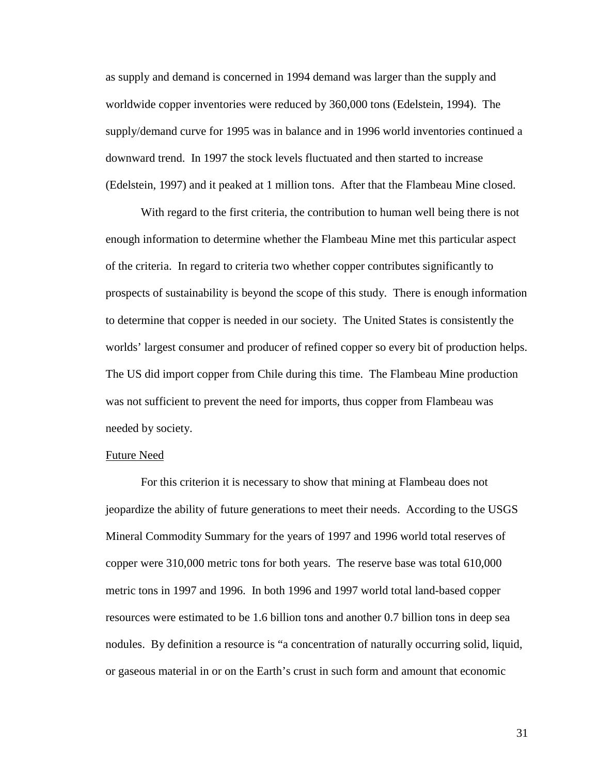as supply and demand is concerned in 1994 demand was larger than the supply and worldwide copper inventories were reduced by 360,000 tons (Edelstein, 1994). The supply/demand curve for 1995 was in balance and in 1996 world inventories continued a downward trend. In 1997 the stock levels fluctuated and then started to increase (Edelstein, 1997) and it peaked at 1 million tons. After that the Flambeau Mine closed.

With regard to the first criteria, the contribution to human well being there is not enough information to determine whether the Flambeau Mine met this particular aspect of the criteria. In regard to criteria two whether copper contributes significantly to prospects of sustainability is beyond the scope of this study. There is enough information to determine that copper is needed in our society. The United States is consistently the worlds' largest consumer and producer of refined copper so every bit of production helps. The US did import copper from Chile during this time. The Flambeau Mine production was not sufficient to prevent the need for imports, thus copper from Flambeau was needed by society.

#### Future Need

 For this criterion it is necessary to show that mining at Flambeau does not jeopardize the ability of future generations to meet their needs. According to the USGS Mineral Commodity Summary for the years of 1997 and 1996 world total reserves of copper were 310,000 metric tons for both years. The reserve base was total 610,000 metric tons in 1997 and 1996. In both 1996 and 1997 world total land-based copper resources were estimated to be 1.6 billion tons and another 0.7 billion tons in deep sea nodules. By definition a resource is "a concentration of naturally occurring solid, liquid, or gaseous material in or on the Earth's crust in such form and amount that economic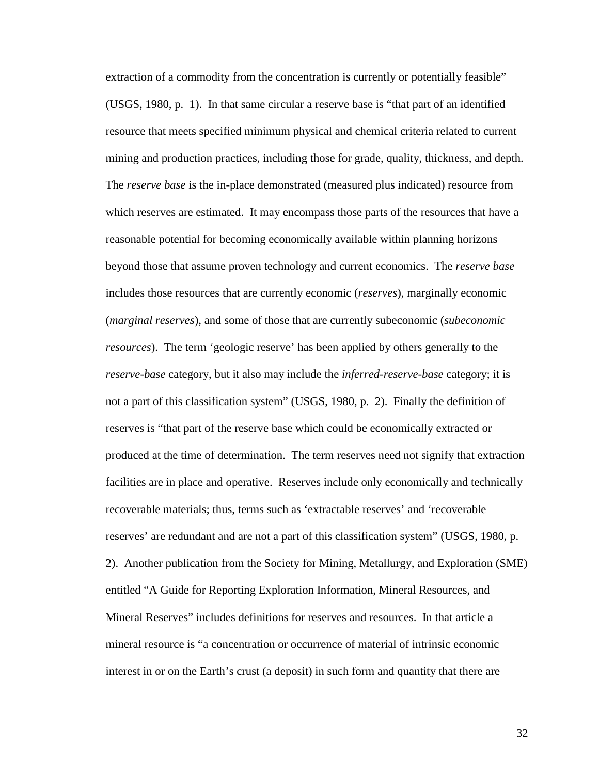extraction of a commodity from the concentration is currently or potentially feasible" (USGS, 1980, p. 1). In that same circular a reserve base is "that part of an identified resource that meets specified minimum physical and chemical criteria related to current mining and production practices, including those for grade, quality, thickness, and depth. The *reserve base* is the in-place demonstrated (measured plus indicated) resource from which reserves are estimated. It may encompass those parts of the resources that have a reasonable potential for becoming economically available within planning horizons beyond those that assume proven technology and current economics. The *reserve base* includes those resources that are currently economic (*reserves*), marginally economic (*marginal reserves*), and some of those that are currently subeconomic (*subeconomic resources*). The term 'geologic reserve' has been applied by others generally to the *reserve-base* category, but it also may include the *inferred-reserve-base* category; it is not a part of this classification system" (USGS, 1980, p. 2). Finally the definition of reserves is "that part of the reserve base which could be economically extracted or produced at the time of determination. The term reserves need not signify that extraction facilities are in place and operative. Reserves include only economically and technically recoverable materials; thus, terms such as 'extractable reserves' and 'recoverable reserves' are redundant and are not a part of this classification system" (USGS, 1980, p. 2). Another publication from the Society for Mining, Metallurgy, and Exploration (SME) entitled "A Guide for Reporting Exploration Information, Mineral Resources, and Mineral Reserves" includes definitions for reserves and resources. In that article a mineral resource is "a concentration or occurrence of material of intrinsic economic interest in or on the Earth's crust (a deposit) in such form and quantity that there are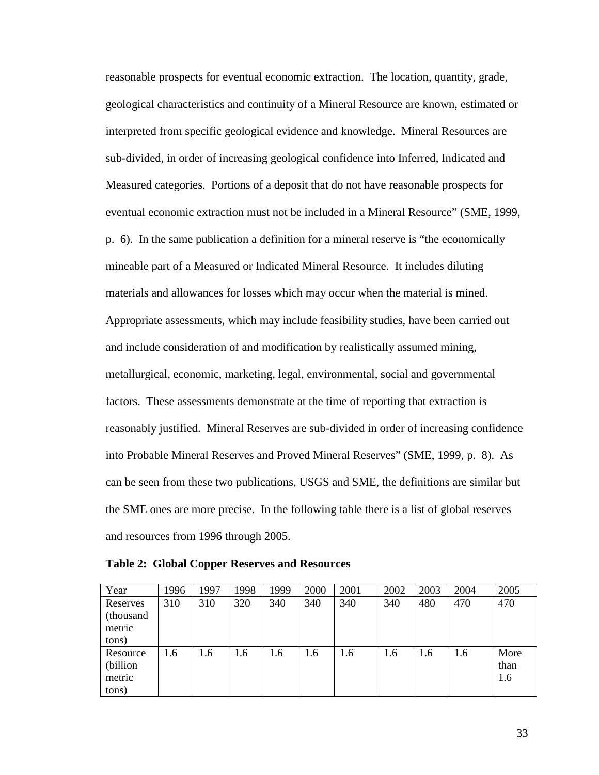reasonable prospects for eventual economic extraction. The location, quantity, grade, geological characteristics and continuity of a Mineral Resource are known, estimated or interpreted from specific geological evidence and knowledge. Mineral Resources are sub-divided, in order of increasing geological confidence into Inferred, Indicated and Measured categories. Portions of a deposit that do not have reasonable prospects for eventual economic extraction must not be included in a Mineral Resource" (SME, 1999, p. 6). In the same publication a definition for a mineral reserve is "the economically mineable part of a Measured or Indicated Mineral Resource. It includes diluting materials and allowances for losses which may occur when the material is mined. Appropriate assessments, which may include feasibility studies, have been carried out and include consideration of and modification by realistically assumed mining, metallurgical, economic, marketing, legal, environmental, social and governmental factors. These assessments demonstrate at the time of reporting that extraction is reasonably justified. Mineral Reserves are sub-divided in order of increasing confidence into Probable Mineral Reserves and Proved Mineral Reserves" (SME, 1999, p. 8). As can be seen from these two publications, USGS and SME, the definitions are similar but the SME ones are more precise. In the following table there is a list of global reserves and resources from 1996 through 2005.

| Year      | 1996 | 1997 | 1998 | 1999 | 2000 | 2001 | 2002 | 2003 | 2004 | 2005 |
|-----------|------|------|------|------|------|------|------|------|------|------|
| Reserves  | 310  | 310  | 320  | 340  | 340  | 340  | 340  | 480  | 470  | 470  |
| (thousand |      |      |      |      |      |      |      |      |      |      |
| metric    |      |      |      |      |      |      |      |      |      |      |
| tons)     |      |      |      |      |      |      |      |      |      |      |
| Resource  | 1.6  | 1.6  | 1.6  | 1.6  | 1.6  | 1.6  | 1.6  | 1.6  | 1.6  | More |
| (billion) |      |      |      |      |      |      |      |      |      | than |
| metric    |      |      |      |      |      |      |      |      |      | 1.6  |
| tons)     |      |      |      |      |      |      |      |      |      |      |

**Table 2: Global Copper Reserves and Resources**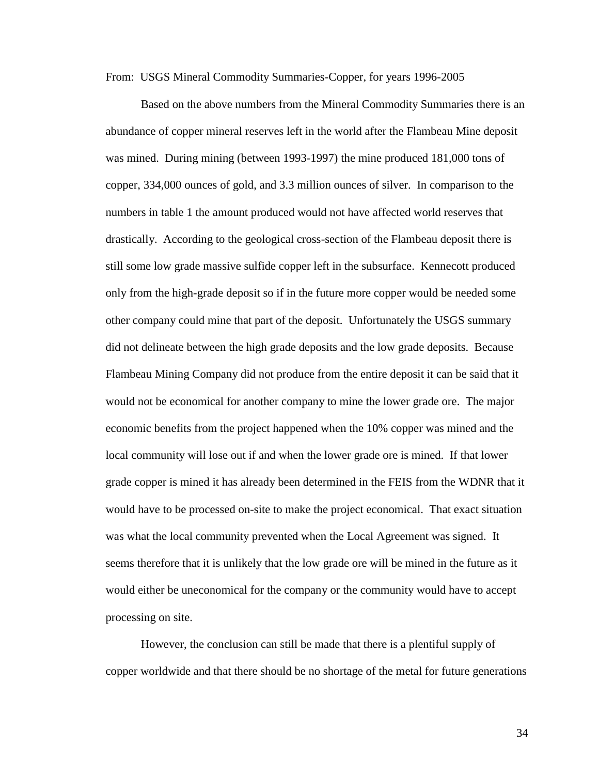From: USGS Mineral Commodity Summaries-Copper, for years 1996-2005

 Based on the above numbers from the Mineral Commodity Summaries there is an abundance of copper mineral reserves left in the world after the Flambeau Mine deposit was mined. During mining (between 1993-1997) the mine produced 181,000 tons of copper, 334,000 ounces of gold, and 3.3 million ounces of silver. In comparison to the numbers in table 1 the amount produced would not have affected world reserves that drastically. According to the geological cross-section of the Flambeau deposit there is still some low grade massive sulfide copper left in the subsurface. Kennecott produced only from the high-grade deposit so if in the future more copper would be needed some other company could mine that part of the deposit. Unfortunately the USGS summary did not delineate between the high grade deposits and the low grade deposits. Because Flambeau Mining Company did not produce from the entire deposit it can be said that it would not be economical for another company to mine the lower grade ore. The major economic benefits from the project happened when the 10% copper was mined and the local community will lose out if and when the lower grade ore is mined. If that lower grade copper is mined it has already been determined in the FEIS from the WDNR that it would have to be processed on-site to make the project economical. That exact situation was what the local community prevented when the Local Agreement was signed. It seems therefore that it is unlikely that the low grade ore will be mined in the future as it would either be uneconomical for the company or the community would have to accept processing on site.

 However, the conclusion can still be made that there is a plentiful supply of copper worldwide and that there should be no shortage of the metal for future generations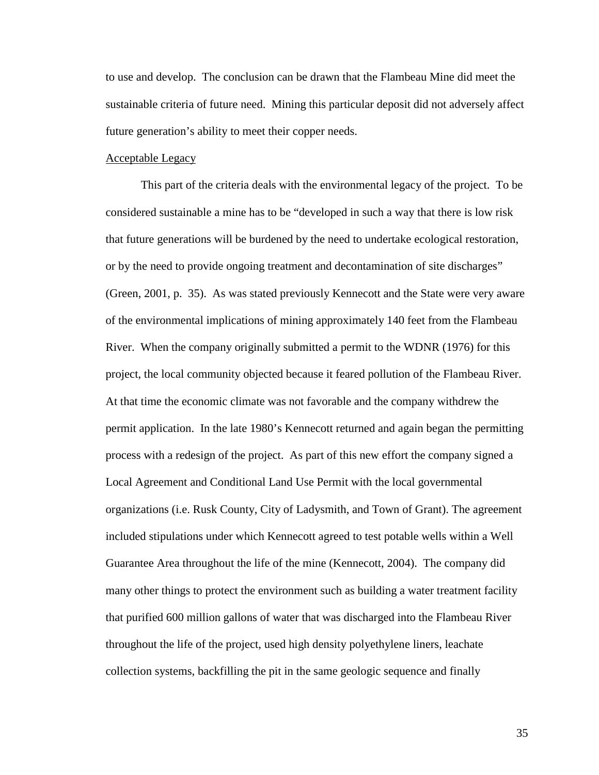to use and develop. The conclusion can be drawn that the Flambeau Mine did meet the sustainable criteria of future need. Mining this particular deposit did not adversely affect future generation's ability to meet their copper needs.

### Acceptable Legacy

 This part of the criteria deals with the environmental legacy of the project. To be considered sustainable a mine has to be "developed in such a way that there is low risk that future generations will be burdened by the need to undertake ecological restoration, or by the need to provide ongoing treatment and decontamination of site discharges" (Green, 2001, p. 35). As was stated previously Kennecott and the State were very aware of the environmental implications of mining approximately 140 feet from the Flambeau River. When the company originally submitted a permit to the WDNR (1976) for this project, the local community objected because it feared pollution of the Flambeau River. At that time the economic climate was not favorable and the company withdrew the permit application. In the late 1980's Kennecott returned and again began the permitting process with a redesign of the project. As part of this new effort the company signed a Local Agreement and Conditional Land Use Permit with the local governmental organizations (i.e. Rusk County, City of Ladysmith, and Town of Grant). The agreement included stipulations under which Kennecott agreed to test potable wells within a Well Guarantee Area throughout the life of the mine (Kennecott, 2004). The company did many other things to protect the environment such as building a water treatment facility that purified 600 million gallons of water that was discharged into the Flambeau River throughout the life of the project, used high density polyethylene liners, leachate collection systems, backfilling the pit in the same geologic sequence and finally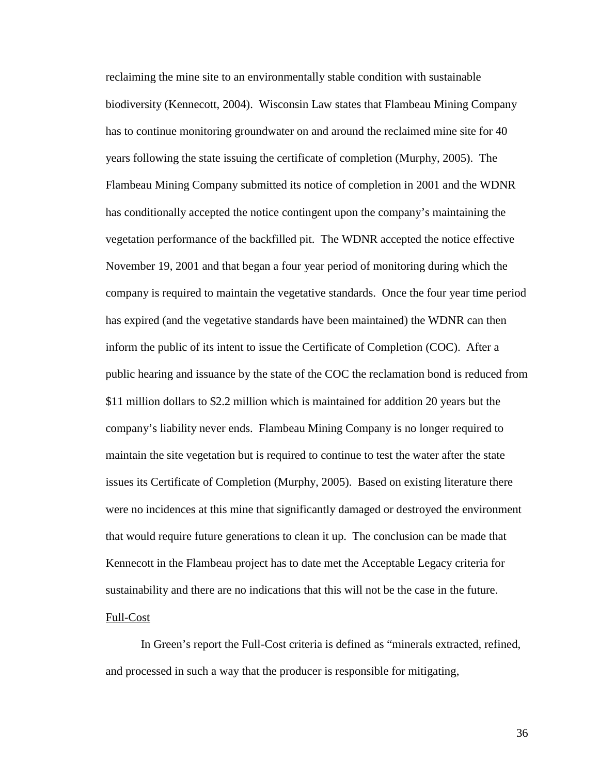reclaiming the mine site to an environmentally stable condition with sustainable biodiversity (Kennecott, 2004). Wisconsin Law states that Flambeau Mining Company has to continue monitoring groundwater on and around the reclaimed mine site for 40 years following the state issuing the certificate of completion (Murphy, 2005). The Flambeau Mining Company submitted its notice of completion in 2001 and the WDNR has conditionally accepted the notice contingent upon the company's maintaining the vegetation performance of the backfilled pit. The WDNR accepted the notice effective November 19, 2001 and that began a four year period of monitoring during which the company is required to maintain the vegetative standards. Once the four year time period has expired (and the vegetative standards have been maintained) the WDNR can then inform the public of its intent to issue the Certificate of Completion (COC). After a public hearing and issuance by the state of the COC the reclamation bond is reduced from \$11 million dollars to \$2.2 million which is maintained for addition 20 years but the company's liability never ends. Flambeau Mining Company is no longer required to maintain the site vegetation but is required to continue to test the water after the state issues its Certificate of Completion (Murphy, 2005). Based on existing literature there were no incidences at this mine that significantly damaged or destroyed the environment that would require future generations to clean it up. The conclusion can be made that Kennecott in the Flambeau project has to date met the Acceptable Legacy criteria for sustainability and there are no indications that this will not be the case in the future. Full-Cost

 In Green's report the Full-Cost criteria is defined as "minerals extracted, refined, and processed in such a way that the producer is responsible for mitigating,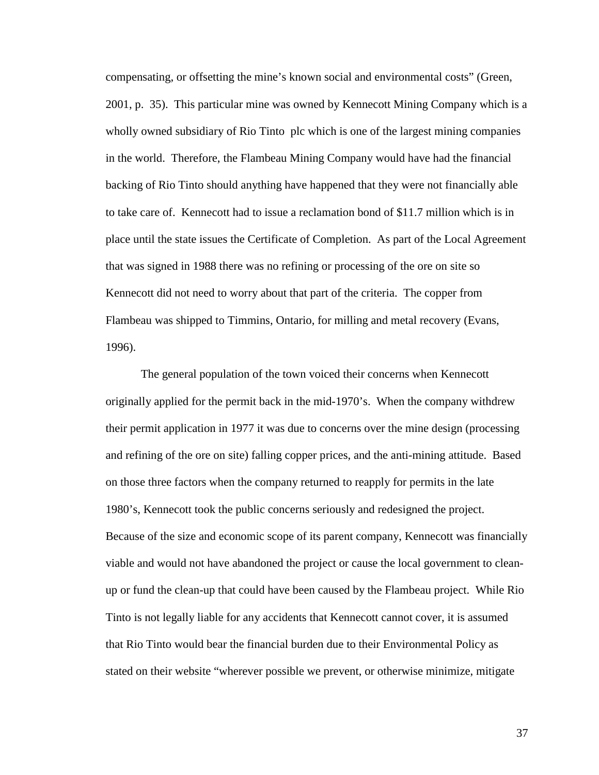compensating, or offsetting the mine's known social and environmental costs" (Green, 2001, p. 35). This particular mine was owned by Kennecott Mining Company which is a wholly owned subsidiary of Rio Tinto plc which is one of the largest mining companies in the world. Therefore, the Flambeau Mining Company would have had the financial backing of Rio Tinto should anything have happened that they were not financially able to take care of. Kennecott had to issue a reclamation bond of \$11.7 million which is in place until the state issues the Certificate of Completion. As part of the Local Agreement that was signed in 1988 there was no refining or processing of the ore on site so Kennecott did not need to worry about that part of the criteria. The copper from Flambeau was shipped to Timmins, Ontario, for milling and metal recovery (Evans, 1996).

 The general population of the town voiced their concerns when Kennecott originally applied for the permit back in the mid-1970's. When the company withdrew their permit application in 1977 it was due to concerns over the mine design (processing and refining of the ore on site) falling copper prices, and the anti-mining attitude. Based on those three factors when the company returned to reapply for permits in the late 1980's, Kennecott took the public concerns seriously and redesigned the project. Because of the size and economic scope of its parent company, Kennecott was financially viable and would not have abandoned the project or cause the local government to cleanup or fund the clean-up that could have been caused by the Flambeau project. While Rio Tinto is not legally liable for any accidents that Kennecott cannot cover, it is assumed that Rio Tinto would bear the financial burden due to their Environmental Policy as stated on their website "wherever possible we prevent, or otherwise minimize, mitigate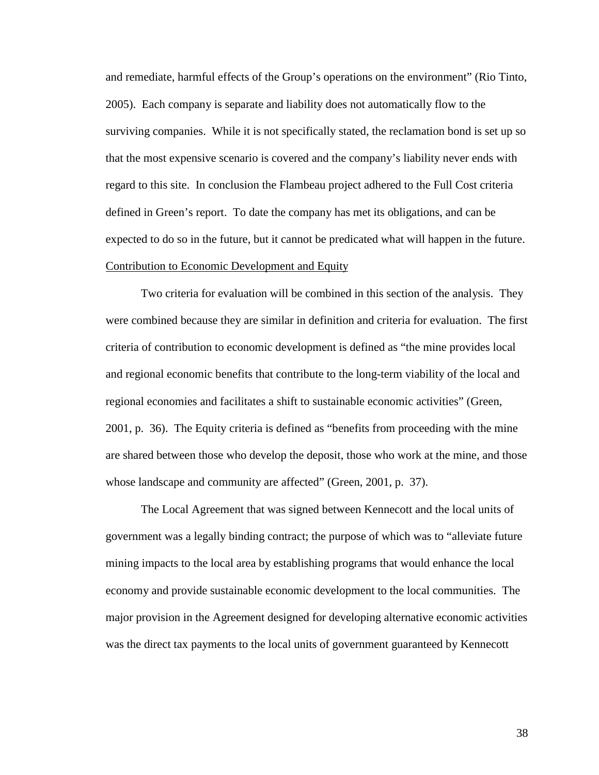and remediate, harmful effects of the Group's operations on the environment" (Rio Tinto, 2005). Each company is separate and liability does not automatically flow to the surviving companies. While it is not specifically stated, the reclamation bond is set up so that the most expensive scenario is covered and the company's liability never ends with regard to this site. In conclusion the Flambeau project adhered to the Full Cost criteria defined in Green's report. To date the company has met its obligations, and can be expected to do so in the future, but it cannot be predicated what will happen in the future. Contribution to Economic Development and Equity

 Two criteria for evaluation will be combined in this section of the analysis. They were combined because they are similar in definition and criteria for evaluation. The first criteria of contribution to economic development is defined as "the mine provides local and regional economic benefits that contribute to the long-term viability of the local and regional economies and facilitates a shift to sustainable economic activities" (Green, 2001, p. 36). The Equity criteria is defined as "benefits from proceeding with the mine are shared between those who develop the deposit, those who work at the mine, and those whose landscape and community are affected" (Green, 2001, p. 37).

 The Local Agreement that was signed between Kennecott and the local units of government was a legally binding contract; the purpose of which was to "alleviate future mining impacts to the local area by establishing programs that would enhance the local economy and provide sustainable economic development to the local communities. The major provision in the Agreement designed for developing alternative economic activities was the direct tax payments to the local units of government guaranteed by Kennecott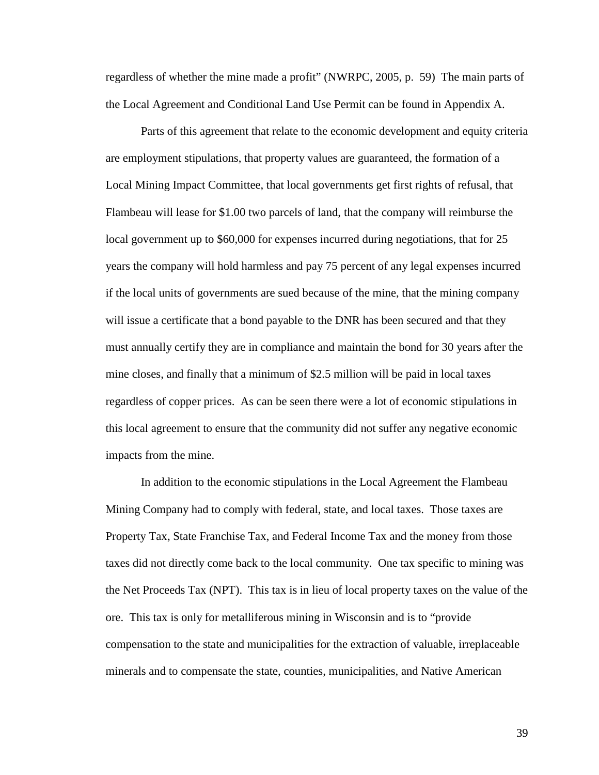regardless of whether the mine made a profit" (NWRPC, 2005, p. 59) The main parts of the Local Agreement and Conditional Land Use Permit can be found in Appendix A.

 Parts of this agreement that relate to the economic development and equity criteria are employment stipulations, that property values are guaranteed, the formation of a Local Mining Impact Committee, that local governments get first rights of refusal, that Flambeau will lease for \$1.00 two parcels of land, that the company will reimburse the local government up to \$60,000 for expenses incurred during negotiations, that for 25 years the company will hold harmless and pay 75 percent of any legal expenses incurred if the local units of governments are sued because of the mine, that the mining company will issue a certificate that a bond payable to the DNR has been secured and that they must annually certify they are in compliance and maintain the bond for 30 years after the mine closes, and finally that a minimum of \$2.5 million will be paid in local taxes regardless of copper prices. As can be seen there were a lot of economic stipulations in this local agreement to ensure that the community did not suffer any negative economic impacts from the mine.

 In addition to the economic stipulations in the Local Agreement the Flambeau Mining Company had to comply with federal, state, and local taxes. Those taxes are Property Tax, State Franchise Tax, and Federal Income Tax and the money from those taxes did not directly come back to the local community. One tax specific to mining was the Net Proceeds Tax (NPT). This tax is in lieu of local property taxes on the value of the ore. This tax is only for metalliferous mining in Wisconsin and is to "provide compensation to the state and municipalities for the extraction of valuable, irreplaceable minerals and to compensate the state, counties, municipalities, and Native American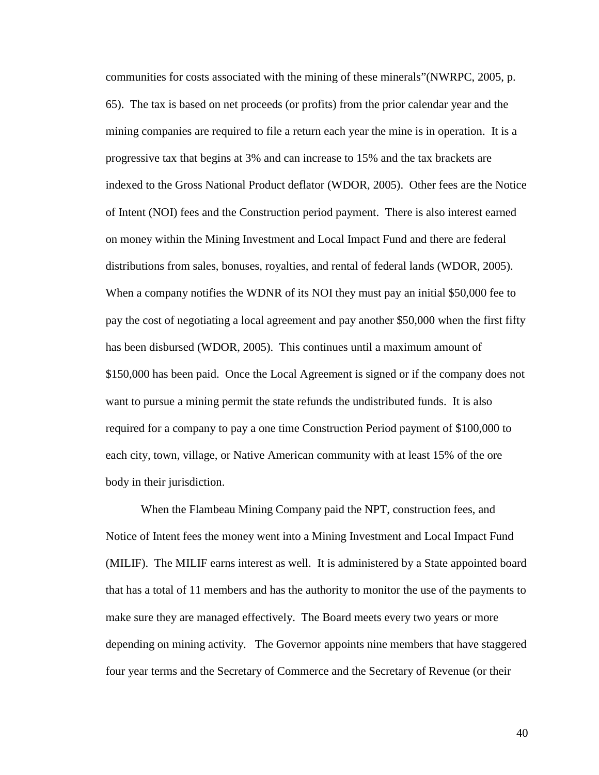communities for costs associated with the mining of these minerals"(NWRPC, 2005, p. 65). The tax is based on net proceeds (or profits) from the prior calendar year and the mining companies are required to file a return each year the mine is in operation. It is a progressive tax that begins at 3% and can increase to 15% and the tax brackets are indexed to the Gross National Product deflator (WDOR, 2005). Other fees are the Notice of Intent (NOI) fees and the Construction period payment. There is also interest earned on money within the Mining Investment and Local Impact Fund and there are federal distributions from sales, bonuses, royalties, and rental of federal lands (WDOR, 2005). When a company notifies the WDNR of its NOI they must pay an initial \$50,000 fee to pay the cost of negotiating a local agreement and pay another \$50,000 when the first fifty has been disbursed (WDOR, 2005). This continues until a maximum amount of \$150,000 has been paid. Once the Local Agreement is signed or if the company does not want to pursue a mining permit the state refunds the undistributed funds. It is also required for a company to pay a one time Construction Period payment of \$100,000 to each city, town, village, or Native American community with at least 15% of the ore body in their jurisdiction.

 When the Flambeau Mining Company paid the NPT, construction fees, and Notice of Intent fees the money went into a Mining Investment and Local Impact Fund (MILIF). The MILIF earns interest as well. It is administered by a State appointed board that has a total of 11 members and has the authority to monitor the use of the payments to make sure they are managed effectively. The Board meets every two years or more depending on mining activity. The Governor appoints nine members that have staggered four year terms and the Secretary of Commerce and the Secretary of Revenue (or their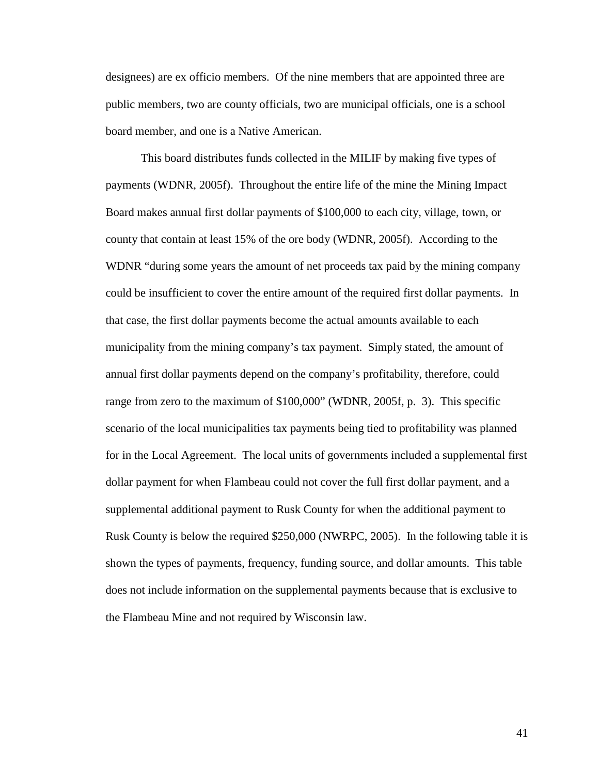designees) are ex officio members. Of the nine members that are appointed three are public members, two are county officials, two are municipal officials, one is a school board member, and one is a Native American.

 This board distributes funds collected in the MILIF by making five types of payments (WDNR, 2005f). Throughout the entire life of the mine the Mining Impact Board makes annual first dollar payments of \$100,000 to each city, village, town, or county that contain at least 15% of the ore body (WDNR, 2005f). According to the WDNR "during some years the amount of net proceeds tax paid by the mining company could be insufficient to cover the entire amount of the required first dollar payments. In that case, the first dollar payments become the actual amounts available to each municipality from the mining company's tax payment. Simply stated, the amount of annual first dollar payments depend on the company's profitability, therefore, could range from zero to the maximum of \$100,000" (WDNR, 2005f, p. 3). This specific scenario of the local municipalities tax payments being tied to profitability was planned for in the Local Agreement. The local units of governments included a supplemental first dollar payment for when Flambeau could not cover the full first dollar payment, and a supplemental additional payment to Rusk County for when the additional payment to Rusk County is below the required \$250,000 (NWRPC, 2005). In the following table it is shown the types of payments, frequency, funding source, and dollar amounts. This table does not include information on the supplemental payments because that is exclusive to the Flambeau Mine and not required by Wisconsin law.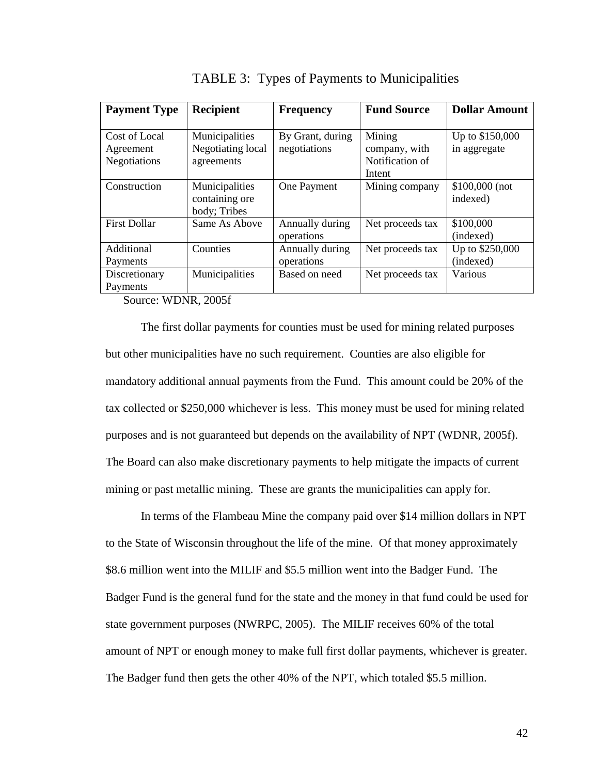| <b>Payment Type</b> | <b>Recipient</b>                                 | <b>Frequency</b>              | <b>Fund Source</b> | <b>Dollar Amount</b>        |  |
|---------------------|--------------------------------------------------|-------------------------------|--------------------|-----------------------------|--|
|                     |                                                  |                               |                    |                             |  |
| Cost of Local       | Municipalities                                   | By Grant, during              | Mining             | Up to \$150,000             |  |
| Agreement           | Negotiating local                                | negotiations                  | company, with      | in aggregate                |  |
| Negotiations        | agreements                                       |                               | Notification of    |                             |  |
|                     |                                                  |                               | Intent             |                             |  |
| Construction        | Municipalities<br>containing ore<br>body; Tribes | One Payment                   | Mining company     | $$100,000$ (not<br>indexed) |  |
| <b>First Dollar</b> | Same As Above                                    | Annually during<br>operations | Net proceeds tax   | \$100,000<br>(indexed)      |  |
| Additional          | Counties                                         | Annually during               | Net proceeds tax   | Up to \$250,000             |  |
| Payments            |                                                  | operations                    |                    | (indexed)                   |  |
| Discretionary       | Municipalities                                   | Based on need                 | Net proceeds tax   | Various                     |  |
| Payments            |                                                  |                               |                    |                             |  |

TABLE 3: Types of Payments to Municipalities

Source: WDNR, 2005f

 The first dollar payments for counties must be used for mining related purposes but other municipalities have no such requirement. Counties are also eligible for mandatory additional annual payments from the Fund. This amount could be 20% of the tax collected or \$250,000 whichever is less. This money must be used for mining related purposes and is not guaranteed but depends on the availability of NPT (WDNR, 2005f). The Board can also make discretionary payments to help mitigate the impacts of current mining or past metallic mining. These are grants the municipalities can apply for.

 In terms of the Flambeau Mine the company paid over \$14 million dollars in NPT to the State of Wisconsin throughout the life of the mine. Of that money approximately \$8.6 million went into the MILIF and \$5.5 million went into the Badger Fund. The Badger Fund is the general fund for the state and the money in that fund could be used for state government purposes (NWRPC, 2005). The MILIF receives 60% of the total amount of NPT or enough money to make full first dollar payments, whichever is greater. The Badger fund then gets the other 40% of the NPT, which totaled \$5.5 million.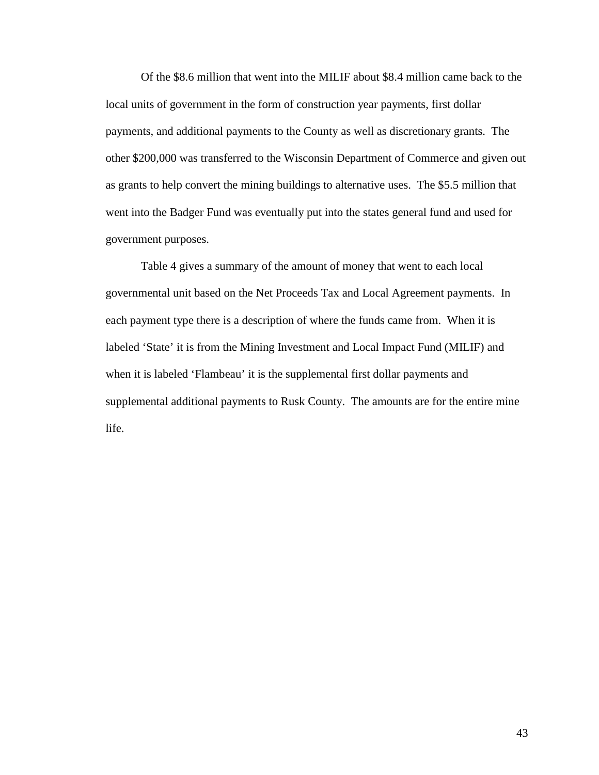Of the \$8.6 million that went into the MILIF about \$8.4 million came back to the local units of government in the form of construction year payments, first dollar payments, and additional payments to the County as well as discretionary grants. The other \$200,000 was transferred to the Wisconsin Department of Commerce and given out as grants to help convert the mining buildings to alternative uses. The \$5.5 million that went into the Badger Fund was eventually put into the states general fund and used for government purposes.

 Table 4 gives a summary of the amount of money that went to each local governmental unit based on the Net Proceeds Tax and Local Agreement payments. In each payment type there is a description of where the funds came from. When it is labeled 'State' it is from the Mining Investment and Local Impact Fund (MILIF) and when it is labeled 'Flambeau' it is the supplemental first dollar payments and supplemental additional payments to Rusk County. The amounts are for the entire mine life.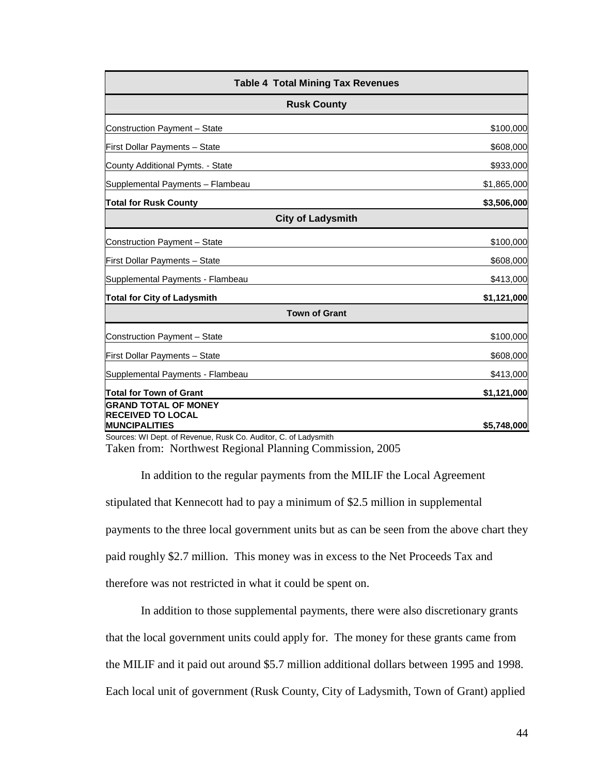| <b>Table 4 Total Mining Tax Revenues</b>                |             |  |  |  |  |
|---------------------------------------------------------|-------------|--|--|--|--|
| <b>Rusk County</b>                                      |             |  |  |  |  |
| Construction Payment - State                            | \$100,000   |  |  |  |  |
| First Dollar Payments - State                           | \$608,000   |  |  |  |  |
| County Additional Pymts. - State                        | \$933,000   |  |  |  |  |
| Supplemental Payments - Flambeau                        | \$1,865,000 |  |  |  |  |
| <b>Total for Rusk County</b>                            | \$3,506,000 |  |  |  |  |
| <b>City of Ladysmith</b>                                |             |  |  |  |  |
| Construction Payment - State                            | \$100,000   |  |  |  |  |
| First Dollar Payments - State                           | \$608,000   |  |  |  |  |
| Supplemental Payments - Flambeau                        | \$413,000   |  |  |  |  |
| <b>Total for City of Ladysmith</b>                      | \$1,121,000 |  |  |  |  |
| <b>Town of Grant</b>                                    |             |  |  |  |  |
| Construction Payment - State                            | \$100,000   |  |  |  |  |
| First Dollar Payments - State                           | \$608,000   |  |  |  |  |
| Supplemental Payments - Flambeau                        | \$413,000   |  |  |  |  |
| Total for Town of Grant                                 | \$1,121,000 |  |  |  |  |
| <b>GRAND TOTAL OF MONEY</b><br><b>RECEIVED TO LOCAL</b> |             |  |  |  |  |
| <b>MUNCIPALITIES</b>                                    | \$5,748,000 |  |  |  |  |

Taken from: Northwest Regional Planning Commission, 2005 Sources: WI Dept. of Revenue, Rusk Co. Auditor, C. of Ladysmith

In addition to the regular payments from the MILIF the Local Agreement stipulated that Kennecott had to pay a minimum of \$2.5 million in supplemental payments to the three local government units but as can be seen from the above chart they paid roughly \$2.7 million. This money was in excess to the Net Proceeds Tax and therefore was not restricted in what it could be spent on.

In addition to those supplemental payments, there were also discretionary grants that the local government units could apply for. The money for these grants came from the MILIF and it paid out around \$5.7 million additional dollars between 1995 and 1998. Each local unit of government (Rusk County, City of Ladysmith, Town of Grant) applied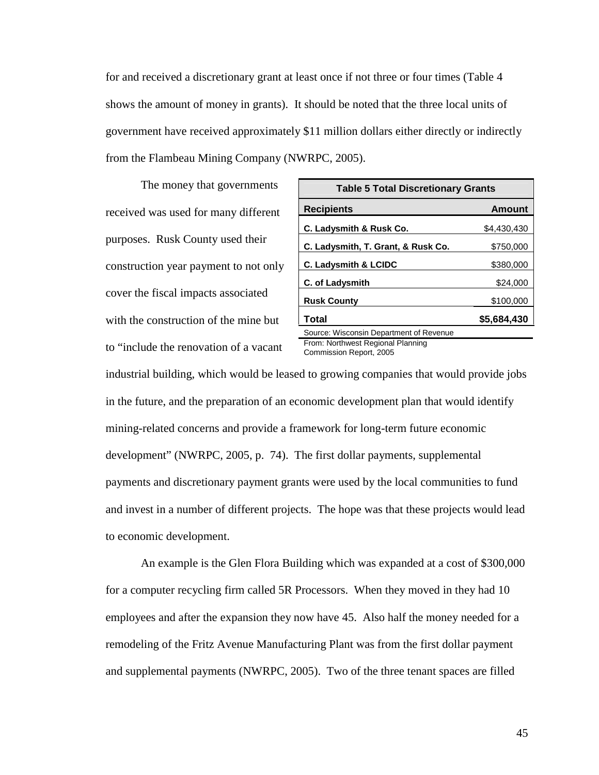for and received a discretionary grant at least once if not three or four times (Table 4 shows the amount of money in grants). It should be noted that the three local units of government have received approximately \$11 million dollars either directly or indirectly from the Flambeau Mining Company (NWRPC, 2005).

 The money that governments received was used for many different purposes. Rusk County used their construction year payment to not only cover the fiscal impacts associated with the construction of the mine but to "include the renovation of a vacant

| <b>Table 5 Total Discretionary Grants</b> |               |  |  |  |
|-------------------------------------------|---------------|--|--|--|
| <b>Recipients</b>                         | <b>Amount</b> |  |  |  |
| C. Ladysmith & Rusk Co.                   | \$4,430,430   |  |  |  |
| C. Ladysmith, T. Grant, & Rusk Co.        | \$750,000     |  |  |  |
| <b>C. Ladysmith &amp; LCIDC</b>           | \$380,000     |  |  |  |
| <b>C. of Ladysmith</b>                    | \$24,000      |  |  |  |
| <b>Rusk County</b>                        | \$100,000     |  |  |  |
| <b>Total</b>                              | \$5,684,430   |  |  |  |
| Source: Wisconsin Department of Revenue   |               |  |  |  |
| From: Northwest Regional Planning         |               |  |  |  |

Commission Report, 2005

industrial building, which would be leased to growing companies that would provide jobs in the future, and the preparation of an economic development plan that would identify mining-related concerns and provide a framework for long-term future economic development" (NWRPC, 2005, p. 74). The first dollar payments, supplemental payments and discretionary payment grants were used by the local communities to fund and invest in a number of different projects. The hope was that these projects would lead to economic development.

 An example is the Glen Flora Building which was expanded at a cost of \$300,000 for a computer recycling firm called 5R Processors. When they moved in they had 10 employees and after the expansion they now have 45. Also half the money needed for a remodeling of the Fritz Avenue Manufacturing Plant was from the first dollar payment and supplemental payments (NWRPC, 2005). Two of the three tenant spaces are filled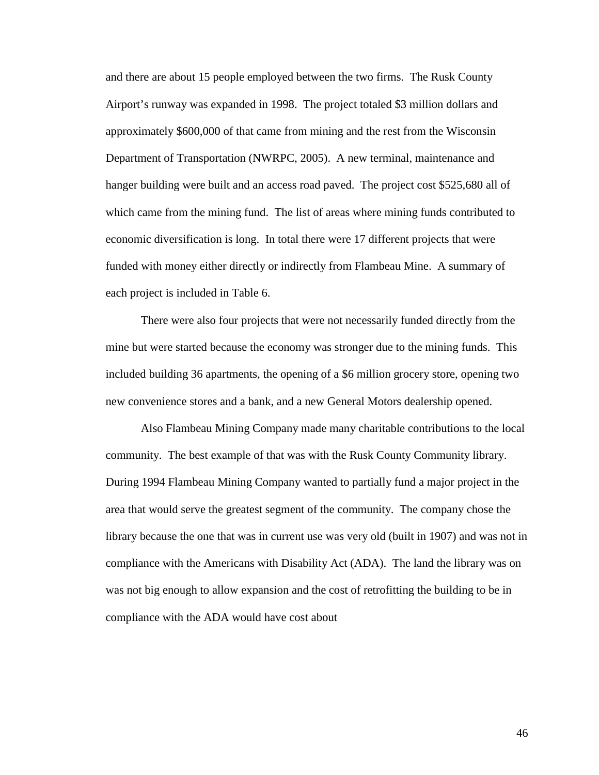and there are about 15 people employed between the two firms. The Rusk County Airport's runway was expanded in 1998. The project totaled \$3 million dollars and approximately \$600,000 of that came from mining and the rest from the Wisconsin Department of Transportation (NWRPC, 2005). A new terminal, maintenance and hanger building were built and an access road paved. The project cost \$525,680 all of which came from the mining fund. The list of areas where mining funds contributed to economic diversification is long. In total there were 17 different projects that were funded with money either directly or indirectly from Flambeau Mine. A summary of each project is included in Table 6.

 There were also four projects that were not necessarily funded directly from the mine but were started because the economy was stronger due to the mining funds. This included building 36 apartments, the opening of a \$6 million grocery store, opening two new convenience stores and a bank, and a new General Motors dealership opened.

 Also Flambeau Mining Company made many charitable contributions to the local community. The best example of that was with the Rusk County Community library. During 1994 Flambeau Mining Company wanted to partially fund a major project in the area that would serve the greatest segment of the community. The company chose the library because the one that was in current use was very old (built in 1907) and was not in compliance with the Americans with Disability Act (ADA). The land the library was on was not big enough to allow expansion and the cost of retrofitting the building to be in compliance with the ADA would have cost about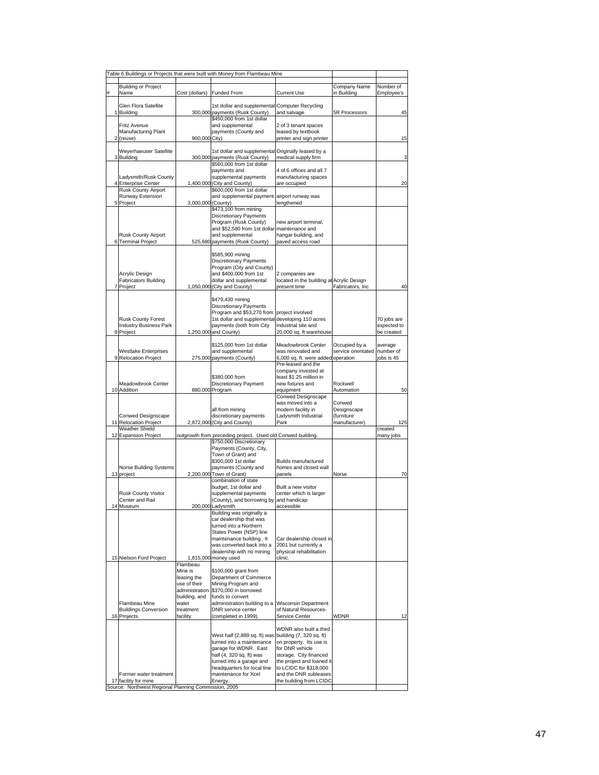|         |                                                                                                |                                                                                                        | Table 6 Buildings or Projects that were built with Money from Flambeau Mine                                                                                                                                                           |                                                                                                                                                                                                            |                                            |                                          |
|---------|------------------------------------------------------------------------------------------------|--------------------------------------------------------------------------------------------------------|---------------------------------------------------------------------------------------------------------------------------------------------------------------------------------------------------------------------------------------|------------------------------------------------------------------------------------------------------------------------------------------------------------------------------------------------------------|--------------------------------------------|------------------------------------------|
| #       | <b>Building or Project</b><br>Name                                                             | Cost (dollars)                                                                                         | <b>Funded From</b>                                                                                                                                                                                                                    | <b>Current Use</b>                                                                                                                                                                                         | Company Name<br>in Building                | Number of<br>Employee's                  |
|         | Glen Flora Satellite<br>1 Building                                                             |                                                                                                        | 1st dollar and supplemental<br>300,000 payments (Rusk County)                                                                                                                                                                         | <b>Computer Recycling</b><br>and salvage                                                                                                                                                                   | 5R Processors                              | 45                                       |
|         | Fritz Avenue<br>Manufacturing Plant<br>2 (reuse)                                               | 900,000 City)                                                                                          | \$450,000 from 1st dollar<br>and supplemental<br>payments (County and                                                                                                                                                                 | 2 of 3 tenant spaces<br>leased by textbook<br>printer and sign printer                                                                                                                                     |                                            | 15                                       |
|         | Weyerhaeuser Satellite<br>3 Building                                                           |                                                                                                        | 1st dollar and supplemental<br>300,000 payments (Rusk County)                                                                                                                                                                         | Originally leased by a<br>medical supply firm                                                                                                                                                              |                                            | з                                        |
|         | Ladysmith/Rusk County<br>4 Enterprise Center<br><b>Rusk County Airport</b>                     |                                                                                                        | \$560,000 from 1st dollar<br>payments and<br>supplemental payments<br>1,400,000 (City and County)<br>\$600,000 from 1st dollar                                                                                                        | 4 of 6 offices and all 7<br>manufacturing spaces<br>are occupied                                                                                                                                           |                                            | 20                                       |
|         | Runway Extension<br>5 Project                                                                  | 3,000,000 (County)                                                                                     | and supplemental payment<br>\$473,100 from mining<br>Discretionary Payments<br>Program (Rusk County)<br>and \$52,580 from 1st dollar maintenance and                                                                                  | airport runway was<br>lengthened<br>new airport terminal,                                                                                                                                                  |                                            |                                          |
|         | <b>Rusk County Airport</b><br>6 Terminal Project                                               |                                                                                                        | and supplemental<br>525,680 payments (Rusk County)                                                                                                                                                                                    | hangar building, and<br>paved access road                                                                                                                                                                  |                                            |                                          |
|         | Acrylic Design<br><b>Fabricators Building</b><br>7 Project                                     |                                                                                                        | \$585,900 mining<br><b>Discretionary Payments</b><br>Program (City and County)<br>and \$400,000 from 1st<br>dollar and supplemental<br>1,050,000 (City and County)                                                                    | 2 companies are<br>located in the building at Acrylic Design<br>present time                                                                                                                               | Fabricators, Inc                           | 40                                       |
|         | <b>Rusk County Forest</b><br><b>Industry Business Park</b><br>8 Project                        |                                                                                                        | \$479,430 mining<br><b>Discretionary Payments</b><br>Program and \$53,270 from<br>1st dollar and supplemental developing 110 acres<br>payments (both from City<br>1,250,000 and County)                                               | project involved<br>industrial site and<br>20,000 sq. ft warehouse                                                                                                                                         |                                            | 70 jobs are<br>expected to<br>be created |
|         | <b>Westlake Enterprises</b><br>9 Relocation Project                                            |                                                                                                        | \$125,000 from 1st dollar<br>and supplemental<br>275,000 payments (County)                                                                                                                                                            | Meadowbrook Center<br>was renovated and<br>6,000 sq. ft. were added operation                                                                                                                              | Occupied by a<br>service orientated        | average<br>number of<br>jobs is 45       |
|         | Meadowbrook Center<br>10 Addition                                                              |                                                                                                        | \$380,000 from<br><b>Discretionary Payment</b><br>880,000 Program                                                                                                                                                                     | Pre-leased and the<br>company invested at<br>least \$1.25 million in<br>new fixtures and<br>equipment<br><b>Conwed Designscape</b>                                                                         | Rockwell<br>Automation<br>Conwed           | 50                                       |
|         | Conwed Designscape<br>11 Relocation Project                                                    |                                                                                                        | all from mining<br>discretionary payments<br>2,872,000 (City and County)                                                                                                                                                              | was moved into a<br>modern facility in<br>Ladysmith Industrial<br>Park                                                                                                                                     | Designscape<br>(furniture<br>manufacturer) | 125                                      |
|         | Weather Shield<br>12 Expansion Project                                                         |                                                                                                        | outgrowth from preceding project. Used old Conwed building.                                                                                                                                                                           |                                                                                                                                                                                                            |                                            | created<br>many jobs                     |
|         | Norse Building Systems<br>13 project                                                           |                                                                                                        | \$750,000 Discretionary<br>Payments (County, City,<br>Town of Grant) and<br>\$300,000 1st dollar<br>payments (County and<br>2,200,000 Town of Grant)                                                                                  | <b>Builds manufactured</b><br>homes and closed wall<br>panels                                                                                                                                              | Norse                                      | 70                                       |
|         | <b>Rusk County Visitor</b><br>Center and Rail<br>14 Museum                                     |                                                                                                        | combination of state<br>budget, 1st dollar and<br>supplemental payments<br>(County), and borrowing by and handicap<br>200,000 Ladysmith                                                                                               | Built a new visitor<br>center which is larger<br>accessible                                                                                                                                                |                                            |                                          |
|         | 15 Nielson Ford Project                                                                        |                                                                                                        | Building was originally a<br>car dealership that was<br>turned into a Northern<br>States Power (NSP) line<br>maintenance building. It<br>was converted back into a<br>dealership with no mining<br>1,815,000 money used               | Car dealership closed in<br>2001 but currently a<br>physical rehabilitation<br>clinic.                                                                                                                     |                                            |                                          |
|         | Flambeau Mine<br><b>Buildings Conversion</b><br>16 Projects                                    | Flambeau<br>Mine is<br>leasing the<br>use of their<br>building, and<br>water<br>treatment<br>facility. | \$100,000 grant from<br>Department of Commerce<br>Mining Program and<br>administration \$370,000 in borrowed<br>funds to convert<br>administration building to a<br>DNR service center<br>(completed in 1999).                        | <b>Wisconsin Department</b><br>of Natural Resources-<br>Service Center                                                                                                                                     | <b>WDNR</b>                                | 12                                       |
| Source: | Former water treatment<br>17 facility for mine<br>Northwest Regional Planning Commission, 2005 |                                                                                                        | West half (2,889 sq. ft) was building (7, 320 sq. ft)<br>turned into a maintenance<br>garage for WDNR. East<br>half (4, 320 sq. ft) was<br>turned into a garage and<br>headquarters for local line<br>maintenance for Xcel<br>Energy. | WDNR also built a third<br>on property. Its use is<br>for DNR vehicle<br>storage. City financed<br>the project and loaned it<br>to LCIDC for \$318,000<br>and the DNR subleases<br>the building from LCIDC |                                            |                                          |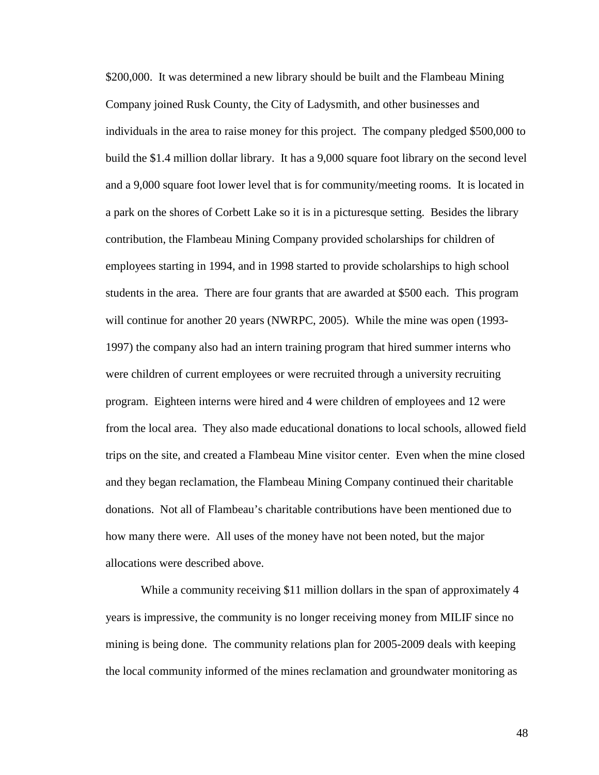\$200,000. It was determined a new library should be built and the Flambeau Mining Company joined Rusk County, the City of Ladysmith, and other businesses and individuals in the area to raise money for this project. The company pledged \$500,000 to build the \$1.4 million dollar library. It has a 9,000 square foot library on the second level and a 9,000 square foot lower level that is for community/meeting rooms. It is located in a park on the shores of Corbett Lake so it is in a picturesque setting. Besides the library contribution, the Flambeau Mining Company provided scholarships for children of employees starting in 1994, and in 1998 started to provide scholarships to high school students in the area. There are four grants that are awarded at \$500 each. This program will continue for another 20 years (NWRPC, 2005). While the mine was open (1993-1997) the company also had an intern training program that hired summer interns who were children of current employees or were recruited through a university recruiting program. Eighteen interns were hired and 4 were children of employees and 12 were from the local area. They also made educational donations to local schools, allowed field trips on the site, and created a Flambeau Mine visitor center. Even when the mine closed and they began reclamation, the Flambeau Mining Company continued their charitable donations. Not all of Flambeau's charitable contributions have been mentioned due to how many there were. All uses of the money have not been noted, but the major allocations were described above.

 While a community receiving \$11 million dollars in the span of approximately 4 years is impressive, the community is no longer receiving money from MILIF since no mining is being done. The community relations plan for 2005-2009 deals with keeping the local community informed of the mines reclamation and groundwater monitoring as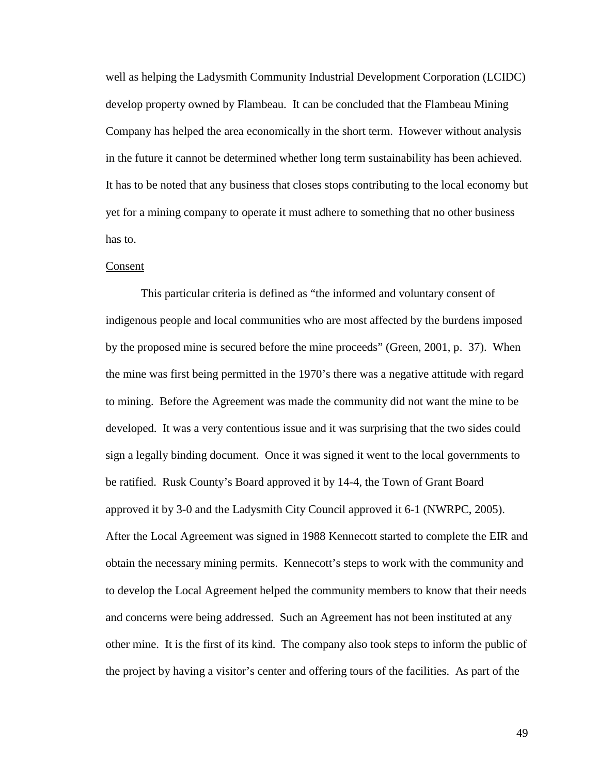well as helping the Ladysmith Community Industrial Development Corporation (LCIDC) develop property owned by Flambeau. It can be concluded that the Flambeau Mining Company has helped the area economically in the short term. However without analysis in the future it cannot be determined whether long term sustainability has been achieved. It has to be noted that any business that closes stops contributing to the local economy but yet for a mining company to operate it must adhere to something that no other business has to.

#### Consent

 This particular criteria is defined as "the informed and voluntary consent of indigenous people and local communities who are most affected by the burdens imposed by the proposed mine is secured before the mine proceeds" (Green, 2001, p. 37). When the mine was first being permitted in the 1970's there was a negative attitude with regard to mining. Before the Agreement was made the community did not want the mine to be developed. It was a very contentious issue and it was surprising that the two sides could sign a legally binding document. Once it was signed it went to the local governments to be ratified. Rusk County's Board approved it by 14-4, the Town of Grant Board approved it by 3-0 and the Ladysmith City Council approved it 6-1 (NWRPC, 2005). After the Local Agreement was signed in 1988 Kennecott started to complete the EIR and obtain the necessary mining permits. Kennecott's steps to work with the community and to develop the Local Agreement helped the community members to know that their needs and concerns were being addressed. Such an Agreement has not been instituted at any other mine. It is the first of its kind. The company also took steps to inform the public of the project by having a visitor's center and offering tours of the facilities. As part of the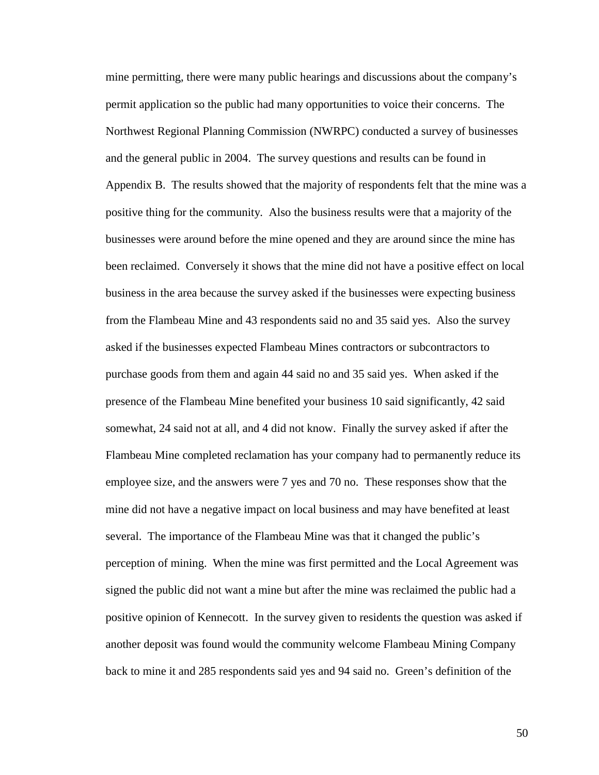mine permitting, there were many public hearings and discussions about the company's permit application so the public had many opportunities to voice their concerns. The Northwest Regional Planning Commission (NWRPC) conducted a survey of businesses and the general public in 2004. The survey questions and results can be found in Appendix B. The results showed that the majority of respondents felt that the mine was a positive thing for the community. Also the business results were that a majority of the businesses were around before the mine opened and they are around since the mine has been reclaimed. Conversely it shows that the mine did not have a positive effect on local business in the area because the survey asked if the businesses were expecting business from the Flambeau Mine and 43 respondents said no and 35 said yes. Also the survey asked if the businesses expected Flambeau Mines contractors or subcontractors to purchase goods from them and again 44 said no and 35 said yes. When asked if the presence of the Flambeau Mine benefited your business 10 said significantly, 42 said somewhat, 24 said not at all, and 4 did not know. Finally the survey asked if after the Flambeau Mine completed reclamation has your company had to permanently reduce its employee size, and the answers were 7 yes and 70 no. These responses show that the mine did not have a negative impact on local business and may have benefited at least several. The importance of the Flambeau Mine was that it changed the public's perception of mining. When the mine was first permitted and the Local Agreement was signed the public did not want a mine but after the mine was reclaimed the public had a positive opinion of Kennecott. In the survey given to residents the question was asked if another deposit was found would the community welcome Flambeau Mining Company back to mine it and 285 respondents said yes and 94 said no. Green's definition of the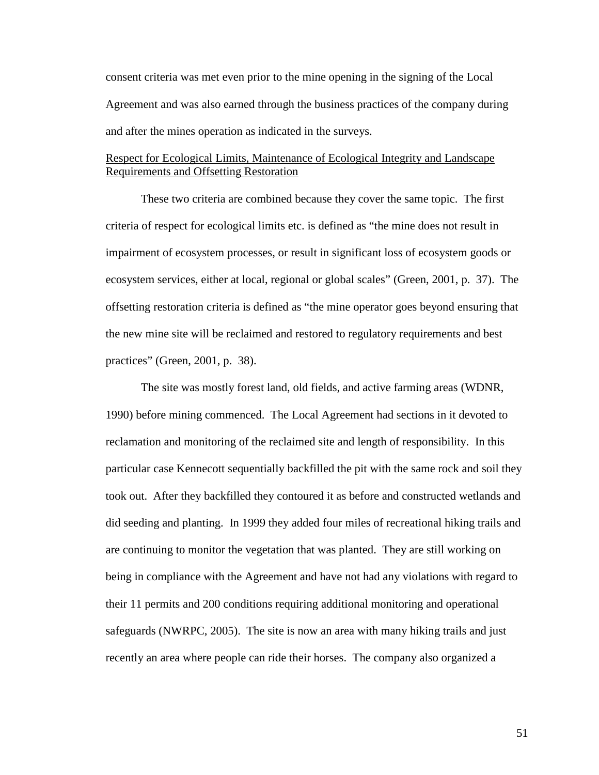consent criteria was met even prior to the mine opening in the signing of the Local Agreement and was also earned through the business practices of the company during and after the mines operation as indicated in the surveys.

### Respect for Ecological Limits, Maintenance of Ecological Integrity and Landscape Requirements and Offsetting Restoration

 These two criteria are combined because they cover the same topic. The first criteria of respect for ecological limits etc. is defined as "the mine does not result in impairment of ecosystem processes, or result in significant loss of ecosystem goods or ecosystem services, either at local, regional or global scales" (Green, 2001, p. 37). The offsetting restoration criteria is defined as "the mine operator goes beyond ensuring that the new mine site will be reclaimed and restored to regulatory requirements and best practices" (Green, 2001, p. 38).

 The site was mostly forest land, old fields, and active farming areas (WDNR, 1990) before mining commenced. The Local Agreement had sections in it devoted to reclamation and monitoring of the reclaimed site and length of responsibility. In this particular case Kennecott sequentially backfilled the pit with the same rock and soil they took out. After they backfilled they contoured it as before and constructed wetlands and did seeding and planting. In 1999 they added four miles of recreational hiking trails and are continuing to monitor the vegetation that was planted. They are still working on being in compliance with the Agreement and have not had any violations with regard to their 11 permits and 200 conditions requiring additional monitoring and operational safeguards (NWRPC, 2005). The site is now an area with many hiking trails and just recently an area where people can ride their horses. The company also organized a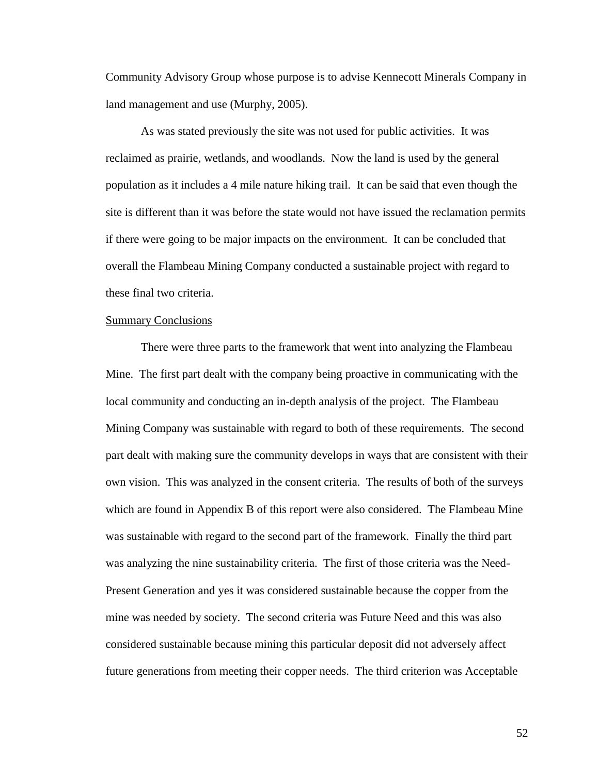Community Advisory Group whose purpose is to advise Kennecott Minerals Company in land management and use (Murphy, 2005).

 As was stated previously the site was not used for public activities. It was reclaimed as prairie, wetlands, and woodlands. Now the land is used by the general population as it includes a 4 mile nature hiking trail. It can be said that even though the site is different than it was before the state would not have issued the reclamation permits if there were going to be major impacts on the environment. It can be concluded that overall the Flambeau Mining Company conducted a sustainable project with regard to these final two criteria.

#### Summary Conclusions

 There were three parts to the framework that went into analyzing the Flambeau Mine. The first part dealt with the company being proactive in communicating with the local community and conducting an in-depth analysis of the project. The Flambeau Mining Company was sustainable with regard to both of these requirements. The second part dealt with making sure the community develops in ways that are consistent with their own vision. This was analyzed in the consent criteria. The results of both of the surveys which are found in Appendix B of this report were also considered. The Flambeau Mine was sustainable with regard to the second part of the framework. Finally the third part was analyzing the nine sustainability criteria. The first of those criteria was the Need-Present Generation and yes it was considered sustainable because the copper from the mine was needed by society. The second criteria was Future Need and this was also considered sustainable because mining this particular deposit did not adversely affect future generations from meeting their copper needs. The third criterion was Acceptable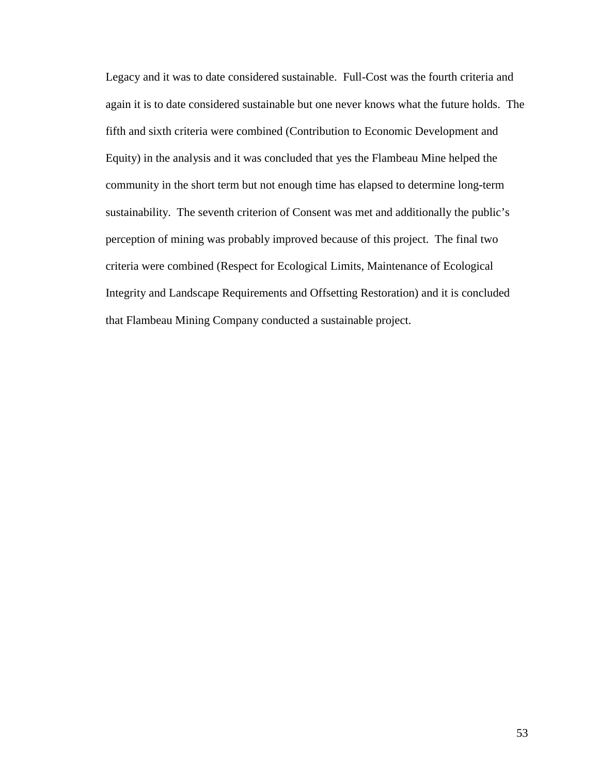Legacy and it was to date considered sustainable. Full-Cost was the fourth criteria and again it is to date considered sustainable but one never knows what the future holds. The fifth and sixth criteria were combined (Contribution to Economic Development and Equity) in the analysis and it was concluded that yes the Flambeau Mine helped the community in the short term but not enough time has elapsed to determine long-term sustainability. The seventh criterion of Consent was met and additionally the public's perception of mining was probably improved because of this project. The final two criteria were combined (Respect for Ecological Limits, Maintenance of Ecological Integrity and Landscape Requirements and Offsetting Restoration) and it is concluded that Flambeau Mining Company conducted a sustainable project.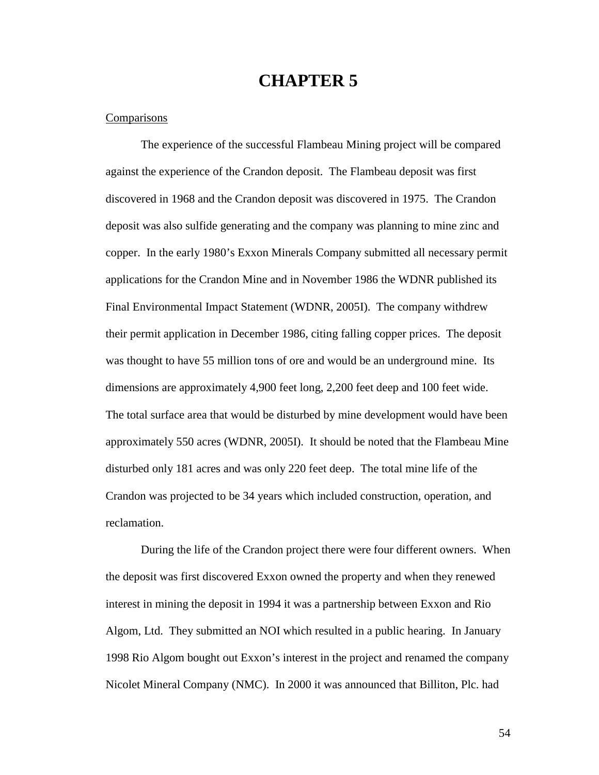# **CHAPTER 5**

#### **Comparisons**

 The experience of the successful Flambeau Mining project will be compared against the experience of the Crandon deposit. The Flambeau deposit was first discovered in 1968 and the Crandon deposit was discovered in 1975. The Crandon deposit was also sulfide generating and the company was planning to mine zinc and copper. In the early 1980's Exxon Minerals Company submitted all necessary permit applications for the Crandon Mine and in November 1986 the WDNR published its Final Environmental Impact Statement (WDNR, 2005I). The company withdrew their permit application in December 1986, citing falling copper prices. The deposit was thought to have 55 million tons of ore and would be an underground mine. Its dimensions are approximately 4,900 feet long, 2,200 feet deep and 100 feet wide. The total surface area that would be disturbed by mine development would have been approximately 550 acres (WDNR, 2005I). It should be noted that the Flambeau Mine disturbed only 181 acres and was only 220 feet deep. The total mine life of the Crandon was projected to be 34 years which included construction, operation, and reclamation.

 During the life of the Crandon project there were four different owners. When the deposit was first discovered Exxon owned the property and when they renewed interest in mining the deposit in 1994 it was a partnership between Exxon and Rio Algom, Ltd. They submitted an NOI which resulted in a public hearing. In January 1998 Rio Algom bought out Exxon's interest in the project and renamed the company Nicolet Mineral Company (NMC). In 2000 it was announced that Billiton, Plc. had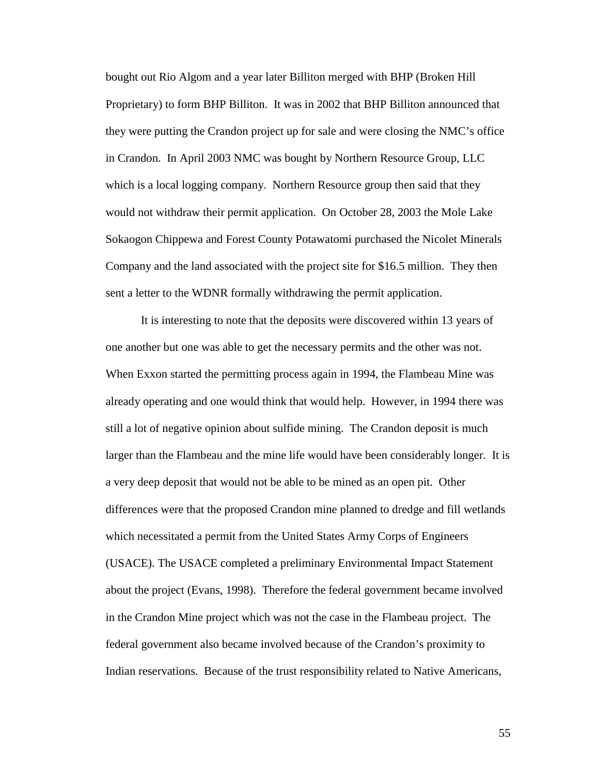bought out Rio Algom and a year later Billiton merged with BHP (Broken Hill Proprietary) to form BHP Billiton. It was in 2002 that BHP Billiton announced that they were putting the Crandon project up for sale and were closing the NMC's office in Crandon. In April 2003 NMC was bought by Northern Resource Group, LLC which is a local logging company. Northern Resource group then said that they would not withdraw their permit application. On October 28, 2003 the Mole Lake Sokaogon Chippewa and Forest County Potawatomi purchased the Nicolet Minerals Company and the land associated with the project site for \$16.5 million. They then sent a letter to the WDNR formally withdrawing the permit application.

 It is interesting to note that the deposits were discovered within 13 years of one another but one was able to get the necessary permits and the other was not. When Exxon started the permitting process again in 1994, the Flambeau Mine was already operating and one would think that would help. However, in 1994 there was still a lot of negative opinion about sulfide mining. The Crandon deposit is much larger than the Flambeau and the mine life would have been considerably longer. It is a very deep deposit that would not be able to be mined as an open pit. Other differences were that the proposed Crandon mine planned to dredge and fill wetlands which necessitated a permit from the United States Army Corps of Engineers (USACE). The USACE completed a preliminary Environmental Impact Statement about the project (Evans, 1998). Therefore the federal government became involved in the Crandon Mine project which was not the case in the Flambeau project. The federal government also became involved because of the Crandon's proximity to Indian reservations. Because of the trust responsibility related to Native Americans,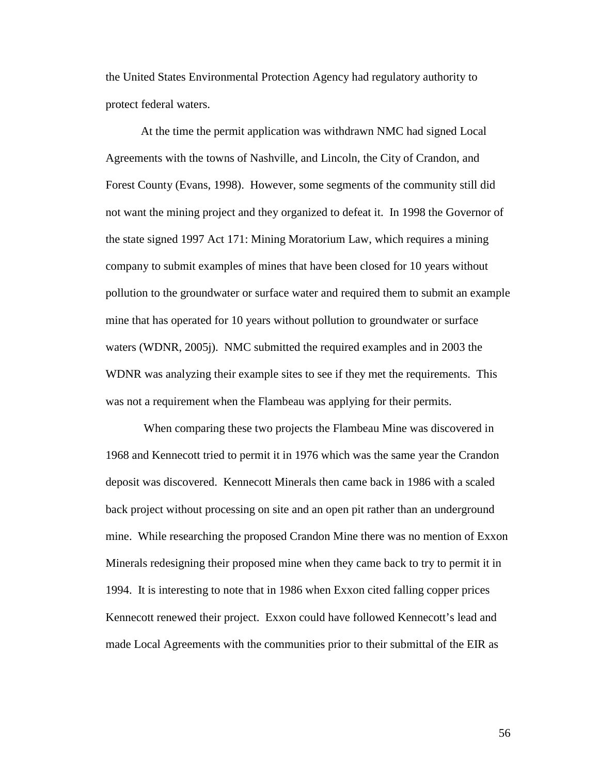the United States Environmental Protection Agency had regulatory authority to protect federal waters.

At the time the permit application was withdrawn NMC had signed Local Agreements with the towns of Nashville, and Lincoln, the City of Crandon, and Forest County (Evans, 1998). However, some segments of the community still did not want the mining project and they organized to defeat it. In 1998 the Governor of the state signed 1997 Act 171: Mining Moratorium Law, which requires a mining company to submit examples of mines that have been closed for 10 years without pollution to the groundwater or surface water and required them to submit an example mine that has operated for 10 years without pollution to groundwater or surface waters (WDNR, 2005j). NMC submitted the required examples and in 2003 the WDNR was analyzing their example sites to see if they met the requirements. This was not a requirement when the Flambeau was applying for their permits.

 When comparing these two projects the Flambeau Mine was discovered in 1968 and Kennecott tried to permit it in 1976 which was the same year the Crandon deposit was discovered. Kennecott Minerals then came back in 1986 with a scaled back project without processing on site and an open pit rather than an underground mine. While researching the proposed Crandon Mine there was no mention of Exxon Minerals redesigning their proposed mine when they came back to try to permit it in 1994. It is interesting to note that in 1986 when Exxon cited falling copper prices Kennecott renewed their project. Exxon could have followed Kennecott's lead and made Local Agreements with the communities prior to their submittal of the EIR as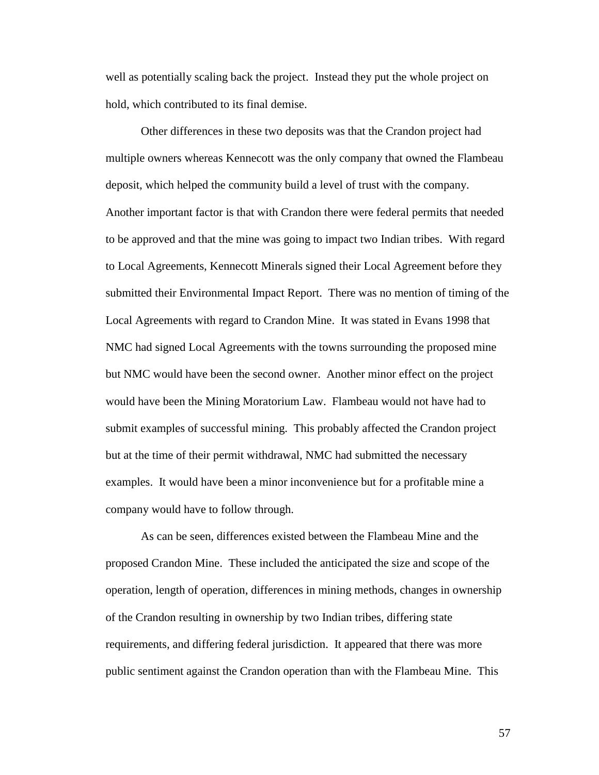well as potentially scaling back the project. Instead they put the whole project on hold, which contributed to its final demise.

 Other differences in these two deposits was that the Crandon project had multiple owners whereas Kennecott was the only company that owned the Flambeau deposit, which helped the community build a level of trust with the company. Another important factor is that with Crandon there were federal permits that needed to be approved and that the mine was going to impact two Indian tribes. With regard to Local Agreements, Kennecott Minerals signed their Local Agreement before they submitted their Environmental Impact Report. There was no mention of timing of the Local Agreements with regard to Crandon Mine. It was stated in Evans 1998 that NMC had signed Local Agreements with the towns surrounding the proposed mine but NMC would have been the second owner. Another minor effect on the project would have been the Mining Moratorium Law. Flambeau would not have had to submit examples of successful mining. This probably affected the Crandon project but at the time of their permit withdrawal, NMC had submitted the necessary examples. It would have been a minor inconvenience but for a profitable mine a company would have to follow through.

 As can be seen, differences existed between the Flambeau Mine and the proposed Crandon Mine. These included the anticipated the size and scope of the operation, length of operation, differences in mining methods, changes in ownership of the Crandon resulting in ownership by two Indian tribes, differing state requirements, and differing federal jurisdiction. It appeared that there was more public sentiment against the Crandon operation than with the Flambeau Mine. This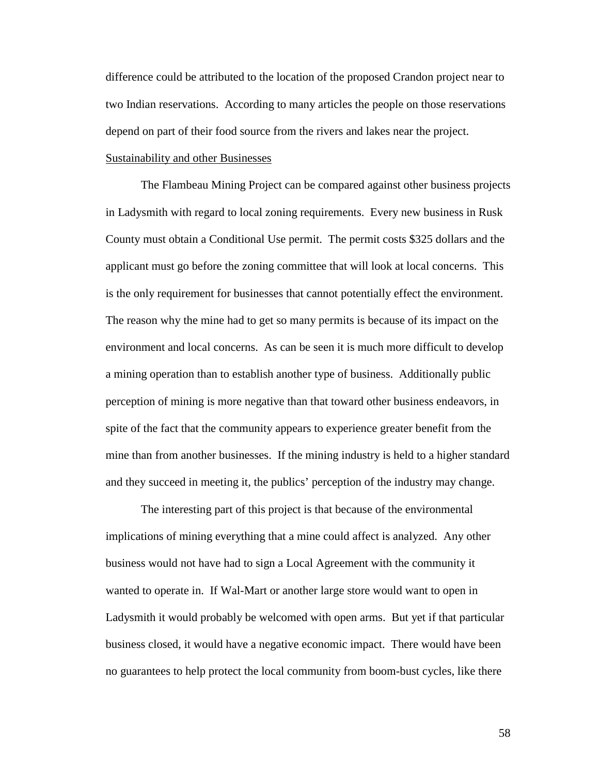difference could be attributed to the location of the proposed Crandon project near to two Indian reservations. According to many articles the people on those reservations depend on part of their food source from the rivers and lakes near the project.

## Sustainability and other Businesses

 The Flambeau Mining Project can be compared against other business projects in Ladysmith with regard to local zoning requirements. Every new business in Rusk County must obtain a Conditional Use permit. The permit costs \$325 dollars and the applicant must go before the zoning committee that will look at local concerns. This is the only requirement for businesses that cannot potentially effect the environment. The reason why the mine had to get so many permits is because of its impact on the environment and local concerns. As can be seen it is much more difficult to develop a mining operation than to establish another type of business. Additionally public perception of mining is more negative than that toward other business endeavors, in spite of the fact that the community appears to experience greater benefit from the mine than from another businesses. If the mining industry is held to a higher standard and they succeed in meeting it, the publics' perception of the industry may change.

 The interesting part of this project is that because of the environmental implications of mining everything that a mine could affect is analyzed. Any other business would not have had to sign a Local Agreement with the community it wanted to operate in. If Wal-Mart or another large store would want to open in Ladysmith it would probably be welcomed with open arms. But yet if that particular business closed, it would have a negative economic impact. There would have been no guarantees to help protect the local community from boom-bust cycles, like there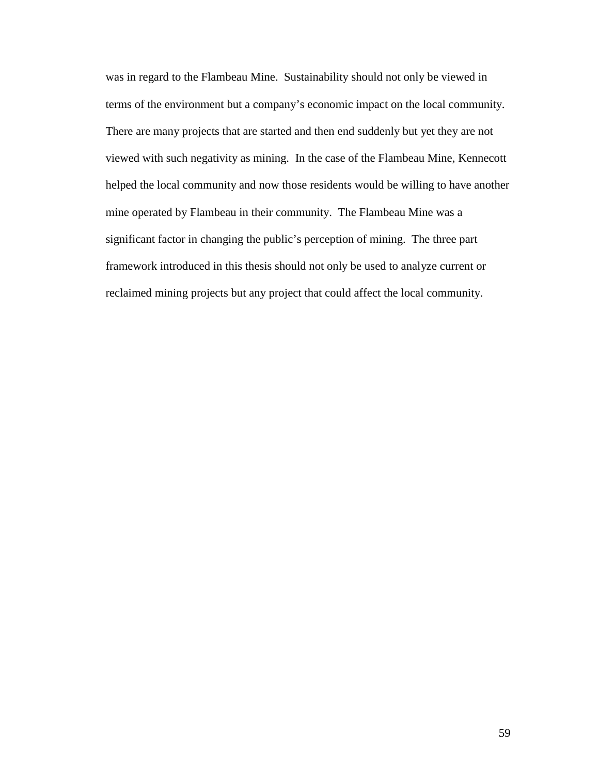was in regard to the Flambeau Mine. Sustainability should not only be viewed in terms of the environment but a company's economic impact on the local community. There are many projects that are started and then end suddenly but yet they are not viewed with such negativity as mining. In the case of the Flambeau Mine, Kennecott helped the local community and now those residents would be willing to have another mine operated by Flambeau in their community. The Flambeau Mine was a significant factor in changing the public's perception of mining. The three part framework introduced in this thesis should not only be used to analyze current or reclaimed mining projects but any project that could affect the local community.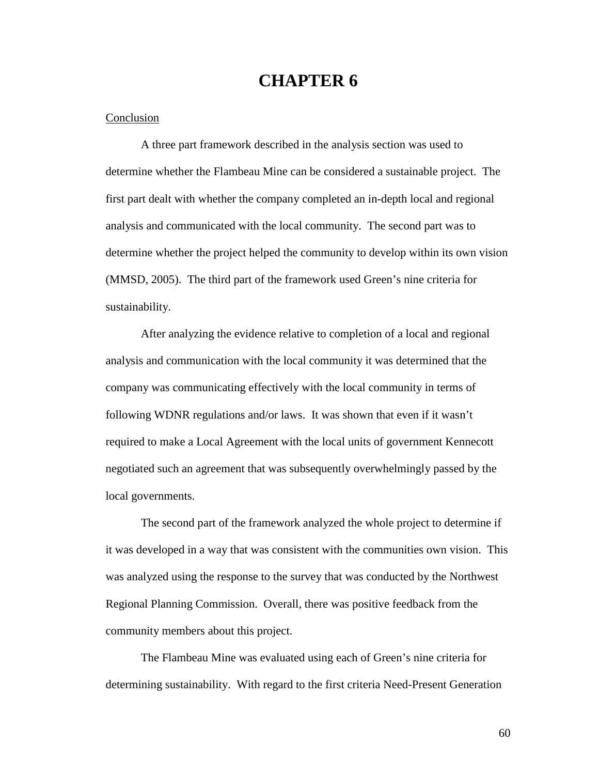# **CHAPTER 6**

#### Conclusion

 A three part framework described in the analysis section was used to determine whether the Flambeau Mine can be considered a sustainable project. The first part dealt with whether the company completed an in-depth local and regional analysis and communicated with the local community. The second part was to determine whether the project helped the community to develop within its own vision (MMSD, 2005). The third part of the framework used Green's nine criteria for sustainability.

 After analyzing the evidence relative to completion of a local and regional analysis and communication with the local community it was determined that the company was communicating effectively with the local community in terms of following WDNR regulations and/or laws. It was shown that even if it wasn't required to make a Local Agreement with the local units of government Kennecott negotiated such an agreement that was subsequently overwhelmingly passed by the local governments.

The second part of the framework analyzed the whole project to determine if it was developed in a way that was consistent with the communities own vision. This was analyzed using the response to the survey that was conducted by the Northwest Regional Planning Commission. Overall, there was positive feedback from the community members about this project.

The Flambeau Mine was evaluated using each of Green's nine criteria for determining sustainability. With regard to the first criteria Need-Present Generation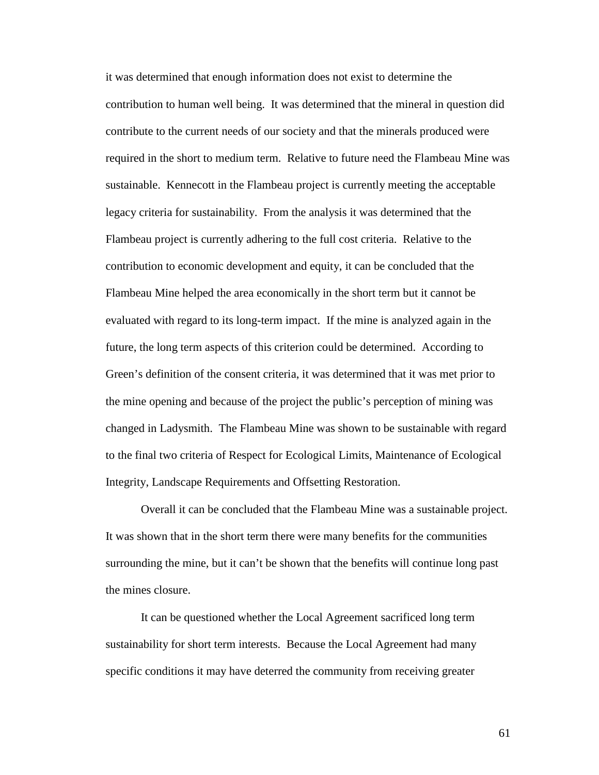it was determined that enough information does not exist to determine the contribution to human well being. It was determined that the mineral in question did contribute to the current needs of our society and that the minerals produced were required in the short to medium term. Relative to future need the Flambeau Mine was sustainable. Kennecott in the Flambeau project is currently meeting the acceptable legacy criteria for sustainability. From the analysis it was determined that the Flambeau project is currently adhering to the full cost criteria. Relative to the contribution to economic development and equity, it can be concluded that the Flambeau Mine helped the area economically in the short term but it cannot be evaluated with regard to its long-term impact. If the mine is analyzed again in the future, the long term aspects of this criterion could be determined. According to Green's definition of the consent criteria, it was determined that it was met prior to the mine opening and because of the project the public's perception of mining was changed in Ladysmith. The Flambeau Mine was shown to be sustainable with regard to the final two criteria of Respect for Ecological Limits, Maintenance of Ecological Integrity, Landscape Requirements and Offsetting Restoration.

Overall it can be concluded that the Flambeau Mine was a sustainable project. It was shown that in the short term there were many benefits for the communities surrounding the mine, but it can't be shown that the benefits will continue long past the mines closure.

It can be questioned whether the Local Agreement sacrificed long term sustainability for short term interests. Because the Local Agreement had many specific conditions it may have deterred the community from receiving greater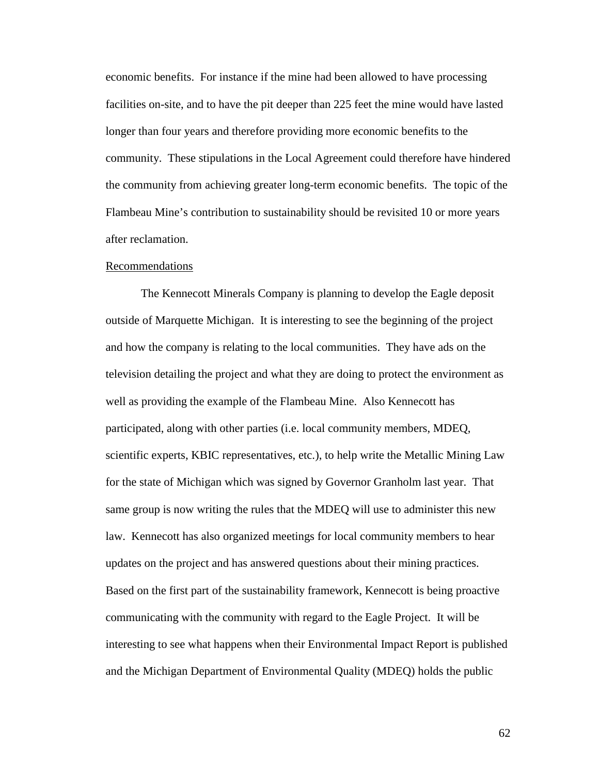economic benefits. For instance if the mine had been allowed to have processing facilities on-site, and to have the pit deeper than 225 feet the mine would have lasted longer than four years and therefore providing more economic benefits to the community. These stipulations in the Local Agreement could therefore have hindered the community from achieving greater long-term economic benefits. The topic of the Flambeau Mine's contribution to sustainability should be revisited 10 or more years after reclamation.

#### Recommendations

 The Kennecott Minerals Company is planning to develop the Eagle deposit outside of Marquette Michigan. It is interesting to see the beginning of the project and how the company is relating to the local communities. They have ads on the television detailing the project and what they are doing to protect the environment as well as providing the example of the Flambeau Mine. Also Kennecott has participated, along with other parties (i.e. local community members, MDEQ, scientific experts, KBIC representatives, etc.), to help write the Metallic Mining Law for the state of Michigan which was signed by Governor Granholm last year. That same group is now writing the rules that the MDEQ will use to administer this new law. Kennecott has also organized meetings for local community members to hear updates on the project and has answered questions about their mining practices. Based on the first part of the sustainability framework, Kennecott is being proactive communicating with the community with regard to the Eagle Project. It will be interesting to see what happens when their Environmental Impact Report is published and the Michigan Department of Environmental Quality (MDEQ) holds the public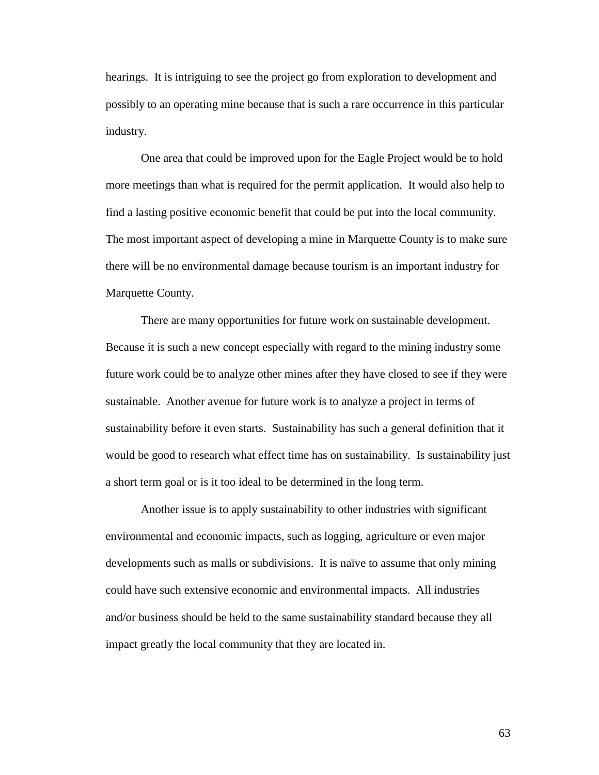hearings. It is intriguing to see the project go from exploration to development and possibly to an operating mine because that is such a rare occurrence in this particular industry.

 One area that could be improved upon for the Eagle Project would be to hold more meetings than what is required for the permit application. It would also help to find a lasting positive economic benefit that could be put into the local community. The most important aspect of developing a mine in Marquette County is to make sure there will be no environmental damage because tourism is an important industry for Marquette County.

 There are many opportunities for future work on sustainable development. Because it is such a new concept especially with regard to the mining industry some future work could be to analyze other mines after they have closed to see if they were sustainable. Another avenue for future work is to analyze a project in terms of sustainability before it even starts. Sustainability has such a general definition that it would be good to research what effect time has on sustainability. Is sustainability just a short term goal or is it too ideal to be determined in the long term.

 Another issue is to apply sustainability to other industries with significant environmental and economic impacts, such as logging, agriculture or even major developments such as malls or subdivisions. It is naïve to assume that only mining could have such extensive economic and environmental impacts. All industries and/or business should be held to the same sustainability standard because they all impact greatly the local community that they are located in.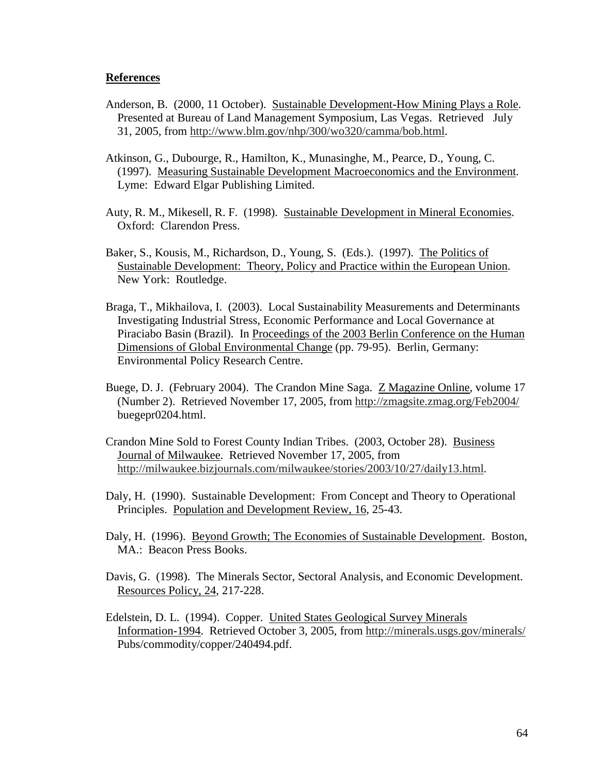### **References**

- Anderson, B. (2000, 11 October). Sustainable Development-How Mining Plays a Role. Presented at Bureau of Land Management Symposium, Las Vegas. Retrieved July 31, 2005, from http://www.blm.gov/nhp/300/wo320/camma/bob.html.
- Atkinson, G., Dubourge, R., Hamilton, K., Munasinghe, M., Pearce, D., Young, C. (1997). Measuring Sustainable Development Macroeconomics and the Environment. Lyme: Edward Elgar Publishing Limited.
- Auty, R. M., Mikesell, R. F. (1998). Sustainable Development in Mineral Economies. Oxford: Clarendon Press.
- Baker, S., Kousis, M., Richardson, D., Young, S. (Eds.). (1997). The Politics of Sustainable Development: Theory, Policy and Practice within the European Union. New York: Routledge.
- Braga, T., Mikhailova, I. (2003). Local Sustainability Measurements and Determinants Investigating Industrial Stress, Economic Performance and Local Governance at Piraciabo Basin (Brazil). In Proceedings of the 2003 Berlin Conference on the Human Dimensions of Global Environmental Change (pp. 79-95). Berlin, Germany: Environmental Policy Research Centre.
- Buege, D. J. (February 2004). The Crandon Mine Saga. Z Magazine Online, volume 17 (Number 2). Retrieved November 17, 2005, from http://zmagsite.zmag.org/Feb2004/ buegepr0204.html.
- Crandon Mine Sold to Forest County Indian Tribes. (2003, October 28). Business Journal of Milwaukee. Retrieved November 17, 2005, from http://milwaukee.bizjournals.com/milwaukee/stories/2003/10/27/daily13.html.
- Daly, H. (1990). Sustainable Development: From Concept and Theory to Operational Principles. Population and Development Review, 16, 25-43.
- Daly, H. (1996). Beyond Growth; The Economies of Sustainable Development. Boston, MA.: Beacon Press Books.
- Davis, G. (1998). The Minerals Sector, Sectoral Analysis, and Economic Development. Resources Policy, 24, 217-228.
- Edelstein, D. L. (1994). Copper. United States Geological Survey Minerals Information-1994. Retrieved October 3, 2005, from http://minerals.usgs.gov/minerals/ Pubs/commodity/copper/240494.pdf.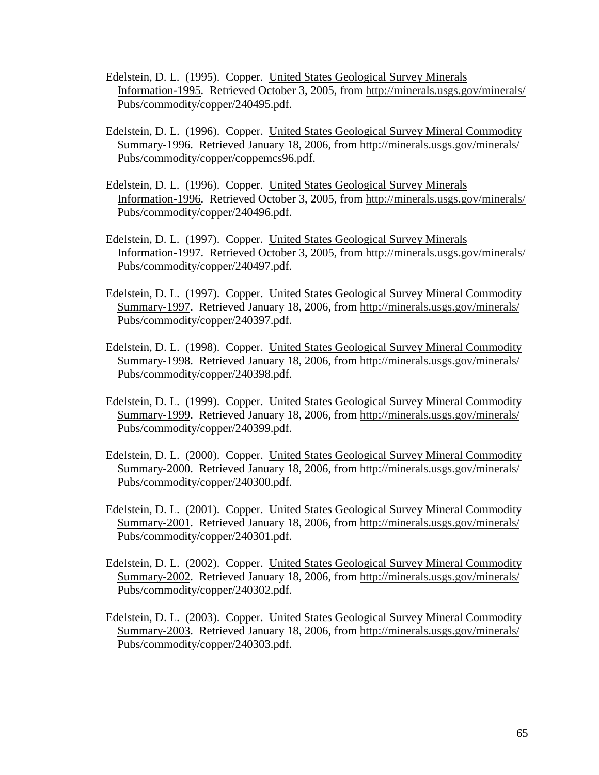- Edelstein, D. L. (1995). Copper. United States Geological Survey Minerals Information-1995. Retrieved October 3, 2005, from http://minerals.usgs.gov/minerals/ Pubs/commodity/copper/240495.pdf.
- Edelstein, D. L. (1996). Copper. United States Geological Survey Mineral Commodity Summary-1996. Retrieved January 18, 2006, from http://minerals.usgs.gov/minerals/ Pubs/commodity/copper/coppemcs96.pdf.
- Edelstein, D. L. (1996). Copper. United States Geological Survey Minerals Information-1996. Retrieved October 3, 2005, from http://minerals.usgs.gov/minerals/ Pubs/commodity/copper/240496.pdf.
- Edelstein, D. L. (1997). Copper. United States Geological Survey Minerals Information-1997. Retrieved October 3, 2005, from http://minerals.usgs.gov/minerals/ Pubs/commodity/copper/240497.pdf.
- Edelstein, D. L. (1997). Copper. United States Geological Survey Mineral Commodity Summary-1997. Retrieved January 18, 2006, from http://minerals.usgs.gov/minerals/ Pubs/commodity/copper/240397.pdf.
- Edelstein, D. L. (1998). Copper. United States Geological Survey Mineral Commodity Summary-1998. Retrieved January 18, 2006, from http://minerals.usgs.gov/minerals/ Pubs/commodity/copper/240398.pdf.
- Edelstein, D. L. (1999). Copper. United States Geological Survey Mineral Commodity Summary-1999. Retrieved January 18, 2006, from http://minerals.usgs.gov/minerals/ Pubs/commodity/copper/240399.pdf.
- Edelstein, D. L. (2000). Copper. United States Geological Survey Mineral Commodity Summary-2000. Retrieved January 18, 2006, from http://minerals.usgs.gov/minerals/ Pubs/commodity/copper/240300.pdf.
- Edelstein, D. L. (2001). Copper. United States Geological Survey Mineral Commodity Summary-2001. Retrieved January 18, 2006, from http://minerals.usgs.gov/minerals/ Pubs/commodity/copper/240301.pdf.
- Edelstein, D. L. (2002). Copper. United States Geological Survey Mineral Commodity Summary-2002. Retrieved January 18, 2006, from http://minerals.usgs.gov/minerals/ Pubs/commodity/copper/240302.pdf.
- Edelstein, D. L. (2003). Copper. United States Geological Survey Mineral Commodity Summary-2003. Retrieved January 18, 2006, from http://minerals.usgs.gov/minerals/ Pubs/commodity/copper/240303.pdf.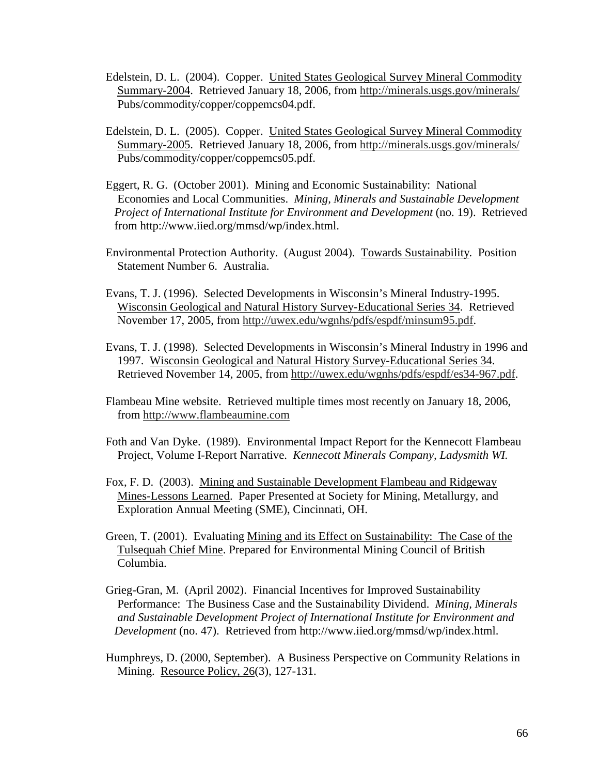- Edelstein, D. L. (2004). Copper. United States Geological Survey Mineral Commodity Summary-2004. Retrieved January 18, 2006, from http://minerals.usgs.gov/minerals/ Pubs/commodity/copper/coppemcs04.pdf.
- Edelstein, D. L. (2005). Copper. United States Geological Survey Mineral Commodity Summary-2005. Retrieved January 18, 2006, from http://minerals.usgs.gov/minerals/ Pubs/commodity/copper/coppemcs05.pdf.
- Eggert, R. G. (October 2001). Mining and Economic Sustainability: National Economies and Local Communities. *Mining, Minerals and Sustainable Development Project of International Institute for Environment and Development* (no. 19). Retrieved from http://www.iied.org/mmsd/wp/index.html.
- Environmental Protection Authority. (August 2004). Towards Sustainability. Position Statement Number 6. Australia.
- Evans, T. J. (1996). Selected Developments in Wisconsin's Mineral Industry-1995. Wisconsin Geological and Natural History Survey-Educational Series 34. Retrieved November 17, 2005, from http://uwex.edu/wgnhs/pdfs/espdf/minsum95.pdf.
- Evans, T. J. (1998). Selected Developments in Wisconsin's Mineral Industry in 1996 and 1997. Wisconsin Geological and Natural History Survey-Educational Series 34. Retrieved November 14, 2005, from http://uwex.edu/wgnhs/pdfs/espdf/es34-967.pdf.
- Flambeau Mine website. Retrieved multiple times most recently on January 18, 2006, from http://www.flambeaumine.com
- Foth and Van Dyke. (1989). Environmental Impact Report for the Kennecott Flambeau Project, Volume I-Report Narrative. *Kennecott Minerals Company, Ladysmith WI.*
- Fox, F. D. (2003). Mining and Sustainable Development Flambeau and Ridgeway Mines-Lessons Learned. Paper Presented at Society for Mining, Metallurgy, and Exploration Annual Meeting (SME), Cincinnati, OH.
- Green, T. (2001). Evaluating Mining and its Effect on Sustainability: The Case of the Tulsequah Chief Mine. Prepared for Environmental Mining Council of British Columbia.
- Grieg-Gran, M. (April 2002). Financial Incentives for Improved Sustainability Performance: The Business Case and the Sustainability Dividend. *Mining, Minerals and Sustainable Development Project of International Institute for Environment and Development* (no. 47). Retrieved from http://www.iied.org/mmsd/wp/index.html.
- Humphreys, D. (2000, September). A Business Perspective on Community Relations in Mining. Resource Policy, 26(3), 127-131.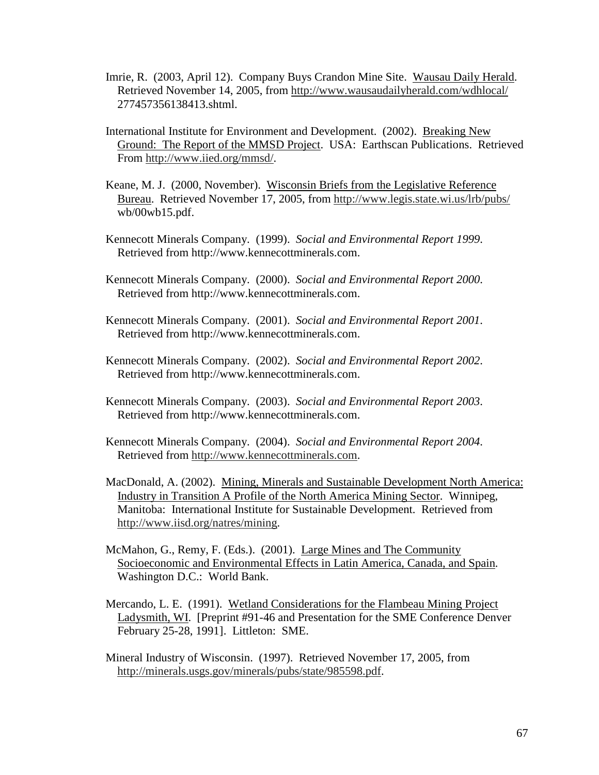- Imrie, R. (2003, April 12). Company Buys Crandon Mine Site. Wausau Daily Herald. Retrieved November 14, 2005, from http://www.wausaudailyherald.com/wdhlocal/ 277457356138413.shtml.
- International Institute for Environment and Development. (2002). Breaking New Ground: The Report of the MMSD Project. USA: Earthscan Publications. Retrieved From http://www.iied.org/mmsd/.
- Keane, M. J. (2000, November). Wisconsin Briefs from the Legislative Reference Bureau. Retrieved November 17, 2005, from http://www.legis.state.wi.us/lrb/pubs/ wb/00wb15.pdf.
- Kennecott Minerals Company. (1999). *Social and Environmental Report 1999*. Retrieved from http://www.kennecottminerals.com.
- Kennecott Minerals Company. (2000). *Social and Environmental Report 2000*. Retrieved from http://www.kennecottminerals.com.
- Kennecott Minerals Company. (2001). *Social and Environmental Report 2001*. Retrieved from http://www.kennecottminerals.com.
- Kennecott Minerals Company. (2002). *Social and Environmental Report 2002*. Retrieved from http://www.kennecottminerals.com.
- Kennecott Minerals Company. (2003). *Social and Environmental Report 2003*. Retrieved from http://www.kennecottminerals.com.
- Kennecott Minerals Company. (2004). *Social and Environmental Report 2004*. Retrieved from http://www.kennecottminerals.com.
- MacDonald, A. (2002). Mining, Minerals and Sustainable Development North America: Industry in Transition A Profile of the North America Mining Sector. Winnipeg, Manitoba: International Institute for Sustainable Development. Retrieved from http://www.iisd.org/natres/mining.
- McMahon, G., Remy, F. (Eds.). (2001). Large Mines and The Community Socioeconomic and Environmental Effects in Latin America, Canada, and Spain. Washington D.C.: World Bank.
- Mercando, L. E. (1991). Wetland Considerations for the Flambeau Mining Project Ladysmith, WI. [Preprint #91-46 and Presentation for the SME Conference Denver February 25-28, 1991]. Littleton: SME.
- Mineral Industry of Wisconsin. (1997). Retrieved November 17, 2005, from http://minerals.usgs.gov/minerals/pubs/state/985598.pdf.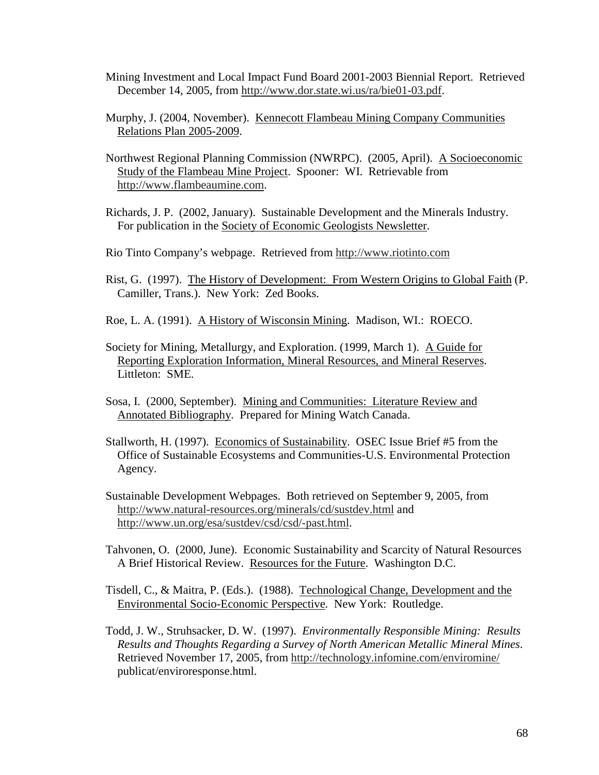- Mining Investment and Local Impact Fund Board 2001-2003 Biennial Report. Retrieved December 14, 2005, from http://www.dor.state.wi.us/ra/bie01-03.pdf.
- Murphy, J. (2004, November). Kennecott Flambeau Mining Company Communities Relations Plan 2005-2009.
- Northwest Regional Planning Commission (NWRPC). (2005, April). A Socioeconomic Study of the Flambeau Mine Project. Spooner: WI. Retrievable from http://www.flambeaumine.com.
- Richards, J. P. (2002, January). Sustainable Development and the Minerals Industry. For publication in the Society of Economic Geologists Newsletter.
- Rio Tinto Company's webpage. Retrieved from http://www.riotinto.com
- Rist, G. (1997). The History of Development: From Western Origins to Global Faith (P. Camiller, Trans.). New York: Zed Books.
- Roe, L. A. (1991). A History of Wisconsin Mining. Madison, WI.: ROECO.
- Society for Mining, Metallurgy, and Exploration. (1999, March 1). A Guide for Reporting Exploration Information, Mineral Resources, and Mineral Reserves. Littleton: SME.
- Sosa, I. (2000, September). Mining and Communities: Literature Review and Annotated Bibliography. Prepared for Mining Watch Canada.
- Stallworth, H. (1997). Economics of Sustainability. OSEC Issue Brief #5 from the Office of Sustainable Ecosystems and Communities-U.S. Environmental Protection Agency.
- Sustainable Development Webpages. Both retrieved on September 9, 2005, from http://www.natural-resources.org/minerals/cd/sustdev.html and http://www.un.org/esa/sustdev/csd/csd/-past.html.
- Tahvonen, O. (2000, June). Economic Sustainability and Scarcity of Natural Resources A Brief Historical Review. Resources for the Future. Washington D.C.
- Tisdell, C., & Maitra, P. (Eds.). (1988). Technological Change, Development and the Environmental Socio-Economic Perspective. New York: Routledge.
- Todd, J. W., Struhsacker, D. W. (1997). *Environmentally Responsible Mining: Results Results and Thoughts Regarding a Survey of North American Metallic Mineral Mines*. Retrieved November 17, 2005, from http://technology.infomine.com/enviromine/ publicat/enviroresponse.html.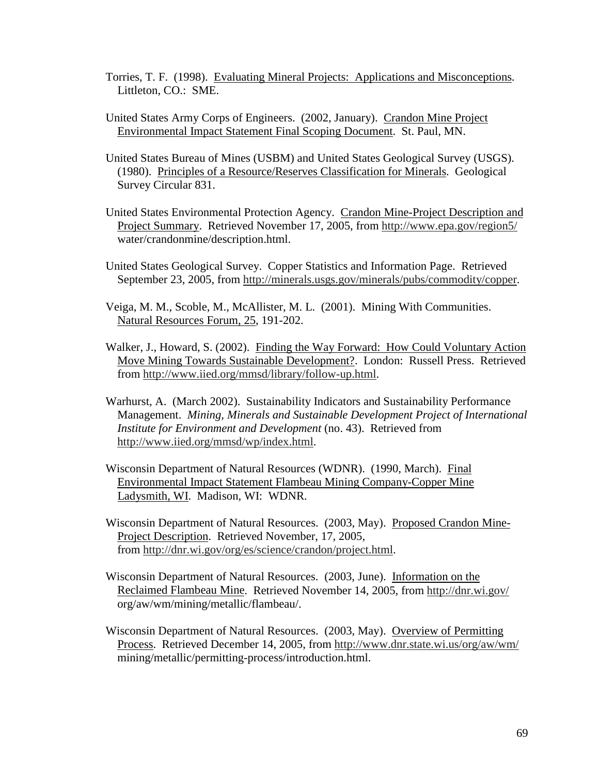- Torries, T. F. (1998). Evaluating Mineral Projects: Applications and Misconceptions. Littleton, CO.: SME.
- United States Army Corps of Engineers. (2002, January). Crandon Mine Project Environmental Impact Statement Final Scoping Document. St. Paul, MN.
- United States Bureau of Mines (USBM) and United States Geological Survey (USGS). (1980). Principles of a Resource/Reserves Classification for Minerals. Geological Survey Circular 831.
- United States Environmental Protection Agency. Crandon Mine-Project Description and Project Summary. Retrieved November 17, 2005, from http://www.epa.gov/region5/ water/crandonmine/description.html.
- United States Geological Survey. Copper Statistics and Information Page. Retrieved September 23, 2005, from http://minerals.usgs.gov/minerals/pubs/commodity/copper.
- Veiga, M. M., Scoble, M., McAllister, M. L. (2001). Mining With Communities. Natural Resources Forum, 25, 191-202.
- Walker, J., Howard, S. (2002). Finding the Way Forward: How Could Voluntary Action Move Mining Towards Sustainable Development?. London: Russell Press. Retrieved from http://www.iied.org/mmsd/library/follow-up.html.
- Warhurst, A. (March 2002). Sustainability Indicators and Sustainability Performance Management. *Mining, Minerals and Sustainable Development Project of International Institute for Environment and Development* (no. 43). Retrieved from http://www.iied.org/mmsd/wp/index.html.
- Wisconsin Department of Natural Resources (WDNR). (1990, March). Final Environmental Impact Statement Flambeau Mining Company-Copper Mine Ladysmith, WI. Madison, WI: WDNR.
- Wisconsin Department of Natural Resources. (2003, May). Proposed Crandon Mine- Project Description. Retrieved November, 17, 2005, from http://dnr.wi.gov/org/es/science/crandon/project.html.
- Wisconsin Department of Natural Resources. (2003, June). Information on the Reclaimed Flambeau Mine. Retrieved November 14, 2005, from http://dnr.wi.gov/ org/aw/wm/mining/metallic/flambeau/.
- Wisconsin Department of Natural Resources. (2003, May). Overview of Permitting Process. Retrieved December 14, 2005, from http://www.dnr.state.wi.us/org/aw/wm/ mining/metallic/permitting-process/introduction.html.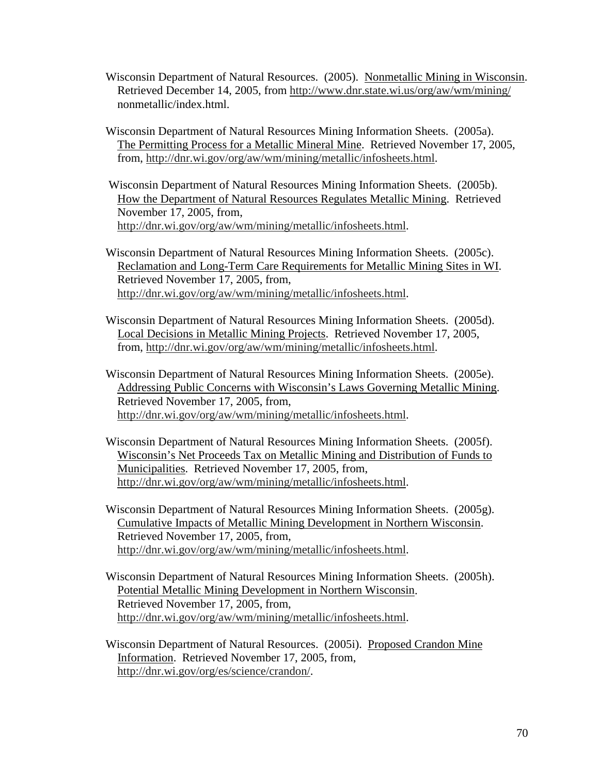- Wisconsin Department of Natural Resources. (2005). Nonmetallic Mining in Wisconsin. Retrieved December 14, 2005, from http://www.dnr.state.wi.us/org/aw/wm/mining/ nonmetallic/index.html.
- Wisconsin Department of Natural Resources Mining Information Sheets. (2005a). The Permitting Process for a Metallic Mineral Mine. Retrieved November 17, 2005, from, http://dnr.wi.gov/org/aw/wm/mining/metallic/infosheets.html.

 Wisconsin Department of Natural Resources Mining Information Sheets. (2005b). How the Department of Natural Resources Regulates Metallic Mining. Retrieved November 17, 2005, from, http://dnr.wi.gov/org/aw/wm/mining/metallic/infosheets.html.

Wisconsin Department of Natural Resources Mining Information Sheets. (2005c). Reclamation and Long-Term Care Requirements for Metallic Mining Sites in WI. Retrieved November 17, 2005, from, http://dnr.wi.gov/org/aw/wm/mining/metallic/infosheets.html.

- Wisconsin Department of Natural Resources Mining Information Sheets. (2005d). Local Decisions in Metallic Mining Projects. Retrieved November 17, 2005, from, http://dnr.wi.gov/org/aw/wm/mining/metallic/infosheets.html.
- Wisconsin Department of Natural Resources Mining Information Sheets. (2005e). Addressing Public Concerns with Wisconsin's Laws Governing Metallic Mining. Retrieved November 17, 2005, from, http://dnr.wi.gov/org/aw/wm/mining/metallic/infosheets.html.
- Wisconsin Department of Natural Resources Mining Information Sheets. (2005f). Wisconsin's Net Proceeds Tax on Metallic Mining and Distribution of Funds to Municipalities. Retrieved November 17, 2005, from, http://dnr.wi.gov/org/aw/wm/mining/metallic/infosheets.html.
- Wisconsin Department of Natural Resources Mining Information Sheets. (2005g). Cumulative Impacts of Metallic Mining Development in Northern Wisconsin. Retrieved November 17, 2005, from, http://dnr.wi.gov/org/aw/wm/mining/metallic/infosheets.html.
- Wisconsin Department of Natural Resources Mining Information Sheets. (2005h). Potential Metallic Mining Development in Northern Wisconsin. Retrieved November 17, 2005, from, http://dnr.wi.gov/org/aw/wm/mining/metallic/infosheets.html.
- Wisconsin Department of Natural Resources. (2005i). Proposed Crandon Mine Information. Retrieved November 17, 2005, from, http://dnr.wi.gov/org/es/science/crandon/.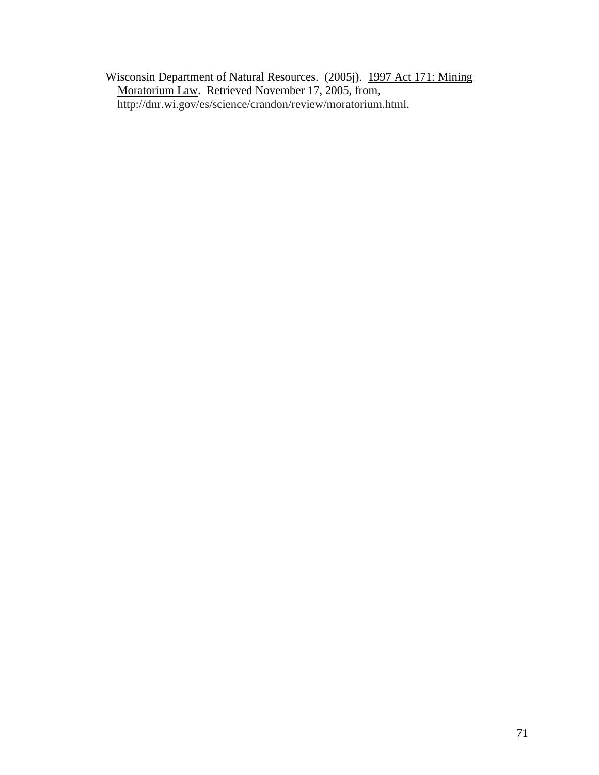Wisconsin Department of Natural Resources. (2005j). 1997 Act 171: Mining Moratorium Law. Retrieved November 17, 2005, from, http://dnr.wi.gov/es/science/crandon/review/moratorium.html.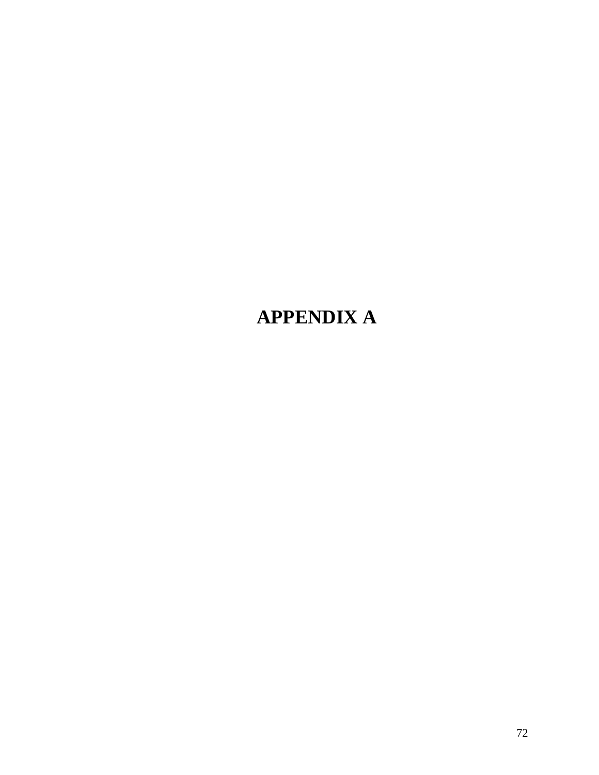# **APPENDIX A**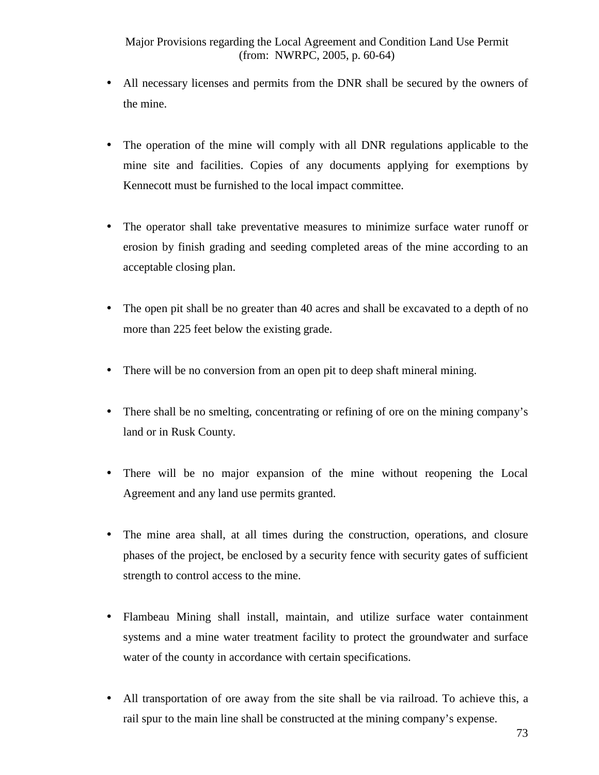- All necessary licenses and permits from the DNR shall be secured by the owners of the mine.
- The operation of the mine will comply with all DNR regulations applicable to the mine site and facilities. Copies of any documents applying for exemptions by Kennecott must be furnished to the local impact committee.
- The operator shall take preventative measures to minimize surface water runoff or erosion by finish grading and seeding completed areas of the mine according to an acceptable closing plan.
- The open pit shall be no greater than 40 acres and shall be excavated to a depth of no more than 225 feet below the existing grade.
- There will be no conversion from an open pit to deep shaft mineral mining.
- There shall be no smelting, concentrating or refining of ore on the mining company's land or in Rusk County.
- There will be no major expansion of the mine without reopening the Local Agreement and any land use permits granted.
- The mine area shall, at all times during the construction, operations, and closure phases of the project, be enclosed by a security fence with security gates of sufficient strength to control access to the mine.
- Flambeau Mining shall install, maintain, and utilize surface water containment systems and a mine water treatment facility to protect the groundwater and surface water of the county in accordance with certain specifications.
- All transportation of ore away from the site shall be via railroad. To achieve this, a rail spur to the main line shall be constructed at the mining company's expense.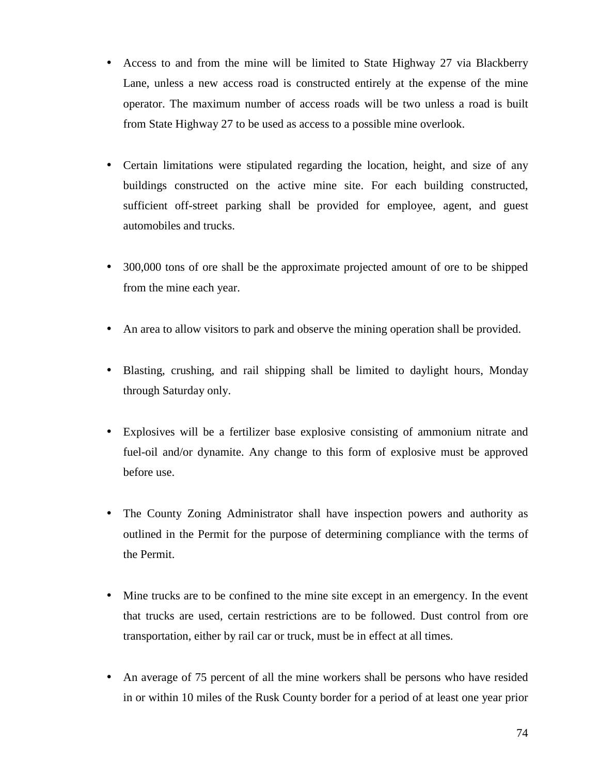- Access to and from the mine will be limited to State Highway 27 via Blackberry Lane, unless a new access road is constructed entirely at the expense of the mine operator. The maximum number of access roads will be two unless a road is built from State Highway 27 to be used as access to a possible mine overlook.
- Certain limitations were stipulated regarding the location, height, and size of any buildings constructed on the active mine site. For each building constructed, sufficient off-street parking shall be provided for employee, agent, and guest automobiles and trucks.
- 300,000 tons of ore shall be the approximate projected amount of ore to be shipped from the mine each year.
- An area to allow visitors to park and observe the mining operation shall be provided.
- Blasting, crushing, and rail shipping shall be limited to daylight hours, Monday through Saturday only.
- Explosives will be a fertilizer base explosive consisting of ammonium nitrate and fuel-oil and/or dynamite. Any change to this form of explosive must be approved before use.
- The County Zoning Administrator shall have inspection powers and authority as outlined in the Permit for the purpose of determining compliance with the terms of the Permit.
- Mine trucks are to be confined to the mine site except in an emergency. In the event that trucks are used, certain restrictions are to be followed. Dust control from ore transportation, either by rail car or truck, must be in effect at all times.
- An average of 75 percent of all the mine workers shall be persons who have resided in or within 10 miles of the Rusk County border for a period of at least one year prior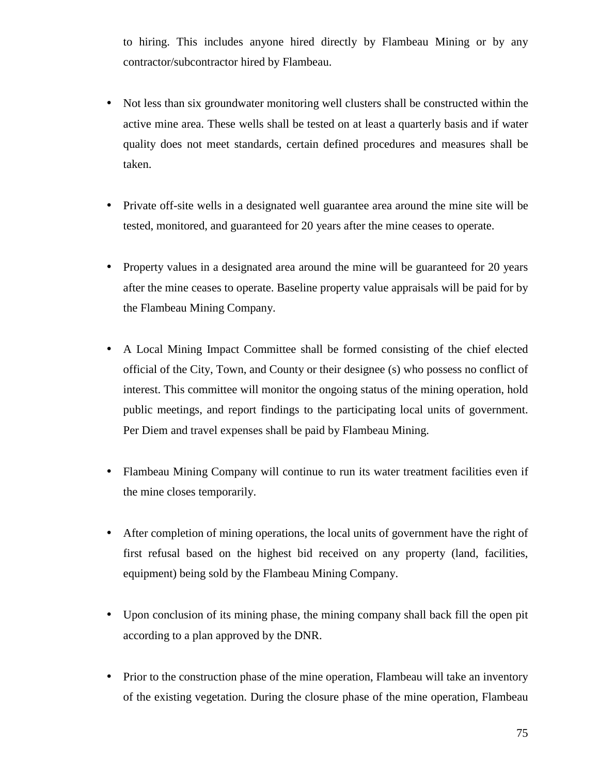to hiring. This includes anyone hired directly by Flambeau Mining or by any contractor/subcontractor hired by Flambeau.

- Not less than six groundwater monitoring well clusters shall be constructed within the active mine area. These wells shall be tested on at least a quarterly basis and if water quality does not meet standards, certain defined procedures and measures shall be taken.
- Private off-site wells in a designated well guarantee area around the mine site will be tested, monitored, and guaranteed for 20 years after the mine ceases to operate.
- Property values in a designated area around the mine will be guaranteed for 20 years after the mine ceases to operate. Baseline property value appraisals will be paid for by the Flambeau Mining Company.
- A Local Mining Impact Committee shall be formed consisting of the chief elected official of the City, Town, and County or their designee (s) who possess no conflict of interest. This committee will monitor the ongoing status of the mining operation, hold public meetings, and report findings to the participating local units of government. Per Diem and travel expenses shall be paid by Flambeau Mining.
- Flambeau Mining Company will continue to run its water treatment facilities even if the mine closes temporarily.
- After completion of mining operations, the local units of government have the right of first refusal based on the highest bid received on any property (land, facilities, equipment) being sold by the Flambeau Mining Company.
- Upon conclusion of its mining phase, the mining company shall back fill the open pit according to a plan approved by the DNR.
- Prior to the construction phase of the mine operation, Flambeau will take an inventory of the existing vegetation. During the closure phase of the mine operation, Flambeau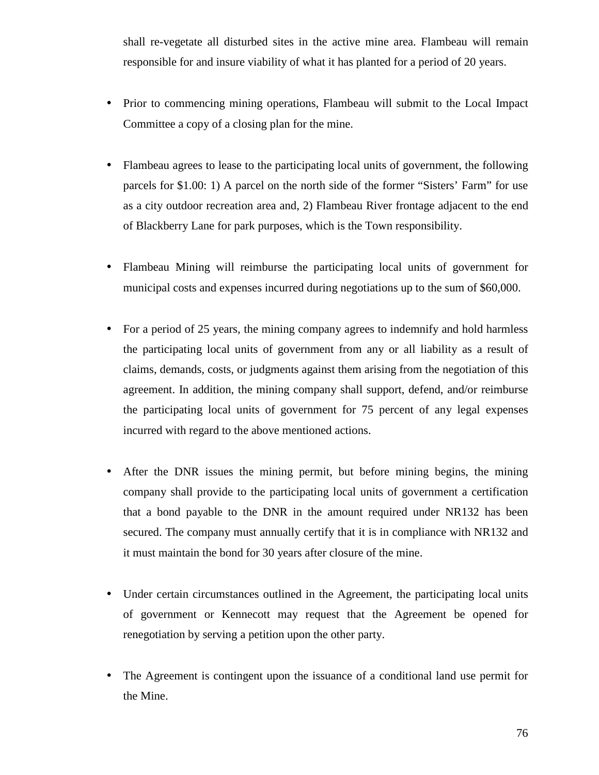shall re-vegetate all disturbed sites in the active mine area. Flambeau will remain responsible for and insure viability of what it has planted for a period of 20 years.

- Prior to commencing mining operations, Flambeau will submit to the Local Impact Committee a copy of a closing plan for the mine.
- Flambeau agrees to lease to the participating local units of government, the following parcels for \$1.00: 1) A parcel on the north side of the former "Sisters' Farm" for use as a city outdoor recreation area and, 2) Flambeau River frontage adjacent to the end of Blackberry Lane for park purposes, which is the Town responsibility.
- Flambeau Mining will reimburse the participating local units of government for municipal costs and expenses incurred during negotiations up to the sum of \$60,000.
- For a period of 25 years, the mining company agrees to indemnify and hold harmless the participating local units of government from any or all liability as a result of claims, demands, costs, or judgments against them arising from the negotiation of this agreement. In addition, the mining company shall support, defend, and/or reimburse the participating local units of government for 75 percent of any legal expenses incurred with regard to the above mentioned actions.
- After the DNR issues the mining permit, but before mining begins, the mining company shall provide to the participating local units of government a certification that a bond payable to the DNR in the amount required under NR132 has been secured. The company must annually certify that it is in compliance with NR132 and it must maintain the bond for 30 years after closure of the mine.
- Under certain circumstances outlined in the Agreement, the participating local units of government or Kennecott may request that the Agreement be opened for renegotiation by serving a petition upon the other party.
- The Agreement is contingent upon the issuance of a conditional land use permit for the Mine.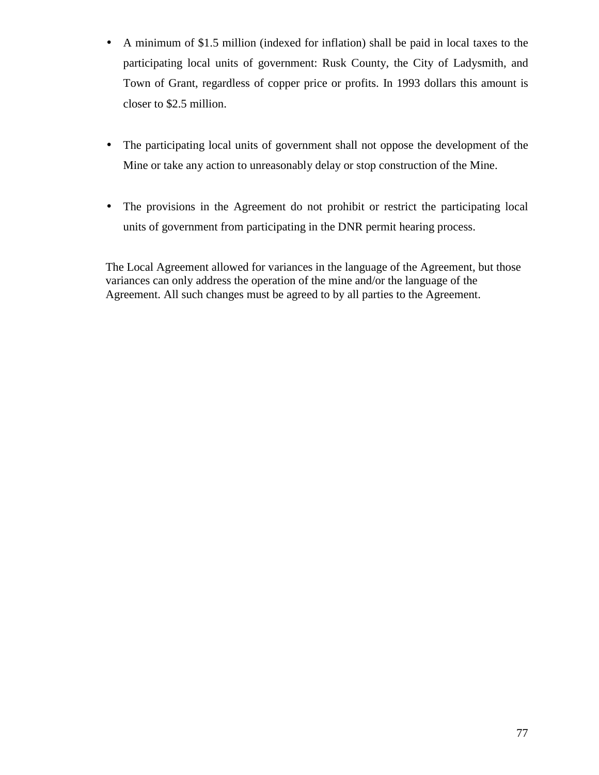- A minimum of \$1.5 million (indexed for inflation) shall be paid in local taxes to the participating local units of government: Rusk County, the City of Ladysmith, and Town of Grant, regardless of copper price or profits. In 1993 dollars this amount is closer to \$2.5 million.
- The participating local units of government shall not oppose the development of the Mine or take any action to unreasonably delay or stop construction of the Mine.
- The provisions in the Agreement do not prohibit or restrict the participating local units of government from participating in the DNR permit hearing process.

The Local Agreement allowed for variances in the language of the Agreement, but those variances can only address the operation of the mine and/or the language of the Agreement. All such changes must be agreed to by all parties to the Agreement.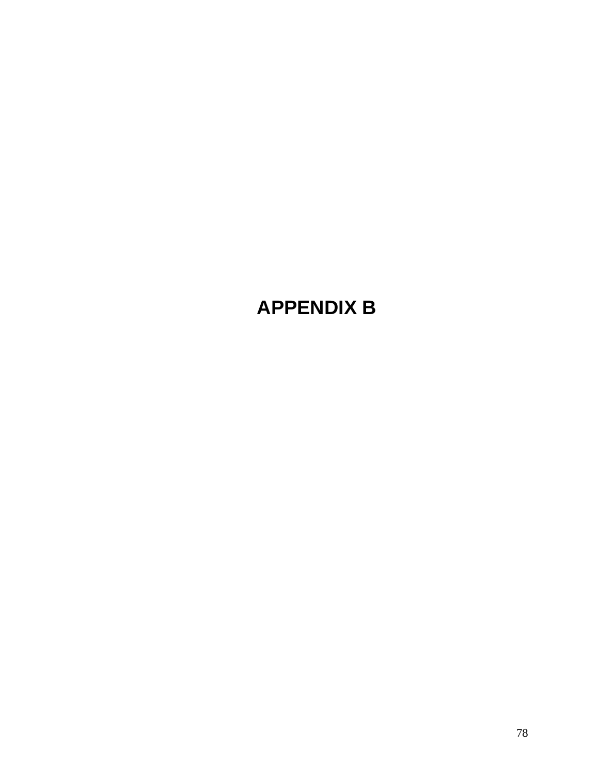# **APPENDIX B**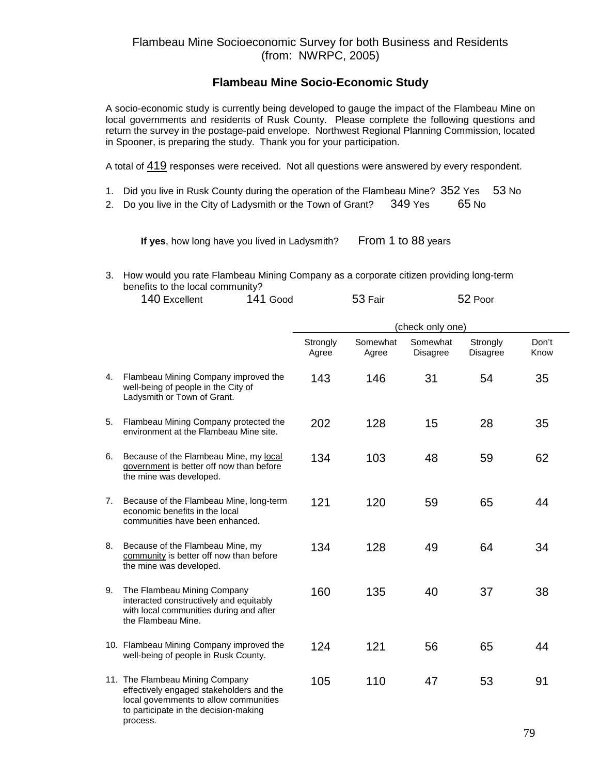### **Flambeau Mine Socio-Economic Study**

A socio-economic study is currently being developed to gauge the impact of the Flambeau Mine on local governments and residents of Rusk County. Please complete the following questions and return the survey in the postage-paid envelope. Northwest Regional Planning Commission, located in Spooner, is preparing the study. Thank you for your participation.

A total of 419 responses were received. Not all questions were answered by every respondent.

- 1. Did you live in Rusk County during the operation of the Flambeau Mine? 352 Yes 53 No
- 2. Do you live in the City of Ladysmith or the Town of Grant? 349 Yes 65 No

**If yes**, how long have you lived in Ladysmith? From 1 to 88 years

#### 3. How would you rate Flambeau Mining Company as a corporate citizen providing long-term benefits to the local community?

| 140 Excellent | 141 Good | 53 Fair | 52 Poor |
|---------------|----------|---------|---------|
|               |          |         |         |

|    |                                                                                                                                                                            | (check only one)  |                   |                             |                             |               |
|----|----------------------------------------------------------------------------------------------------------------------------------------------------------------------------|-------------------|-------------------|-----------------------------|-----------------------------|---------------|
|    |                                                                                                                                                                            | Strongly<br>Agree | Somewhat<br>Agree | Somewhat<br><b>Disagree</b> | Strongly<br><b>Disagree</b> | Don't<br>Know |
| 4. | Flambeau Mining Company improved the<br>well-being of people in the City of<br>Ladysmith or Town of Grant.                                                                 | 143               | 146               | 31                          | 54                          | 35            |
| 5. | Flambeau Mining Company protected the<br>environment at the Flambeau Mine site.                                                                                            | 202               | 128               | 15                          | 28                          | 35            |
| 6. | Because of the Flambeau Mine, my local<br>government is better off now than before<br>the mine was developed.                                                              | 134               | 103               | 48                          | 59                          | 62            |
| 7. | Because of the Flambeau Mine, long-term<br>economic benefits in the local<br>communities have been enhanced.                                                               | 121               | 120               | 59                          | 65                          | 44            |
| 8. | Because of the Flambeau Mine, my<br>community is better off now than before<br>the mine was developed.                                                                     | 134               | 128               | 49                          | 64                          | 34            |
| 9. | The Flambeau Mining Company<br>interacted constructively and equitably<br>with local communities during and after<br>the Flambeau Mine.                                    | 160               | 135               | 40                          | 37                          | 38            |
|    | 10. Flambeau Mining Company improved the<br>well-being of people in Rusk County.                                                                                           | 124               | 121               | 56                          | 65                          | 44            |
|    | 11. The Flambeau Mining Company<br>effectively engaged stakeholders and the<br>local governments to allow communities<br>to participate in the decision-making<br>process. | 105               | 110               | 47                          | 53                          | 91            |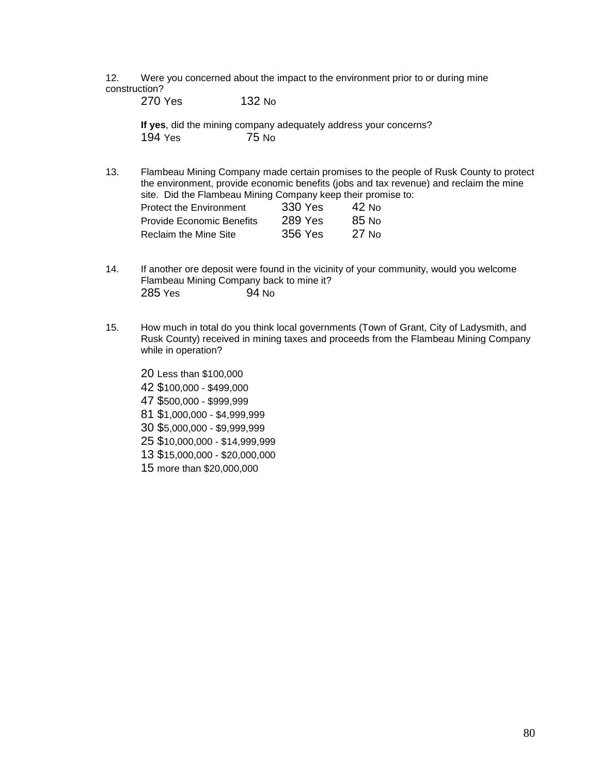12. Were you concerned about the impact to the environment prior to or during mine construction?

270 Yes 132 No

**If yes**, did the mining company adequately address your concerns? 194 Yes 75 No

13. Flambeau Mining Company made certain promises to the people of Rusk County to protect the environment, provide economic benefits (jobs and tax revenue) and reclaim the mine site. Did the Flambeau Mining Company keep their promise to:

| <b>Protect the Environment</b> | 330 Yes | $42$ No |
|--------------------------------|---------|---------|
| Provide Economic Benefits      | 289 Yes | 85 No   |
| Reclaim the Mine Site          | 356 Yes | $27$ No |

- 14. If another ore deposit were found in the vicinity of your community, would you welcome Flambeau Mining Company back to mine it? 285 Yes 94 No
- 15. How much in total do you think local governments (Town of Grant, City of Ladysmith, and Rusk County) received in mining taxes and proceeds from the Flambeau Mining Company while in operation?

20 Less than \$100,000 42 \$100,000 - \$499,000 47 \$500,000 - \$999,999 81 \$1,000,000 - \$4,999,999 30 \$5,000,000 - \$9,999,999 25 \$10,000,000 - \$14,999,999 13 \$15,000,000 - \$20,000,000 15 more than \$20,000,000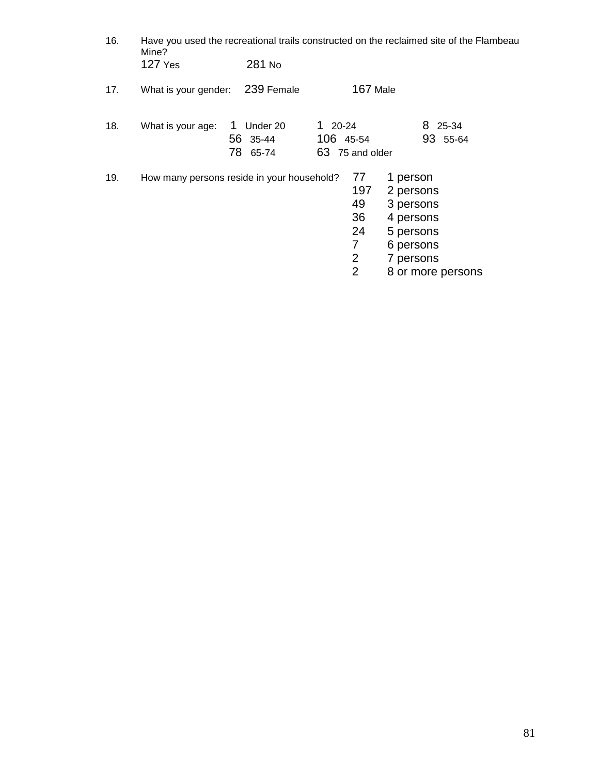| 16. | Have you used the recreational trails constructed on the reclaimed site of the Flambeau<br>Mine? |                                       |                                                         |                                                                                                             |
|-----|--------------------------------------------------------------------------------------------------|---------------------------------------|---------------------------------------------------------|-------------------------------------------------------------------------------------------------------------|
|     | <b>127 Yes</b>                                                                                   | 281 No                                |                                                         |                                                                                                             |
| 17. | What is your gender:                                                                             | 239 Female                            | 167 Male                                                |                                                                                                             |
| 18. | What is your age:                                                                                | Under 20<br>1<br>56 35-44<br>78 65-74 | $120-24$<br>106 45-54<br>63 75 and older                | 8 25-34<br>93 55-64                                                                                         |
| 19. | How many persons reside in your household?                                                       |                                       | 77<br>197<br>49<br>36<br>24<br>7<br>2<br>$\overline{2}$ | 1 person<br>2 persons<br>3 persons<br>4 persons<br>5 persons<br>6 persons<br>7 persons<br>8 or more persons |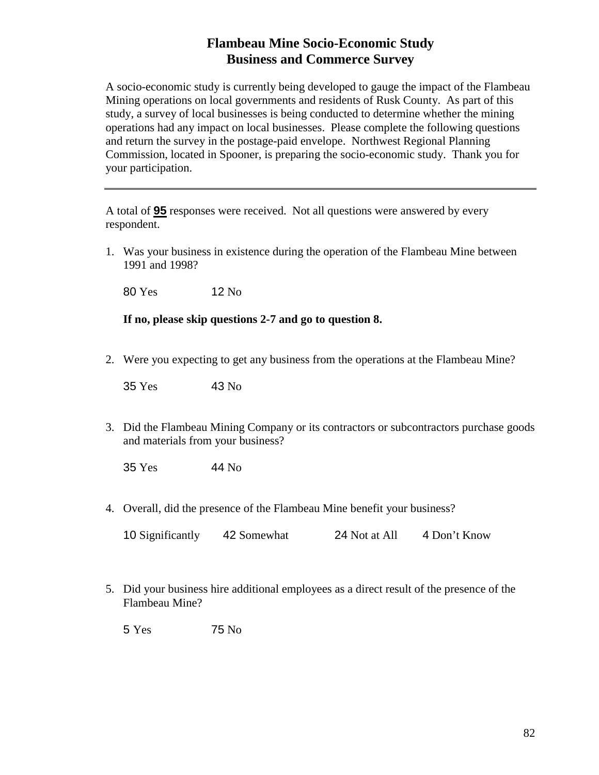### **Flambeau Mine Socio-Economic Study Business and Commerce Survey**

A socio-economic study is currently being developed to gauge the impact of the Flambeau Mining operations on local governments and residents of Rusk County. As part of this study, a survey of local businesses is being conducted to determine whether the mining operations had any impact on local businesses. Please complete the following questions and return the survey in the postage-paid envelope. Northwest Regional Planning Commission, located in Spooner, is preparing the socio-economic study. Thank you for your participation.

A total of **95** responses were received. Not all questions were answered by every respondent.

1. Was your business in existence during the operation of the Flambeau Mine between 1991 and 1998?

80 Yes 12 No

**If no, please skip questions 2-7 and go to question 8.** 

2. Were you expecting to get any business from the operations at the Flambeau Mine?

35 Yes 43 No

3. Did the Flambeau Mining Company or its contractors or subcontractors purchase goods and materials from your business?

35 Yes 44 No

4. Overall, did the presence of the Flambeau Mine benefit your business?

| 10 Significantly | 42 Somewhat | 24 Not at All | 4 Don't Know |
|------------------|-------------|---------------|--------------|
|------------------|-------------|---------------|--------------|

5. Did your business hire additional employees as a direct result of the presence of the Flambeau Mine?

5 Yes 75 No